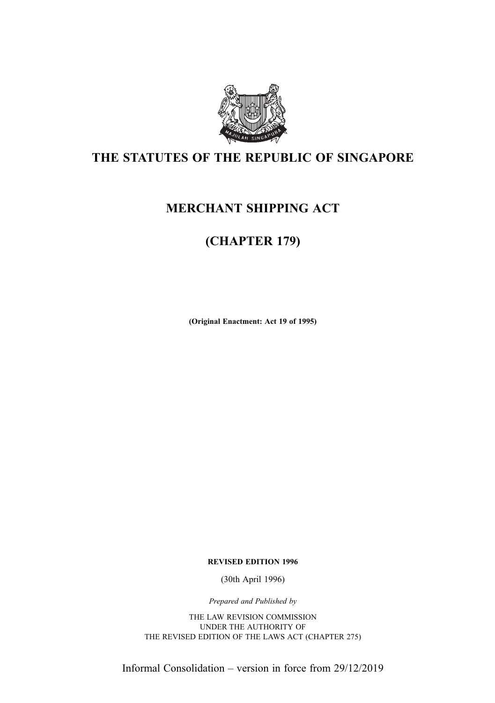

# THE STATUTES OF THE REPUBLIC OF SINGAPORE

# MERCHANT SHIPPING ACT

# (CHAPTER 179)

(Original Enactment: Act 19 of 1995)

REVISED EDITION 1996

(30th April 1996)

Prepared and Published by

THE LAW REVISION COMMISSION UNDER THE AUTHORITY OF THE REVISED EDITION OF THE LAWS ACT (CHAPTER 275)

Informal Consolidation – version in force from 29/12/2019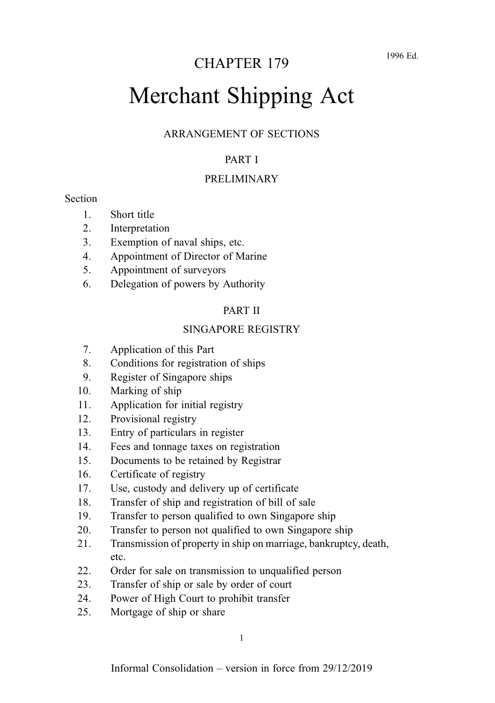# Merchant Shipping Act

#### ARRANGEMENT OF SECTIONS

#### PART I

#### PRELIMINARY

#### **Section**

- 1. Short title
- 2. Interpretation
- 3. Exemption of naval ships, etc.
- 4. Appointment of Director of Marine
- 5. Appointment of surveyors
- 6. Delegation of powers by Authority

#### PART II

#### SINGAPORE REGISTRY

- 7. Application of this Part
- 8. Conditions for registration of ships
- 9. Register of Singapore ships
- 10. Marking of ship
- 11. Application for initial registry
- 12. Provisional registry
- 13. Entry of particulars in register
- 14. Fees and tonnage taxes on registration
- 15. Documents to be retained by Registrar
- 16. Certificate of registry
- 17. Use, custody and delivery up of certificate
- 18. Transfer of ship and registration of bill of sale
- 19. Transfer to person qualified to own Singapore ship
- 20. Transfer to person not qualified to own Singapore ship
- 21. Transmission of property in ship on marriage, bankruptcy, death, etc.
- 22. Order for sale on transmission to unqualified person
- 23. Transfer of ship or sale by order of court
- 24. Power of High Court to prohibit transfer
- 25. Mortgage of ship or share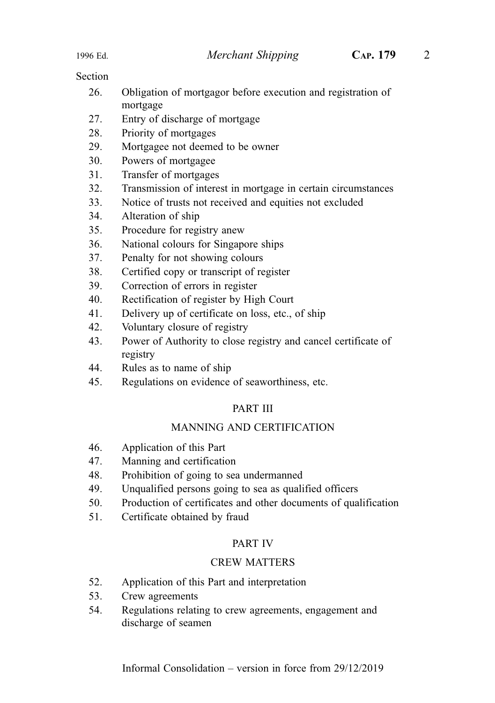- 26. Obligation of mortgagor before execution and registration of mortgage
- 27. Entry of discharge of mortgage
- 28. Priority of mortgages
- 29. Mortgagee not deemed to be owner
- 30. Powers of mortgagee
- 31. Transfer of mortgages
- 32. Transmission of interest in mortgage in certain circumstances
- 33. Notice of trusts not received and equities not excluded
- 34. Alteration of ship
- 35. Procedure for registry anew
- 36. National colours for Singapore ships
- 37. Penalty for not showing colours
- 38. Certified copy or transcript of register
- 39. Correction of errors in register
- 40. Rectification of register by High Court
- 41. Delivery up of certificate on loss, etc., of ship
- 42. Voluntary closure of registry
- 43. Power of Authority to close registry and cancel certificate of registry
- 44. Rules as to name of ship
- 45. Regulations on evidence of seaworthiness, etc.

#### PART III

#### MANNING AND CERTIFICATION

- 46. Application of this Part
- 47. Manning and certification
- 48. Prohibition of going to sea undermanned
- 49. Unqualified persons going to sea as qualified officers
- 50. Production of certificates and other documents of qualification
- 51. Certificate obtained by fraud

#### PART IV

#### CREW MATTERS

- 52. Application of this Part and interpretation
- 53. Crew agreements
- 54. Regulations relating to crew agreements, engagement and discharge of seamen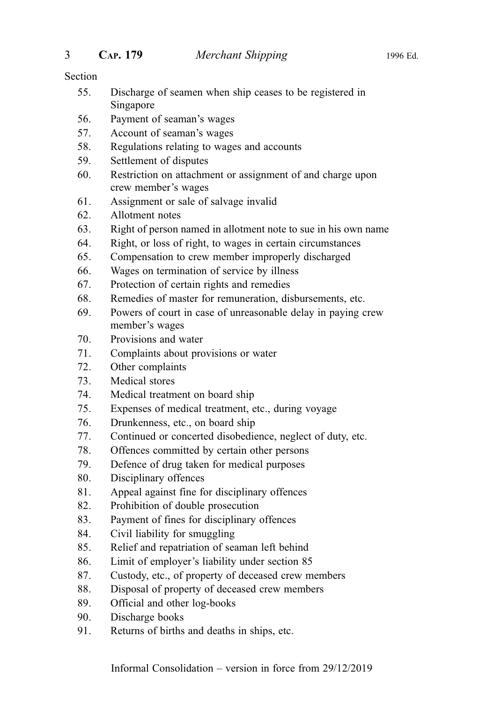- 55. Discharge of seamen when ship ceases to be registered in Singapore
- 56. Payment of seaman's wages
- 57. Account of seaman's wages
- 58. Regulations relating to wages and accounts
- 59. Settlement of disputes
- 60. Restriction on attachment or assignment of and charge upon crew member's wages
- 61. Assignment or sale of salvage invalid
- 62. Allotment notes
- 63. Right of person named in allotment note to sue in his own name
- 64. Right, or loss of right, to wages in certain circumstances
- 65. Compensation to crew member improperly discharged
- 66. Wages on termination of service by illness
- 67. Protection of certain rights and remedies
- 68. Remedies of master for remuneration, disbursements, etc.
- 69. Powers of court in case of unreasonable delay in paying crew member's wages
- 70. Provisions and water
- 71. Complaints about provisions or water
- 72. Other complaints
- 73. Medical stores
- 74. Medical treatment on board ship
- 75. Expenses of medical treatment, etc., during voyage
- 76. Drunkenness, etc., on board ship
- 77. Continued or concerted disobedience, neglect of duty, etc.
- 78. Offences committed by certain other persons
- 79. Defence of drug taken for medical purposes
- 80. Disciplinary offences
- 81. Appeal against fine for disciplinary offences
- 82. Prohibition of double prosecution
- 83. Payment of fines for disciplinary offences
- 84. Civil liability for smuggling
- 85. Relief and repatriation of seaman left behind
- 86. Limit of employer's liability under section 85
- 87. Custody, etc., of property of deceased crew members
- 88. Disposal of property of deceased crew members
- 89. Official and other log-books
- 90. Discharge books
- 91. Returns of births and deaths in ships, etc.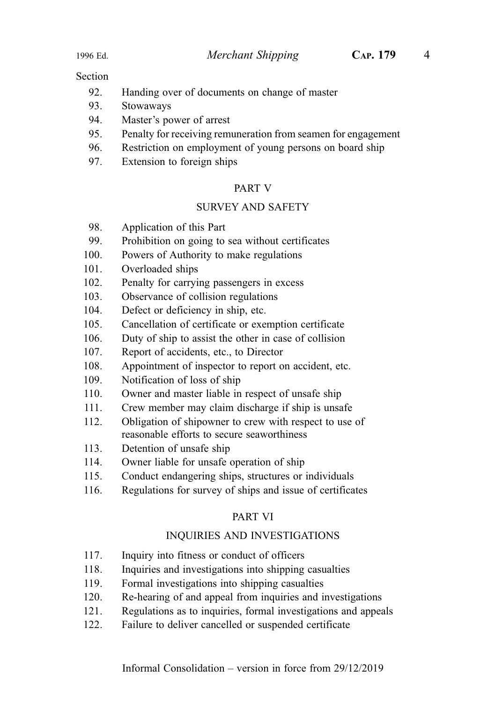- 92. Handing over of documents on change of master
- 93. Stowaways
- 94. Master's power of arrest
- 95. Penalty for receiving remuneration from seamen for engagement
- 96. Restriction on employment of young persons on board ship
- 97. Extension to foreign ships

#### PART V

#### SURVEY AND SAFETY

- 98. Application of this Part
- 99. Prohibition on going to sea without certificates
- 100. Powers of Authority to make regulations
- 101. Overloaded ships
- 102. Penalty for carrying passengers in excess
- 103. Observance of collision regulations
- 104. Defect or deficiency in ship, etc.
- 105. Cancellation of certificate or exemption certificate
- 106. Duty of ship to assist the other in case of collision
- 107. Report of accidents, etc., to Director
- 108. Appointment of inspector to report on accident, etc.
- 109. Notification of loss of ship
- 110. Owner and master liable in respect of unsafe ship
- 111. Crew member may claim discharge if ship is unsafe
- 112. Obligation of shipowner to crew with respect to use of reasonable efforts to secure seaworthiness
- 113. Detention of unsafe ship
- 114. Owner liable for unsafe operation of ship
- 115. Conduct endangering ships, structures or individuals
- 116. Regulations for survey of ships and issue of certificates

#### PART VI

#### INQUIRIES AND INVESTIGATIONS

- 117. Inquiry into fitness or conduct of officers
- 118. Inquiries and investigations into shipping casualties
- 119. Formal investigations into shipping casualties
- 120. Re-hearing of and appeal from inquiries and investigations
- 121. Regulations as to inquiries, formal investigations and appeals
- 122. Failure to deliver cancelled or suspended certificate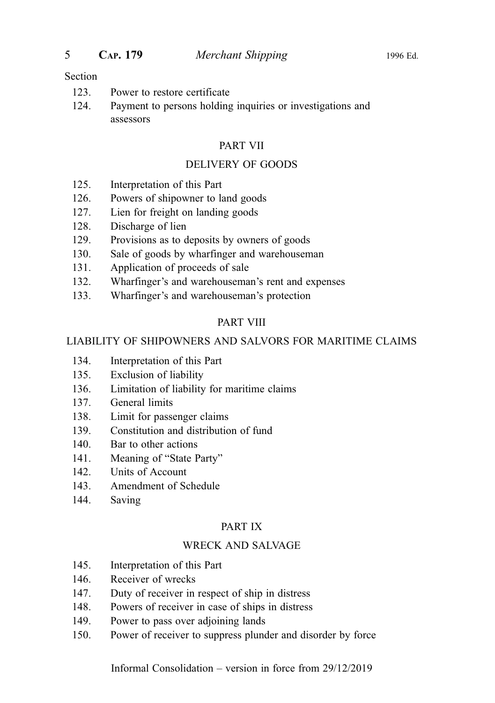- 123. Power to restore certificate
- 124. Payment to persons holding inquiries or investigations and assessors

#### PART VII

#### DELIVERY OF GOODS

- 125. Interpretation of this Part
- 126. Powers of shipowner to land goods
- 127. Lien for freight on landing goods
- 128. Discharge of lien
- 129. Provisions as to deposits by owners of goods
- 130. Sale of goods by wharfinger and warehouseman
- 131. Application of proceeds of sale
- 132. Wharfinger's and warehouseman's rent and expenses
- 133. Wharfinger's and warehouseman's protection

#### PART VIII

#### LIABILITY OF SHIPOWNERS AND SALVORS FOR MARITIME CLAIMS

- 134. Interpretation of this Part
- 135. Exclusion of liability
- 136. Limitation of liability for maritime claims
- 137. General limits
- 138. Limit for passenger claims
- 139. Constitution and distribution of fund
- 140. Bar to other actions
- 141. Meaning of "State Party"
- 142. Units of Account
- 143. Amendment of Schedule
- 144. Saving

#### PART IX

#### WRECK AND SALVAGE

- 145. Interpretation of this Part
- 146. Receiver of wrecks
- 147. Duty of receiver in respect of ship in distress
- 148. Powers of receiver in case of ships in distress
- 149. Power to pass over adjoining lands
- 150. Power of receiver to suppress plunder and disorder by force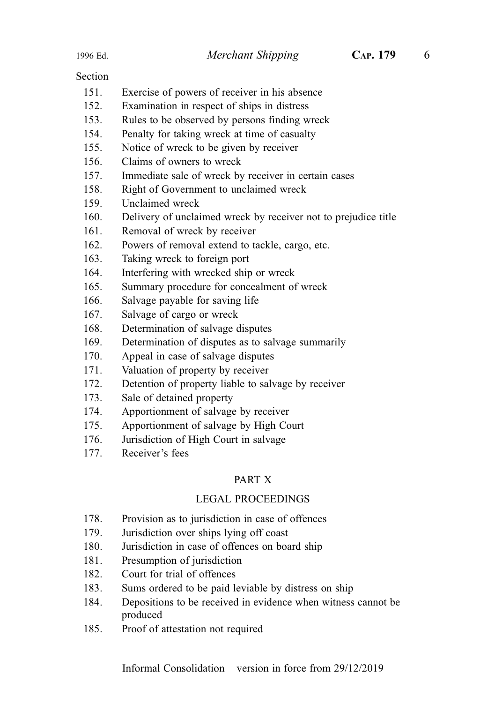- 151. Exercise of powers of receiver in his absence
- 152. Examination in respect of ships in distress
- 153. Rules to be observed by persons finding wreck
- 154. Penalty for taking wreck at time of casualty
- 155. Notice of wreck to be given by receiver
- 156. Claims of owners to wreck
- 157. Immediate sale of wreck by receiver in certain cases
- 158. Right of Government to unclaimed wreck
- 159. Unclaimed wreck
- 160. Delivery of unclaimed wreck by receiver not to prejudice title
- 161. Removal of wreck by receiver
- 162. Powers of removal extend to tackle, cargo, etc.
- 163. Taking wreck to foreign port
- 164. Interfering with wrecked ship or wreck
- 165. Summary procedure for concealment of wreck
- 166. Salvage payable for saving life
- 167. Salvage of cargo or wreck
- 168. Determination of salvage disputes
- 169. Determination of disputes as to salvage summarily
- 170. Appeal in case of salvage disputes
- 171. Valuation of property by receiver
- 172. Detention of property liable to salvage by receiver
- 173. Sale of detained property
- 174. Apportionment of salvage by receiver
- 175. Apportionment of salvage by High Court
- 176. Jurisdiction of High Court in salvage
- 177. Receiver's fees

#### PART X

#### LEGAL PROCEEDINGS

- 178. Provision as to jurisdiction in case of offences
- 179. Jurisdiction over ships lying off coast
- 180. Jurisdiction in case of offences on board ship
- 181. Presumption of jurisdiction
- 182. Court for trial of offences
- 183. Sums ordered to be paid leviable by distress on ship
- 184. Depositions to be received in evidence when witness cannot be produced
- 185. Proof of attestation not required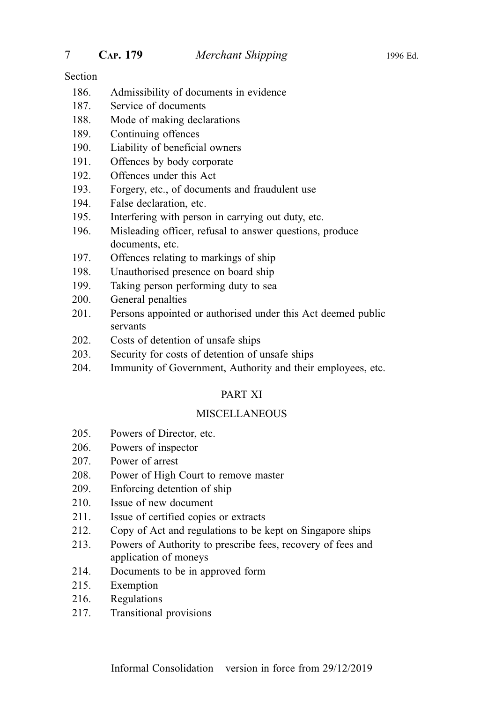- 186. Admissibility of documents in evidence
- 187. Service of documents
- 188. Mode of making declarations
- 189. Continuing offences
- 190. Liability of beneficial owners
- 191. Offences by body corporate
- 192. Offences under this Act
- 193. Forgery, etc., of documents and fraudulent use
- 194. False declaration, etc.
- 195. Interfering with person in carrying out duty, etc.
- 196. Misleading officer, refusal to answer questions, produce documents, etc.
- 197. Offences relating to markings of ship
- 198. Unauthorised presence on board ship
- 199. Taking person performing duty to sea
- 200. General penalties
- 201. Persons appointed or authorised under this Act deemed public servants
- 202. Costs of detention of unsafe ships
- 203. Security for costs of detention of unsafe ships
- 204. Immunity of Government, Authority and their employees, etc.

#### PART XI

#### **MISCELLANEOUS**

- 205. Powers of Director, etc.
- 206. Powers of inspector
- 207. Power of arrest
- 208. Power of High Court to remove master
- 209. Enforcing detention of ship
- 210. Issue of new document
- 211. Issue of certified copies or extracts
- 212. Copy of Act and regulations to be kept on Singapore ships
- 213. Powers of Authority to prescribe fees, recovery of fees and application of moneys
- 214. Documents to be in approved form
- 215. Exemption
- 216. Regulations
- 217. Transitional provisions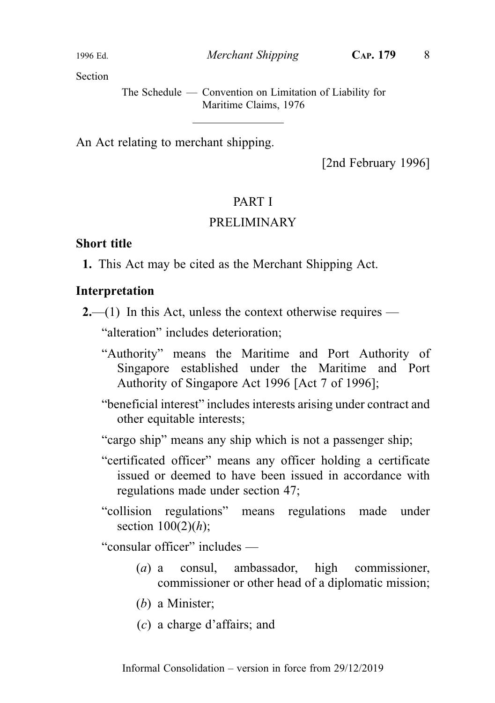The Schedule — Convention on Limitation of Liability for Maritime Claims, 1976

An Act relating to merchant shipping.

[2nd February 1996]

#### PART I

#### PRELIMINARY

#### Short title

1. This Act may be cited as the Merchant Shipping Act.

#### Interpretation

 $2$ —(1) In this Act, unless the context otherwise requires —

"alteration" includes deterioration;

- "Authority" means the Maritime and Port Authority of Singapore established under the Maritime and Port Authority of Singapore Act 1996 [Act 7 of 1996];
- "beneficial interest" includes interests arising under contract and other equitable interests;

"cargo ship" means any ship which is not a passenger ship;

- "certificated officer" means any officer holding a certificate issued or deemed to have been issued in accordance with regulations made under section 47;
- "collision regulations" means regulations made under section  $100(2)(h)$ ;

"consular officer" includes —

- (a) a consul, ambassador, high commissioner, commissioner or other head of a diplomatic mission;
- (b) a Minister;
- (c) a charge d'affairs; and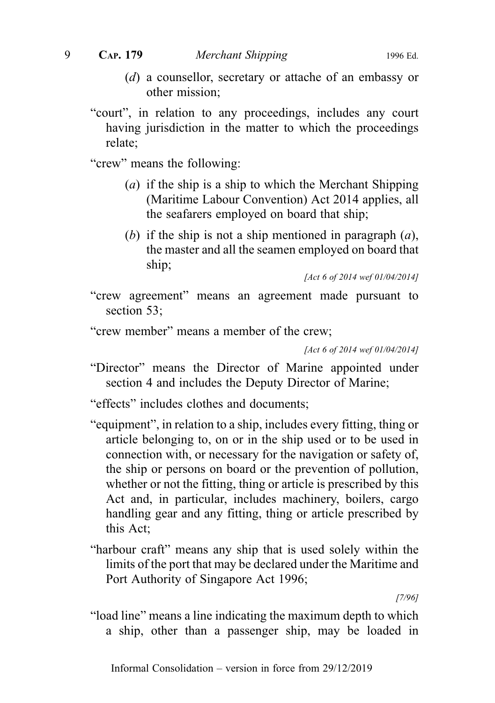- (d) a counsellor, secretary or attache of an embassy or other mission;
- "court", in relation to any proceedings, includes any court having jurisdiction in the matter to which the proceedings relate;

"crew" means the following:

- (a) if the ship is a ship to which the Merchant Shipping (Maritime Labour Convention) Act 2014 applies, all the seafarers employed on board that ship;
- (b) if the ship is not a ship mentioned in paragraph  $(a)$ , the master and all the seamen employed on board that ship;

[Act 6 of 2014 wef 01/04/2014]

"crew agreement" means an agreement made pursuant to section 53;

"crew member" means a member of the crew;

[Act 6 of 2014 wef 01/04/2014]

"Director" means the Director of Marine appointed under section 4 and includes the Deputy Director of Marine;

"effects" includes clothes and documents;

- "equipment", in relation to a ship, includes every fitting, thing or article belonging to, on or in the ship used or to be used in connection with, or necessary for the navigation or safety of, the ship or persons on board or the prevention of pollution, whether or not the fitting, thing or article is prescribed by this Act and, in particular, includes machinery, boilers, cargo handling gear and any fitting, thing or article prescribed by this Act;
- "harbour craft" means any ship that is used solely within the limits of the port that may be declared under the Maritime and Port Authority of Singapore Act 1996;

[7/96]

"load line" means a line indicating the maximum depth to which a ship, other than a passenger ship, may be loaded in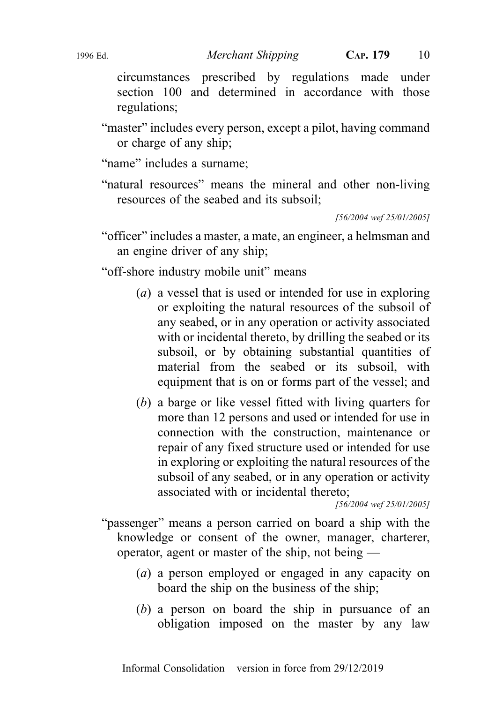circumstances prescribed by regulations made under section 100 and determined in accordance with those regulations;

"master" includes every person, except a pilot, having command or charge of any ship;

"name" includes a surname;

"natural resources" means the mineral and other non-living resources of the seabed and its subsoil;

[56/2004 wef 25/01/2005]

"officer" includes a master, a mate, an engineer, a helmsman and an engine driver of any ship;

"off-shore industry mobile unit" means

- (a) a vessel that is used or intended for use in exploring or exploiting the natural resources of the subsoil of any seabed, or in any operation or activity associated with or incidental thereto, by drilling the seabed or its subsoil, or by obtaining substantial quantities of material from the seabed or its subsoil, with equipment that is on or forms part of the vessel; and
- (b) a barge or like vessel fitted with living quarters for more than 12 persons and used or intended for use in connection with the construction, maintenance or repair of any fixed structure used or intended for use in exploring or exploiting the natural resources of the subsoil of any seabed, or in any operation or activity associated with or incidental thereto;

[56/2004 wef 25/01/2005]

"passenger" means a person carried on board a ship with the knowledge or consent of the owner, manager, charterer, operator, agent or master of the ship, not being —

- (a) a person employed or engaged in any capacity on board the ship on the business of the ship;
- (b) a person on board the ship in pursuance of an obligation imposed on the master by any law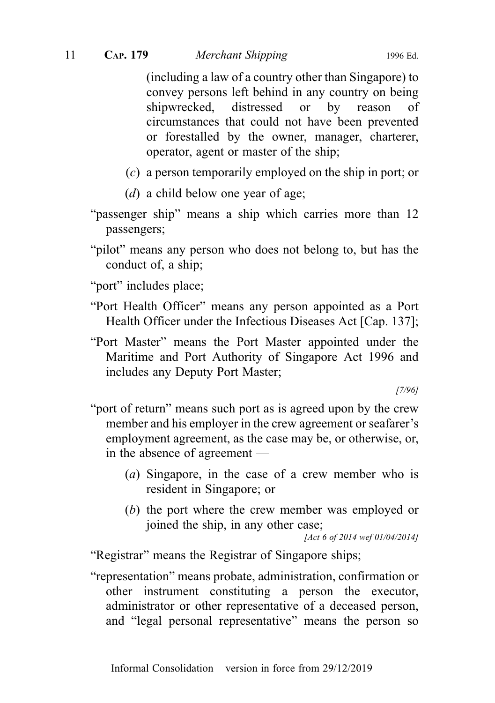(including a law of a country other than Singapore) to convey persons left behind in any country on being shipwrecked, distressed or by reason of circumstances that could not have been prevented or forestalled by the owner, manager, charterer, operator, agent or master of the ship;

- (c) a person temporarily employed on the ship in port; or
- (d) a child below one year of age;
- "passenger ship" means a ship which carries more than 12 passengers;
- "pilot" means any person who does not belong to, but has the conduct of, a ship;
- "port" includes place;
- "Port Health Officer" means any person appointed as a Port Health Officer under the Infectious Diseases Act [Cap. 137];
- "Port Master" means the Port Master appointed under the Maritime and Port Authority of Singapore Act 1996 and includes any Deputy Port Master;

[7/96]

- "port of return" means such port as is agreed upon by the crew member and his employer in the crew agreement or seafarer's employment agreement, as the case may be, or otherwise, or, in the absence of agreement —
	- (a) Singapore, in the case of a crew member who is resident in Singapore; or
	- (b) the port where the crew member was employed or joined the ship, in any other case;

[Act 6 of 2014 wef 01/04/2014]

"Registrar" means the Registrar of Singapore ships;

"representation" means probate, administration, confirmation or other instrument constituting a person the executor, administrator or other representative of a deceased person, and "legal personal representative" means the person so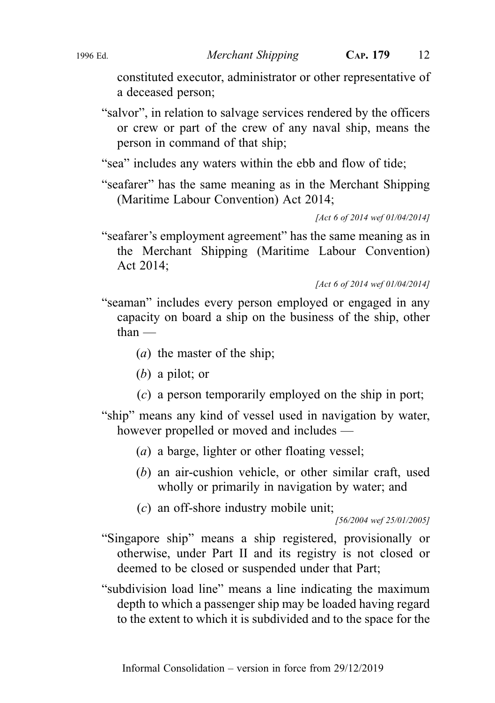constituted executor, administrator or other representative of a deceased person;

"salvor", in relation to salvage services rendered by the officers or crew or part of the crew of any naval ship, means the person in command of that ship;

"sea" includes any waters within the ebb and flow of tide;

"seafarer" has the same meaning as in the Merchant Shipping (Maritime Labour Convention) Act 2014;

[Act 6 of 2014 wef 01/04/2014]

"seafarer's employment agreement" has the same meaning as in the Merchant Shipping (Maritime Labour Convention) Act 2014;

[Act 6 of 2014 wef 01/04/2014]

- "seaman" includes every person employed or engaged in any capacity on board a ship on the business of the ship, other than —
	- (a) the master of the ship;
	- (b) a pilot; or
	- (c) a person temporarily employed on the ship in port;
- "ship" means any kind of vessel used in navigation by water, however propelled or moved and includes —
	- (a) a barge, lighter or other floating vessel;
	- (b) an air-cushion vehicle, or other similar craft, used wholly or primarily in navigation by water; and
	- (c) an off-shore industry mobile unit;

[56/2004 wef 25/01/2005]

- "Singapore ship" means a ship registered, provisionally or otherwise, under Part II and its registry is not closed or deemed to be closed or suspended under that Part;
- "subdivision load line" means a line indicating the maximum depth to which a passenger ship may be loaded having regard to the extent to which it is subdivided and to the space for the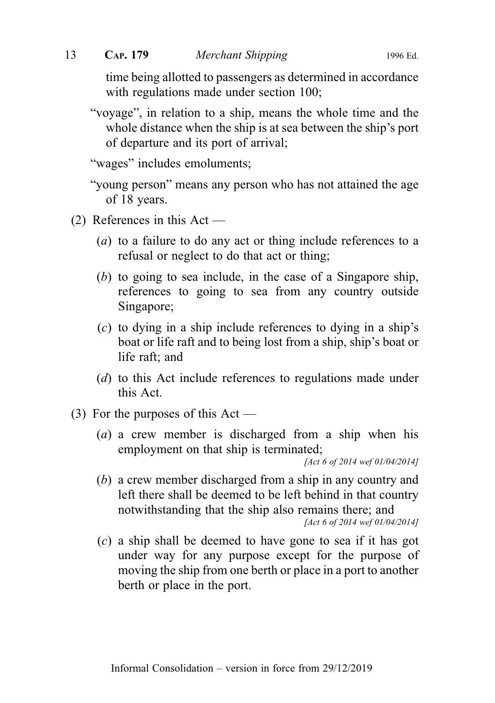time being allotted to passengers as determined in accordance with regulations made under section 100;

"voyage", in relation to a ship, means the whole time and the whole distance when the ship is at sea between the ship's port of departure and its port of arrival;

"wages" includes emoluments;

"young person" means any person who has not attained the age of 18 years.

- (2) References in this Act
	- (a) to a failure to do any act or thing include references to a refusal or neglect to do that act or thing;
	- (b) to going to sea include, in the case of a Singapore ship, references to going to sea from any country outside Singapore;
	- (c) to dying in a ship include references to dying in a ship's boat or life raft and to being lost from a ship, ship's boat or life raft; and
	- (d) to this Act include references to regulations made under this Act.
- (3) For the purposes of this  $Act$ 
	- (a) a crew member is discharged from a ship when his employment on that ship is terminated;

[Act 6 of 2014 wef 01/04/2014]

(b) a crew member discharged from a ship in any country and left there shall be deemed to be left behind in that country notwithstanding that the ship also remains there; and [Act 6 of 2014 wef 01/04/2014]

(c) a ship shall be deemed to have gone to sea if it has got under way for any purpose except for the purpose of moving the ship from one berth or place in a port to another berth or place in the port.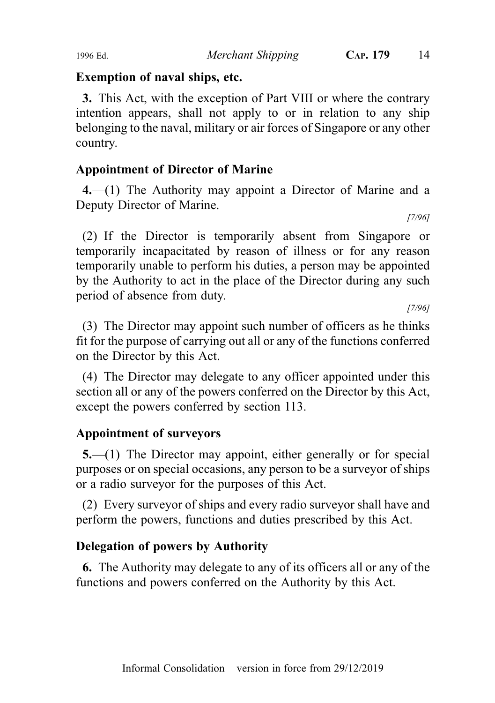#### Exemption of naval ships, etc.

3. This Act, with the exception of Part VIII or where the contrary intention appears, shall not apply to or in relation to any ship belonging to the naval, military or air forces of Singapore or any other country.

# Appointment of Director of Marine

4.—(1) The Authority may appoint a Director of Marine and a Deputy Director of Marine.

[7/96]

(2) If the Director is temporarily absent from Singapore or temporarily incapacitated by reason of illness or for any reason temporarily unable to perform his duties, a person may be appointed by the Authority to act in the place of the Director during any such period of absence from duty.

[7/96]

(3) The Director may appoint such number of officers as he thinks fit for the purpose of carrying out all or any of the functions conferred on the Director by this Act.

(4) The Director may delegate to any officer appointed under this section all or any of the powers conferred on the Director by this Act, except the powers conferred by section 113.

# Appointment of surveyors

5.—(1) The Director may appoint, either generally or for special purposes or on special occasions, any person to be a surveyor of ships or a radio surveyor for the purposes of this Act.

(2) Every surveyor of ships and every radio surveyor shall have and perform the powers, functions and duties prescribed by this Act.

# Delegation of powers by Authority

6. The Authority may delegate to any of its officers all or any of the functions and powers conferred on the Authority by this Act.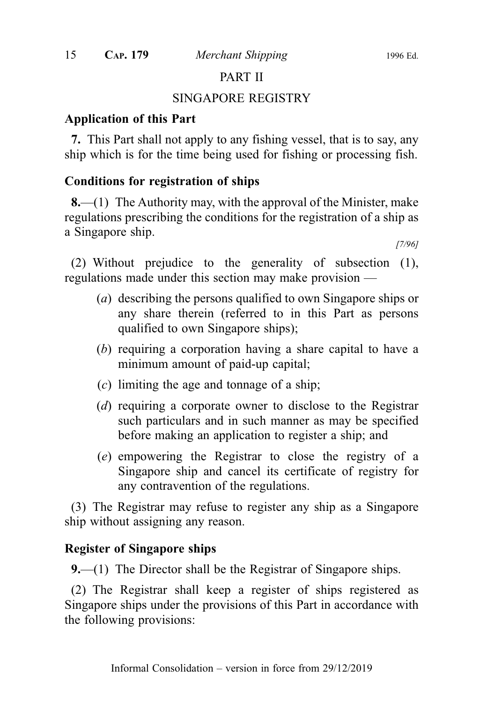#### PART II

#### SINGAPORE REGISTRY

#### Application of this Part

7. This Part shall not apply to any fishing vessel, that is to say, any ship which is for the time being used for fishing or processing fish.

### Conditions for registration of ships

**8.—(1)** The Authority may, with the approval of the Minister, make regulations prescribing the conditions for the registration of a ship as a Singapore ship.

[7/96]

(2) Without prejudice to the generality of subsection (1), regulations made under this section may make provision —

- (a) describing the persons qualified to own Singapore ships or any share therein (referred to in this Part as persons qualified to own Singapore ships);
- (b) requiring a corporation having a share capital to have a minimum amount of paid-up capital;
- (c) limiting the age and tonnage of a ship;
- (d) requiring a corporate owner to disclose to the Registrar such particulars and in such manner as may be specified before making an application to register a ship; and
- (e) empowering the Registrar to close the registry of a Singapore ship and cancel its certificate of registry for any contravention of the regulations.

(3) The Registrar may refuse to register any ship as a Singapore ship without assigning any reason.

#### Register of Singapore ships

9.—(1) The Director shall be the Registrar of Singapore ships.

(2) The Registrar shall keep a register of ships registered as Singapore ships under the provisions of this Part in accordance with the following provisions: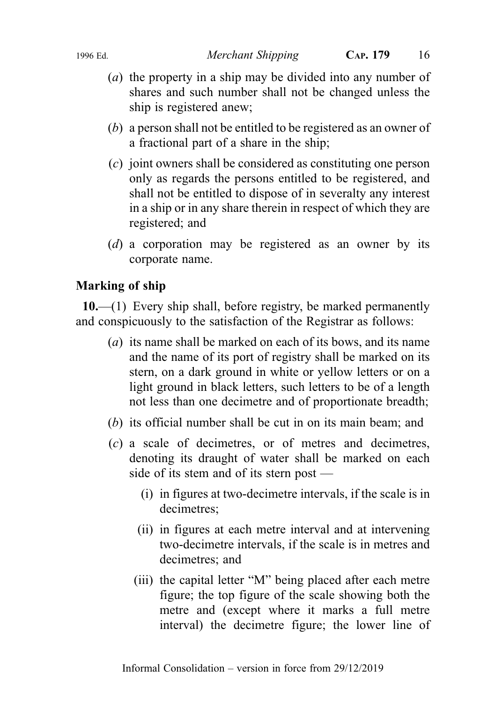- (a) the property in a ship may be divided into any number of shares and such number shall not be changed unless the ship is registered anew;
- (b) a person shall not be entitled to be registered as an owner of a fractional part of a share in the ship;
- (c) joint owners shall be considered as constituting one person only as regards the persons entitled to be registered, and shall not be entitled to dispose of in severalty any interest in a ship or in any share therein in respect of which they are registered; and
- (d) a corporation may be registered as an owner by its corporate name.

# Marking of ship

 $10$ .—(1) Every ship shall, before registry, be marked permanently and conspicuously to the satisfaction of the Registrar as follows:

- (*a*) its name shall be marked on each of its bows, and its name and the name of its port of registry shall be marked on its stern, on a dark ground in white or yellow letters or on a light ground in black letters, such letters to be of a length not less than one decimetre and of proportionate breadth;
- (b) its official number shall be cut in on its main beam; and
- (c) a scale of decimetres, or of metres and decimetres, denoting its draught of water shall be marked on each side of its stem and of its stern post —
	- (i) in figures at two-decimetre intervals, if the scale is in decimetres;
	- (ii) in figures at each metre interval and at intervening two-decimetre intervals, if the scale is in metres and decimetres; and
	- (iii) the capital letter "M" being placed after each metre figure; the top figure of the scale showing both the metre and (except where it marks a full metre interval) the decimetre figure; the lower line of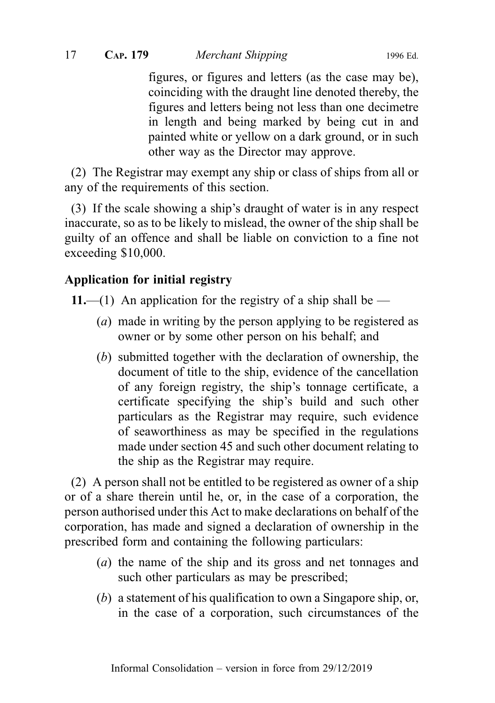17 CAP. 179 Merchant Shipping 1996 Ed.

figures, or figures and letters (as the case may be), coinciding with the draught line denoted thereby, the figures and letters being not less than one decimetre in length and being marked by being cut in and painted white or yellow on a dark ground, or in such other way as the Director may approve.

(2) The Registrar may exempt any ship or class of ships from all or any of the requirements of this section.

(3) If the scale showing a ship's draught of water is in any respect inaccurate, so as to be likely to mislead, the owner of the ship shall be guilty of an offence and shall be liable on conviction to a fine not exceeding \$10,000.

# Application for initial registry

11.—(1) An application for the registry of a ship shall be —

- (*a*) made in writing by the person applying to be registered as owner or by some other person on his behalf; and
- (b) submitted together with the declaration of ownership, the document of title to the ship, evidence of the cancellation of any foreign registry, the ship's tonnage certificate, a certificate specifying the ship's build and such other particulars as the Registrar may require, such evidence of seaworthiness as may be specified in the regulations made under section 45 and such other document relating to the ship as the Registrar may require.

(2) A person shall not be entitled to be registered as owner of a ship or of a share therein until he, or, in the case of a corporation, the person authorised under this Act to make declarations on behalf of the corporation, has made and signed a declaration of ownership in the prescribed form and containing the following particulars:

- (a) the name of the ship and its gross and net tonnages and such other particulars as may be prescribed;
- (b) a statement of his qualification to own a Singapore ship, or, in the case of a corporation, such circumstances of the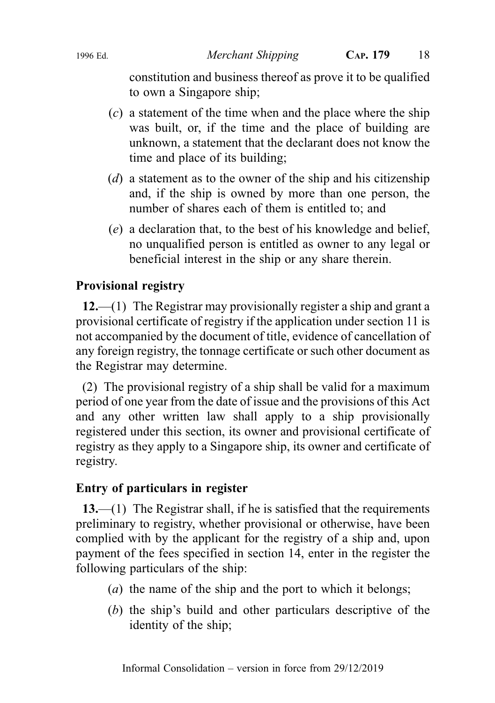constitution and business thereof as prove it to be qualified to own a Singapore ship;

- $(c)$  a statement of the time when and the place where the ship was built, or, if the time and the place of building are unknown, a statement that the declarant does not know the time and place of its building;
- $(d)$  a statement as to the owner of the ship and his citizenship and, if the ship is owned by more than one person, the number of shares each of them is entitled to; and
- (e) a declaration that, to the best of his knowledge and belief, no unqualified person is entitled as owner to any legal or beneficial interest in the ship or any share therein.

# Provisional registry

 $12$ ,—(1) The Registrar may provisionally register a ship and grant a provisional certificate of registry if the application under section 11 is not accompanied by the document of title, evidence of cancellation of any foreign registry, the tonnage certificate or such other document as the Registrar may determine.

(2) The provisional registry of a ship shall be valid for a maximum period of one year from the date of issue and the provisions of this Act and any other written law shall apply to a ship provisionally registered under this section, its owner and provisional certificate of registry as they apply to a Singapore ship, its owner and certificate of registry.

# Entry of particulars in register

13.—(1) The Registrar shall, if he is satisfied that the requirements preliminary to registry, whether provisional or otherwise, have been complied with by the applicant for the registry of a ship and, upon payment of the fees specified in section 14, enter in the register the following particulars of the ship:

- (a) the name of the ship and the port to which it belongs;
- (b) the ship's build and other particulars descriptive of the identity of the ship;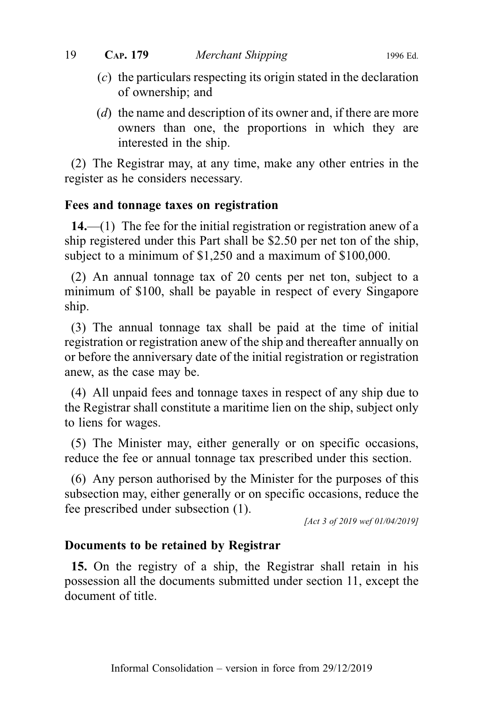- (c) the particulars respecting its origin stated in the declaration of ownership; and
- (d) the name and description of its owner and, if there are more owners than one, the proportions in which they are interested in the ship.

(2) The Registrar may, at any time, make any other entries in the register as he considers necessary.

### Fees and tonnage taxes on registration

 $14.$ —(1) The fee for the initial registration or registration anew of a ship registered under this Part shall be \$2.50 per net ton of the ship, subject to a minimum of \$1,250 and a maximum of \$100,000.

(2) An annual tonnage tax of 20 cents per net ton, subject to a minimum of \$100, shall be payable in respect of every Singapore ship.

(3) The annual tonnage tax shall be paid at the time of initial registration or registration anew of the ship and thereafter annually on or before the anniversary date of the initial registration or registration anew, as the case may be.

(4) All unpaid fees and tonnage taxes in respect of any ship due to the Registrar shall constitute a maritime lien on the ship, subject only to liens for wages.

(5) The Minister may, either generally or on specific occasions, reduce the fee or annual tonnage tax prescribed under this section.

(6) Any person authorised by the Minister for the purposes of this subsection may, either generally or on specific occasions, reduce the fee prescribed under subsection (1).

[Act 3 of 2019 wef 01/04/2019]

#### Documents to be retained by Registrar

15. On the registry of a ship, the Registrar shall retain in his possession all the documents submitted under section 11, except the document of title.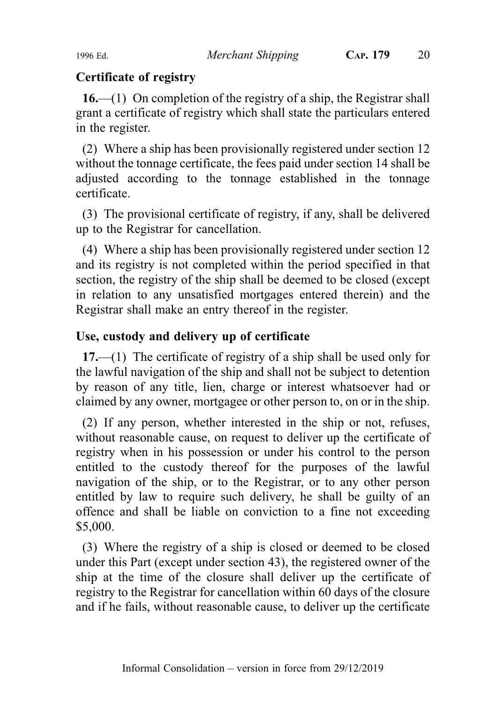#### Certificate of registry

 $16$ —(1) On completion of the registry of a ship, the Registrar shall grant a certificate of registry which shall state the particulars entered in the register.

(2) Where a ship has been provisionally registered under section 12 without the tonnage certificate, the fees paid under section 14 shall be adjusted according to the tonnage established in the tonnage certificate.

(3) The provisional certificate of registry, if any, shall be delivered up to the Registrar for cancellation.

(4) Where a ship has been provisionally registered under section 12 and its registry is not completed within the period specified in that section, the registry of the ship shall be deemed to be closed (except in relation to any unsatisfied mortgages entered therein) and the Registrar shall make an entry thereof in the register.

### Use, custody and delivery up of certificate

17.—(1) The certificate of registry of a ship shall be used only for the lawful navigation of the ship and shall not be subject to detention by reason of any title, lien, charge or interest whatsoever had or claimed by any owner, mortgagee or other person to, on or in the ship.

(2) If any person, whether interested in the ship or not, refuses, without reasonable cause, on request to deliver up the certificate of registry when in his possession or under his control to the person entitled to the custody thereof for the purposes of the lawful navigation of the ship, or to the Registrar, or to any other person entitled by law to require such delivery, he shall be guilty of an offence and shall be liable on conviction to a fine not exceeding \$5,000.

(3) Where the registry of a ship is closed or deemed to be closed under this Part (except under section 43), the registered owner of the ship at the time of the closure shall deliver up the certificate of registry to the Registrar for cancellation within 60 days of the closure and if he fails, without reasonable cause, to deliver up the certificate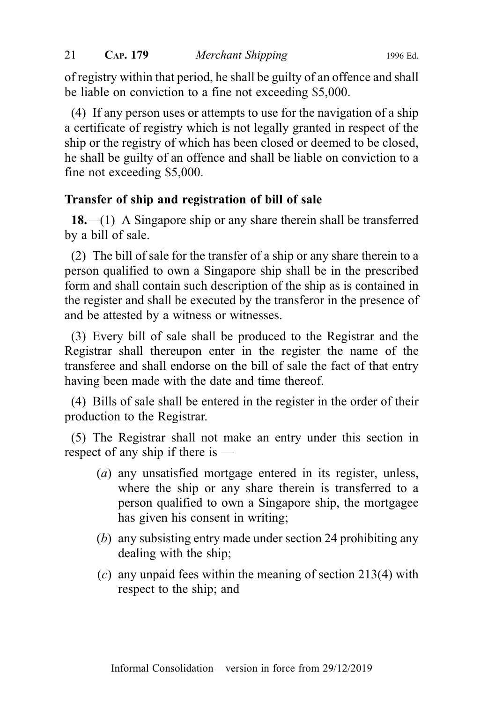of registry within that period, he shall be guilty of an offence and shall be liable on conviction to a fine not exceeding \$5,000.

(4) If any person uses or attempts to use for the navigation of a ship a certificate of registry which is not legally granted in respect of the ship or the registry of which has been closed or deemed to be closed, he shall be guilty of an offence and shall be liable on conviction to a fine not exceeding \$5,000.

# Transfer of ship and registration of bill of sale

18.—(1) A Singapore ship or any share therein shall be transferred by a bill of sale.

(2) The bill of sale for the transfer of a ship or any share therein to a person qualified to own a Singapore ship shall be in the prescribed form and shall contain such description of the ship as is contained in the register and shall be executed by the transferor in the presence of and be attested by a witness or witnesses.

(3) Every bill of sale shall be produced to the Registrar and the Registrar shall thereupon enter in the register the name of the transferee and shall endorse on the bill of sale the fact of that entry having been made with the date and time thereof.

(4) Bills of sale shall be entered in the register in the order of their production to the Registrar.

(5) The Registrar shall not make an entry under this section in respect of any ship if there is —

- (a) any unsatisfied mortgage entered in its register, unless, where the ship or any share therein is transferred to a person qualified to own a Singapore ship, the mortgagee has given his consent in writing;
- (b) any subsisting entry made under section 24 prohibiting any dealing with the ship;
- $(c)$  any unpaid fees within the meaning of section 213(4) with respect to the ship; and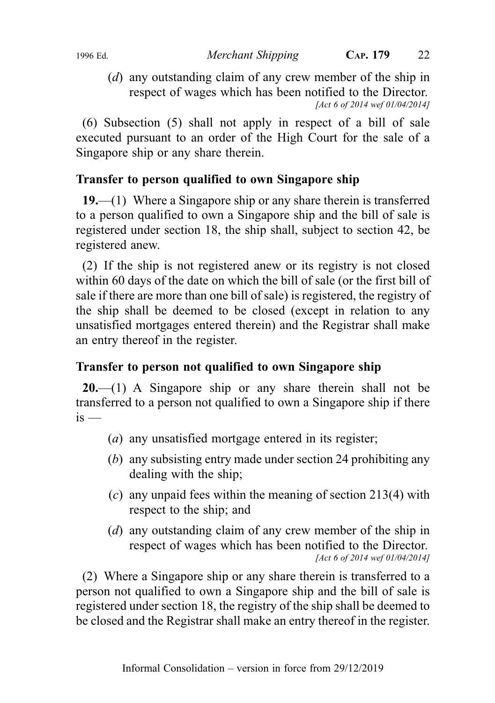1996 Ed. Merchant Shipping CAP. 179 22

(d) any outstanding claim of any crew member of the ship in respect of wages which has been notified to the Director. [Act 6 of 2014 wef 01/04/2014]

(6) Subsection (5) shall not apply in respect of a bill of sale executed pursuant to an order of the High Court for the sale of a Singapore ship or any share therein.

# Transfer to person qualified to own Singapore ship

19.—(1) Where a Singapore ship or any share therein is transferred to a person qualified to own a Singapore ship and the bill of sale is registered under section 18, the ship shall, subject to section 42, be registered anew.

(2) If the ship is not registered anew or its registry is not closed within 60 days of the date on which the bill of sale (or the first bill of sale if there are more than one bill of sale) is registered, the registry of the ship shall be deemed to be closed (except in relation to any unsatisfied mortgages entered therein) and the Registrar shall make an entry thereof in the register.

# Transfer to person not qualified to own Singapore ship

**20.**—(1) A Singapore ship or any share therein shall not be transferred to a person not qualified to own a Singapore ship if there  $i<sub>s</sub>$  —

- (a) any unsatisfied mortgage entered in its register;
- (b) any subsisting entry made under section 24 prohibiting any dealing with the ship;
- $(c)$  any unpaid fees within the meaning of section 213(4) with respect to the ship; and
- (d) any outstanding claim of any crew member of the ship in respect of wages which has been notified to the Director. [Act 6 of 2014 wef 01/04/2014]

(2) Where a Singapore ship or any share therein is transferred to a person not qualified to own a Singapore ship and the bill of sale is registered under section 18, the registry of the ship shall be deemed to be closed and the Registrar shall make an entry thereof in the register.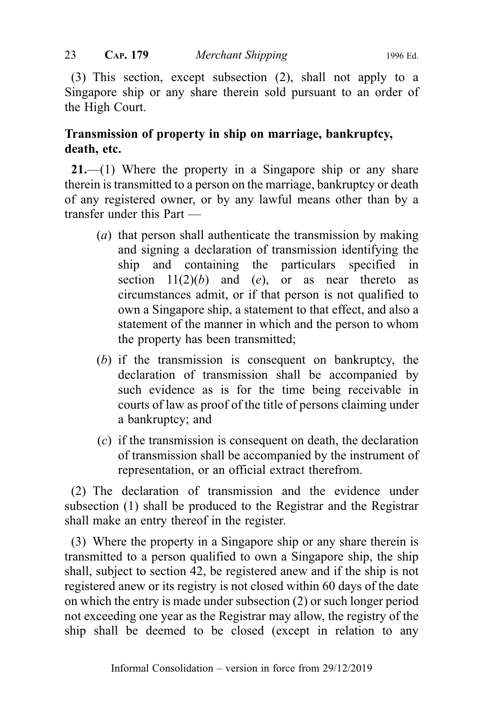(3) This section, except subsection (2), shall not apply to a Singapore ship or any share therein sold pursuant to an order of the High Court.

# Transmission of property in ship on marriage, bankruptcy, death, etc.

21.—(1) Where the property in a Singapore ship or any share therein is transmitted to a person on the marriage, bankruptcy or death of any registered owner, or by any lawful means other than by a transfer under this Part —

- (a) that person shall authenticate the transmission by making and signing a declaration of transmission identifying the ship and containing the particulars specified in section  $11(2)(b)$  and  $(e)$ , or as near thereto as circumstances admit, or if that person is not qualified to own a Singapore ship, a statement to that effect, and also a statement of the manner in which and the person to whom the property has been transmitted;
- (b) if the transmission is consequent on bankruptcy, the declaration of transmission shall be accompanied by such evidence as is for the time being receivable in courts of law as proof of the title of persons claiming under a bankruptcy; and
- (c) if the transmission is consequent on death, the declaration of transmission shall be accompanied by the instrument of representation, or an official extract therefrom.

(2) The declaration of transmission and the evidence under subsection (1) shall be produced to the Registrar and the Registrar shall make an entry thereof in the register.

(3) Where the property in a Singapore ship or any share therein is transmitted to a person qualified to own a Singapore ship, the ship shall, subject to section 42, be registered anew and if the ship is not registered anew or its registry is not closed within 60 days of the date on which the entry is made under subsection (2) or such longer period not exceeding one year as the Registrar may allow, the registry of the ship shall be deemed to be closed (except in relation to any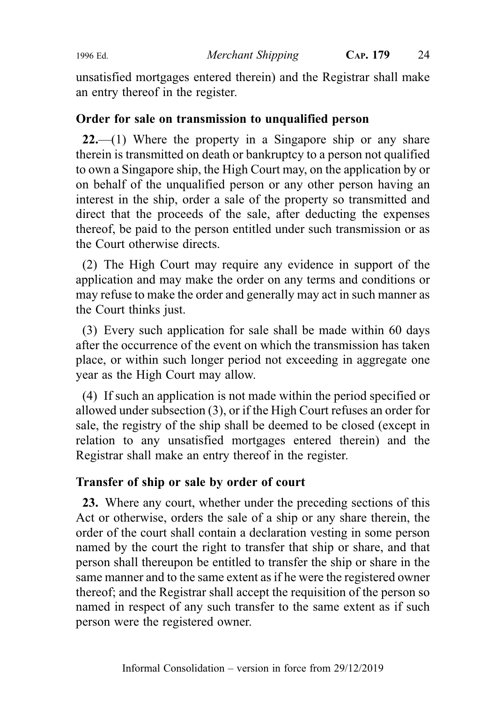1996 Ed. Merchant Shipping CAP. 179 24

unsatisfied mortgages entered therein) and the Registrar shall make an entry thereof in the register.

### Order for sale on transmission to unqualified person

22.—(1) Where the property in a Singapore ship or any share therein is transmitted on death or bankruptcy to a person not qualified to own a Singapore ship, the High Court may, on the application by or on behalf of the unqualified person or any other person having an interest in the ship, order a sale of the property so transmitted and direct that the proceeds of the sale, after deducting the expenses thereof, be paid to the person entitled under such transmission or as the Court otherwise directs.

(2) The High Court may require any evidence in support of the application and may make the order on any terms and conditions or may refuse to make the order and generally may act in such manner as the Court thinks just.

(3) Every such application for sale shall be made within 60 days after the occurrence of the event on which the transmission has taken place, or within such longer period not exceeding in aggregate one year as the High Court may allow.

(4) If such an application is not made within the period specified or allowed under subsection (3), or if the High Court refuses an order for sale, the registry of the ship shall be deemed to be closed (except in relation to any unsatisfied mortgages entered therein) and the Registrar shall make an entry thereof in the register.

# Transfer of ship or sale by order of court

23. Where any court, whether under the preceding sections of this Act or otherwise, orders the sale of a ship or any share therein, the order of the court shall contain a declaration vesting in some person named by the court the right to transfer that ship or share, and that person shall thereupon be entitled to transfer the ship or share in the same manner and to the same extent as if he were the registered owner thereof; and the Registrar shall accept the requisition of the person so named in respect of any such transfer to the same extent as if such person were the registered owner.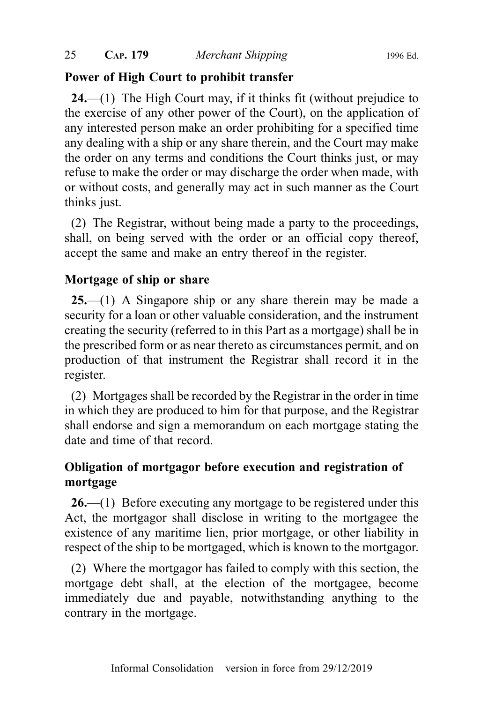# Power of High Court to prohibit transfer

24.—(1) The High Court may, if it thinks fit (without prejudice to the exercise of any other power of the Court), on the application of any interested person make an order prohibiting for a specified time any dealing with a ship or any share therein, and the Court may make the order on any terms and conditions the Court thinks just, or may refuse to make the order or may discharge the order when made, with or without costs, and generally may act in such manner as the Court thinks just.

(2) The Registrar, without being made a party to the proceedings, shall, on being served with the order or an official copy thereof, accept the same and make an entry thereof in the register.

# Mortgage of ship or share

25.—(1) A Singapore ship or any share therein may be made a security for a loan or other valuable consideration, and the instrument creating the security (referred to in this Part as a mortgage) shall be in the prescribed form or as near thereto as circumstances permit, and on production of that instrument the Registrar shall record it in the register.

(2) Mortgages shall be recorded by the Registrar in the order in time in which they are produced to him for that purpose, and the Registrar shall endorse and sign a memorandum on each mortgage stating the date and time of that record.

# Obligation of mortgagor before execution and registration of mortgage

26.—(1) Before executing any mortgage to be registered under this Act, the mortgagor shall disclose in writing to the mortgagee the existence of any maritime lien, prior mortgage, or other liability in respect of the ship to be mortgaged, which is known to the mortgagor.

(2) Where the mortgagor has failed to comply with this section, the mortgage debt shall, at the election of the mortgagee, become immediately due and payable, notwithstanding anything to the contrary in the mortgage.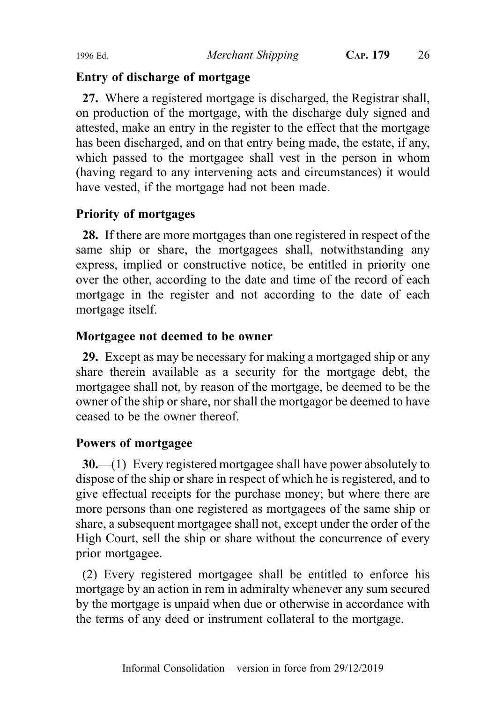#### Entry of discharge of mortgage

27. Where a registered mortgage is discharged, the Registrar shall, on production of the mortgage, with the discharge duly signed and attested, make an entry in the register to the effect that the mortgage has been discharged, and on that entry being made, the estate, if any, which passed to the mortgagee shall vest in the person in whom (having regard to any intervening acts and circumstances) it would have vested, if the mortgage had not been made.

### Priority of mortgages

28. If there are more mortgages than one registered in respect of the same ship or share, the mortgagees shall, notwithstanding any express, implied or constructive notice, be entitled in priority one over the other, according to the date and time of the record of each mortgage in the register and not according to the date of each mortgage itself.

### Mortgagee not deemed to be owner

29. Except as may be necessary for making a mortgaged ship or any share therein available as a security for the mortgage debt, the mortgagee shall not, by reason of the mortgage, be deemed to be the owner of the ship or share, nor shall the mortgagor be deemed to have ceased to be the owner thereof.

# Powers of mortgagee

30.—(1) Every registered mortgagee shall have power absolutely to dispose of the ship or share in respect of which he is registered, and to give effectual receipts for the purchase money; but where there are more persons than one registered as mortgagees of the same ship or share, a subsequent mortgagee shall not, except under the order of the High Court, sell the ship or share without the concurrence of every prior mortgagee.

(2) Every registered mortgagee shall be entitled to enforce his mortgage by an action in rem in admiralty whenever any sum secured by the mortgage is unpaid when due or otherwise in accordance with the terms of any deed or instrument collateral to the mortgage.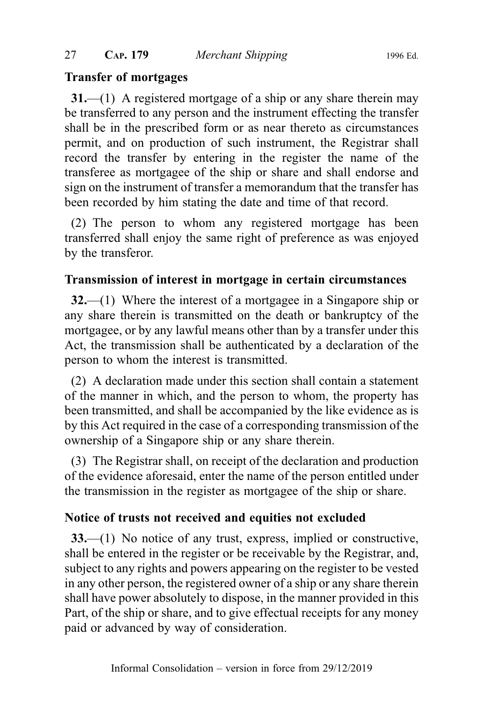### Transfer of mortgages

31.—(1) A registered mortgage of a ship or any share therein may be transferred to any person and the instrument effecting the transfer shall be in the prescribed form or as near thereto as circumstances permit, and on production of such instrument, the Registrar shall record the transfer by entering in the register the name of the transferee as mortgagee of the ship or share and shall endorse and sign on the instrument of transfer a memorandum that the transfer has been recorded by him stating the date and time of that record.

(2) The person to whom any registered mortgage has been transferred shall enjoy the same right of preference as was enjoyed by the transferor.

# Transmission of interest in mortgage in certain circumstances

32.—(1) Where the interest of a mortgagee in a Singapore ship or any share therein is transmitted on the death or bankruptcy of the mortgagee, or by any lawful means other than by a transfer under this Act, the transmission shall be authenticated by a declaration of the person to whom the interest is transmitted.

(2) A declaration made under this section shall contain a statement of the manner in which, and the person to whom, the property has been transmitted, and shall be accompanied by the like evidence as is by this Act required in the case of a corresponding transmission of the ownership of a Singapore ship or any share therein.

(3) The Registrar shall, on receipt of the declaration and production of the evidence aforesaid, enter the name of the person entitled under the transmission in the register as mortgagee of the ship or share.

# Notice of trusts not received and equities not excluded

33.—(1) No notice of any trust, express, implied or constructive, shall be entered in the register or be receivable by the Registrar, and, subject to any rights and powers appearing on the register to be vested in any other person, the registered owner of a ship or any share therein shall have power absolutely to dispose, in the manner provided in this Part, of the ship or share, and to give effectual receipts for any money paid or advanced by way of consideration.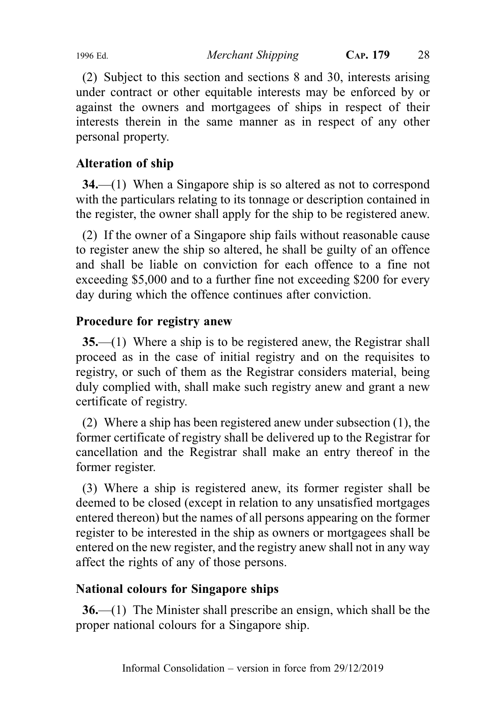1996 Ed. Merchant Shipping CAP. 179 28

(2) Subject to this section and sections 8 and 30, interests arising under contract or other equitable interests may be enforced by or against the owners and mortgagees of ships in respect of their interests therein in the same manner as in respect of any other personal property.

# Alteration of ship

34.—(1) When a Singapore ship is so altered as not to correspond with the particulars relating to its tonnage or description contained in the register, the owner shall apply for the ship to be registered anew.

(2) If the owner of a Singapore ship fails without reasonable cause to register anew the ship so altered, he shall be guilty of an offence and shall be liable on conviction for each offence to a fine not exceeding \$5,000 and to a further fine not exceeding \$200 for every day during which the offence continues after conviction.

# Procedure for registry anew

35.—(1) Where a ship is to be registered anew, the Registrar shall proceed as in the case of initial registry and on the requisites to registry, or such of them as the Registrar considers material, being duly complied with, shall make such registry anew and grant a new certificate of registry.

(2) Where a ship has been registered anew under subsection (1), the former certificate of registry shall be delivered up to the Registrar for cancellation and the Registrar shall make an entry thereof in the former register.

(3) Where a ship is registered anew, its former register shall be deemed to be closed (except in relation to any unsatisfied mortgages entered thereon) but the names of all persons appearing on the former register to be interested in the ship as owners or mortgagees shall be entered on the new register, and the registry anew shall not in any way affect the rights of any of those persons.

# National colours for Singapore ships

36.—(1) The Minister shall prescribe an ensign, which shall be the proper national colours for a Singapore ship.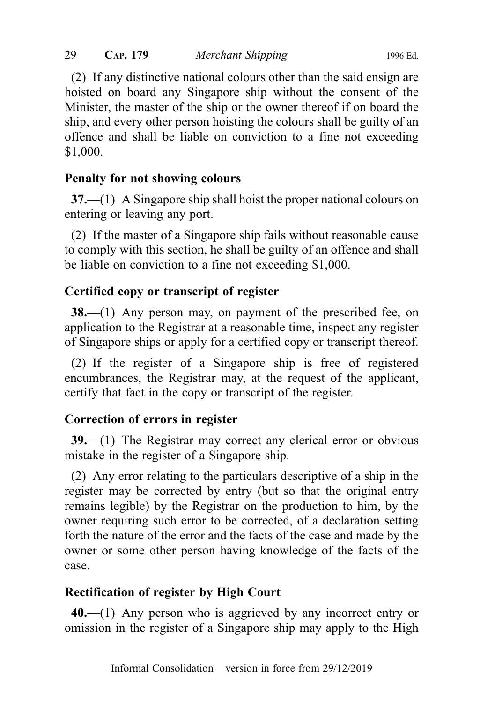(2) If any distinctive national colours other than the said ensign are hoisted on board any Singapore ship without the consent of the Minister, the master of the ship or the owner thereof if on board the ship, and every other person hoisting the colours shall be guilty of an offence and shall be liable on conviction to a fine not exceeding \$1,000.

### Penalty for not showing colours

37.—(1) A Singapore ship shall hoist the proper national colours on entering or leaving any port.

(2) If the master of a Singapore ship fails without reasonable cause to comply with this section, he shall be guilty of an offence and shall be liable on conviction to a fine not exceeding \$1,000.

### Certified copy or transcript of register

38.—(1) Any person may, on payment of the prescribed fee, on application to the Registrar at a reasonable time, inspect any register of Singapore ships or apply for a certified copy or transcript thereof.

(2) If the register of a Singapore ship is free of registered encumbrances, the Registrar may, at the request of the applicant, certify that fact in the copy or transcript of the register.

#### Correction of errors in register

39.—(1) The Registrar may correct any clerical error or obvious mistake in the register of a Singapore ship.

(2) Any error relating to the particulars descriptive of a ship in the register may be corrected by entry (but so that the original entry remains legible) by the Registrar on the production to him, by the owner requiring such error to be corrected, of a declaration setting forth the nature of the error and the facts of the case and made by the owner or some other person having knowledge of the facts of the case.

# Rectification of register by High Court

40.—(1) Any person who is aggrieved by any incorrect entry or omission in the register of a Singapore ship may apply to the High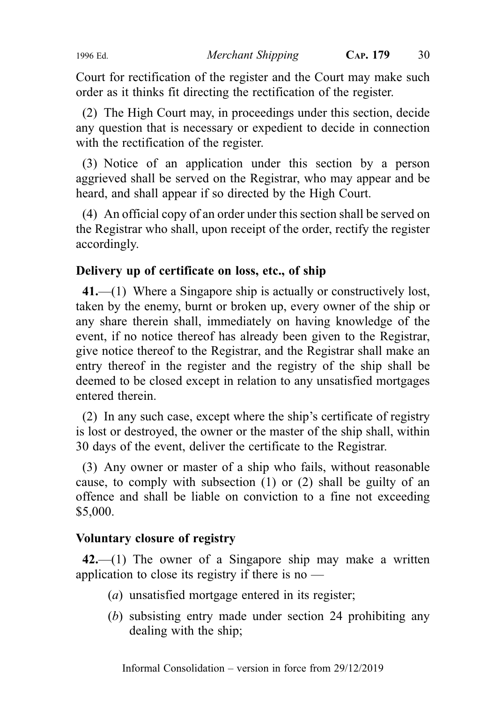Court for rectification of the register and the Court may make such order as it thinks fit directing the rectification of the register.

(2) The High Court may, in proceedings under this section, decide any question that is necessary or expedient to decide in connection with the rectification of the register.

(3) Notice of an application under this section by a person aggrieved shall be served on the Registrar, who may appear and be heard, and shall appear if so directed by the High Court.

(4) An official copy of an order under this section shall be served on the Registrar who shall, upon receipt of the order, rectify the register accordingly.

# Delivery up of certificate on loss, etc., of ship

41.—(1) Where a Singapore ship is actually or constructively lost, taken by the enemy, burnt or broken up, every owner of the ship or any share therein shall, immediately on having knowledge of the event, if no notice thereof has already been given to the Registrar, give notice thereof to the Registrar, and the Registrar shall make an entry thereof in the register and the registry of the ship shall be deemed to be closed except in relation to any unsatisfied mortgages entered therein.

(2) In any such case, except where the ship's certificate of registry is lost or destroyed, the owner or the master of the ship shall, within 30 days of the event, deliver the certificate to the Registrar.

(3) Any owner or master of a ship who fails, without reasonable cause, to comply with subsection (1) or (2) shall be guilty of an offence and shall be liable on conviction to a fine not exceeding \$5,000.

# Voluntary closure of registry

 $42$ —(1) The owner of a Singapore ship may make a written application to close its registry if there is no —

- (a) unsatisfied mortgage entered in its register;
- (b) subsisting entry made under section 24 prohibiting any dealing with the ship;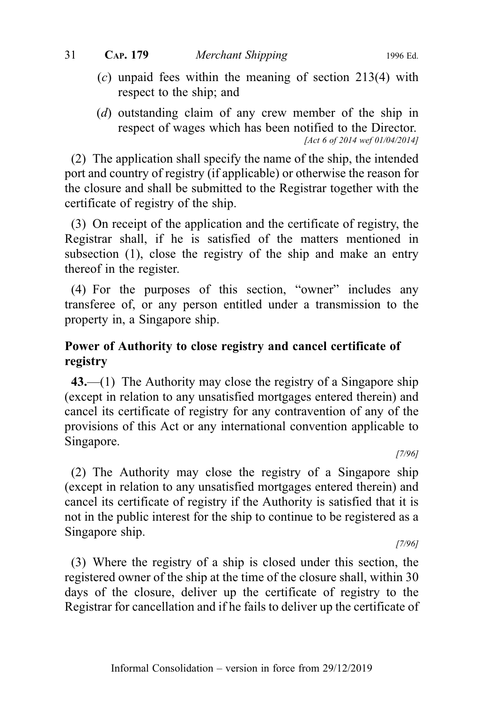- (c) unpaid fees within the meaning of section 213(4) with respect to the ship; and
- (d) outstanding claim of any crew member of the ship in respect of wages which has been notified to the Director. [Act 6 of 2014 wef 01/04/2014]

(2) The application shall specify the name of the ship, the intended port and country of registry (if applicable) or otherwise the reason for the closure and shall be submitted to the Registrar together with the certificate of registry of the ship.

(3) On receipt of the application and the certificate of registry, the Registrar shall, if he is satisfied of the matters mentioned in subsection (1), close the registry of the ship and make an entry thereof in the register.

(4) For the purposes of this section, "owner" includes any transferee of, or any person entitled under a transmission to the property in, a Singapore ship.

# Power of Authority to close registry and cancel certificate of registry

43.—(1) The Authority may close the registry of a Singapore ship (except in relation to any unsatisfied mortgages entered therein) and cancel its certificate of registry for any contravention of any of the provisions of this Act or any international convention applicable to Singapore.

[7/96]

(2) The Authority may close the registry of a Singapore ship (except in relation to any unsatisfied mortgages entered therein) and cancel its certificate of registry if the Authority is satisfied that it is not in the public interest for the ship to continue to be registered as a Singapore ship.

[7/96]

(3) Where the registry of a ship is closed under this section, the registered owner of the ship at the time of the closure shall, within 30 days of the closure, deliver up the certificate of registry to the Registrar for cancellation and if he fails to deliver up the certificate of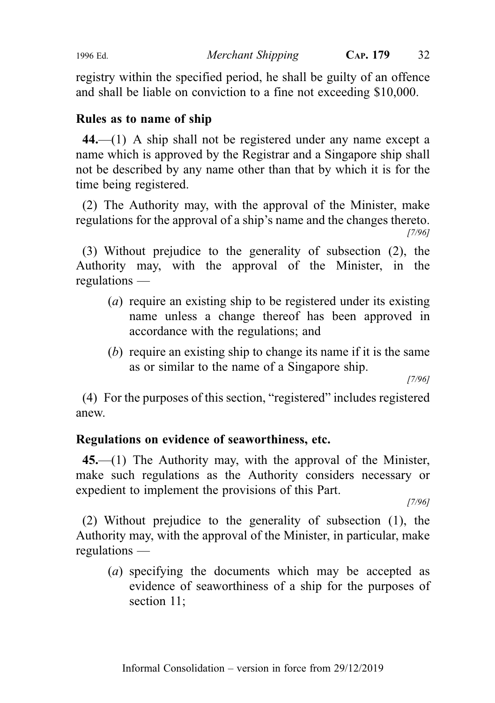1996 Ed. Merchant Shipping CAP. 179 32

registry within the specified period, he shall be guilty of an offence and shall be liable on conviction to a fine not exceeding \$10,000.

### Rules as to name of ship

44.—(1) A ship shall not be registered under any name except a name which is approved by the Registrar and a Singapore ship shall not be described by any name other than that by which it is for the time being registered.

(2) The Authority may, with the approval of the Minister, make regulations for the approval of a ship's name and the changes thereto. [7/96]

(3) Without prejudice to the generality of subsection (2), the Authority may, with the approval of the Minister, in the regulations —

- (a) require an existing ship to be registered under its existing name unless a change thereof has been approved in accordance with the regulations; and
- (b) require an existing ship to change its name if it is the same as or similar to the name of a Singapore ship.

[7/96]

(4) For the purposes of this section, "registered" includes registered anew.

# Regulations on evidence of seaworthiness, etc.

45.—(1) The Authority may, with the approval of the Minister, make such regulations as the Authority considers necessary or expedient to implement the provisions of this Part.

[7/96]

(2) Without prejudice to the generality of subsection (1), the Authority may, with the approval of the Minister, in particular, make regulations —

(a) specifying the documents which may be accepted as evidence of seaworthiness of a ship for the purposes of section 11;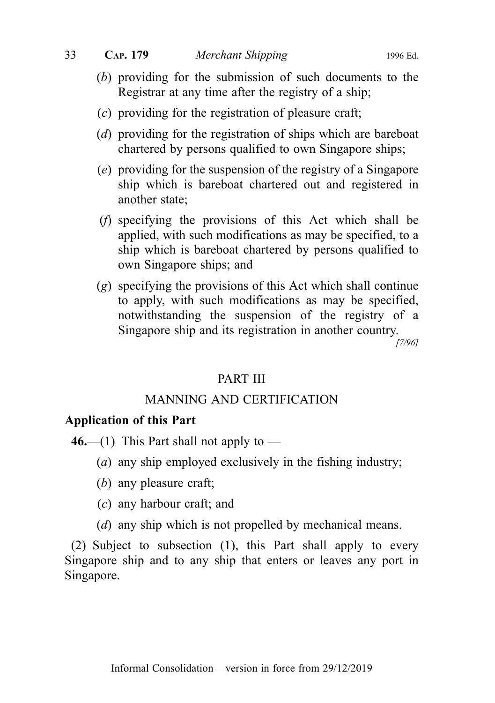- (b) providing for the submission of such documents to the Registrar at any time after the registry of a ship;
- (c) providing for the registration of pleasure craft;
- (d) providing for the registration of ships which are bareboat chartered by persons qualified to own Singapore ships;
- (e) providing for the suspension of the registry of a Singapore ship which is bareboat chartered out and registered in another state;
- (f) specifying the provisions of this Act which shall be applied, with such modifications as may be specified, to a ship which is bareboat chartered by persons qualified to own Singapore ships; and
- (g) specifying the provisions of this Act which shall continue to apply, with such modifications as may be specified, notwithstanding the suspension of the registry of a Singapore ship and its registration in another country.

[7/96]

#### PART III

#### MANNING AND CERTIFICATION

#### Application of this Part

46.—(1) This Part shall not apply to —

- (a) any ship employed exclusively in the fishing industry;
- (b) any pleasure craft;
- (c) any harbour craft; and
- (*d*) any ship which is not propelled by mechanical means.

(2) Subject to subsection (1), this Part shall apply to every Singapore ship and to any ship that enters or leaves any port in Singapore.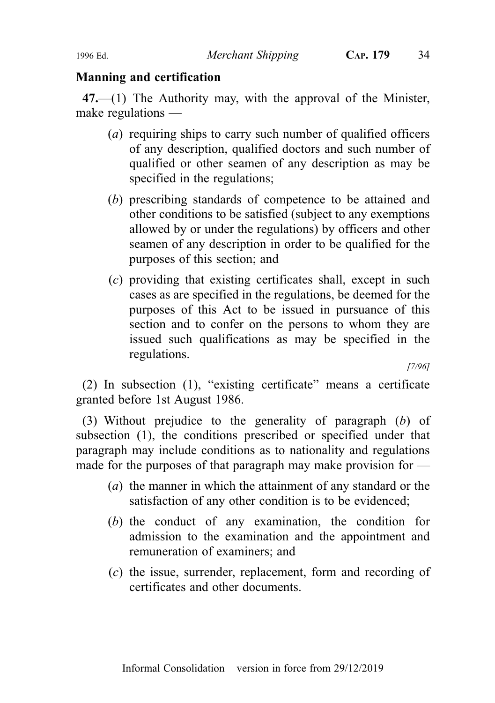#### Manning and certification

47.—(1) The Authority may, with the approval of the Minister, make regulations —

- (a) requiring ships to carry such number of qualified officers of any description, qualified doctors and such number of qualified or other seamen of any description as may be specified in the regulations;
- (b) prescribing standards of competence to be attained and other conditions to be satisfied (subject to any exemptions allowed by or under the regulations) by officers and other seamen of any description in order to be qualified for the purposes of this section; and
- (c) providing that existing certificates shall, except in such cases as are specified in the regulations, be deemed for the purposes of this Act to be issued in pursuance of this section and to confer on the persons to whom they are issued such qualifications as may be specified in the regulations.

[7/96]

(2) In subsection (1), "existing certificate" means a certificate granted before 1st August 1986.

(3) Without prejudice to the generality of paragraph (b) of subsection (1), the conditions prescribed or specified under that paragraph may include conditions as to nationality and regulations made for the purposes of that paragraph may make provision for —

- (a) the manner in which the attainment of any standard or the satisfaction of any other condition is to be evidenced;
- (b) the conduct of any examination, the condition for admission to the examination and the appointment and remuneration of examiners; and
- (c) the issue, surrender, replacement, form and recording of certificates and other documents.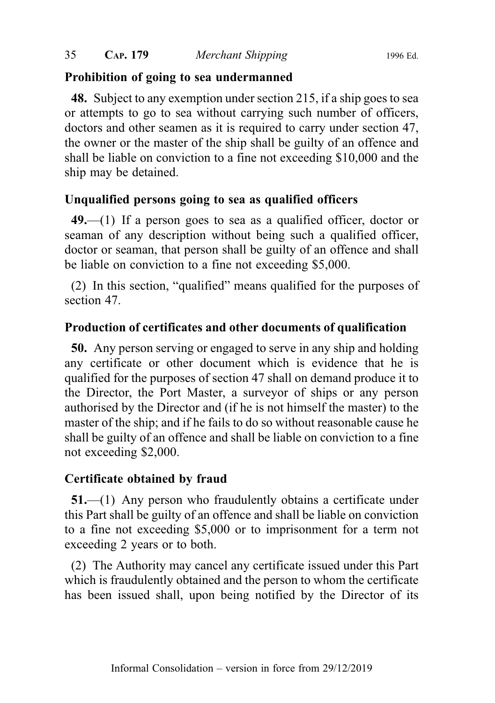#### Prohibition of going to sea undermanned

48. Subject to any exemption under section 215, if a ship goes to sea or attempts to go to sea without carrying such number of officers, doctors and other seamen as it is required to carry under section 47, the owner or the master of the ship shall be guilty of an offence and shall be liable on conviction to a fine not exceeding \$10,000 and the ship may be detained.

# Unqualified persons going to sea as qualified officers

 $49$ —(1) If a person goes to sea as a qualified officer, doctor or seaman of any description without being such a qualified officer, doctor or seaman, that person shall be guilty of an offence and shall be liable on conviction to a fine not exceeding \$5,000.

(2) In this section, "qualified" means qualified for the purposes of section 47.

# Production of certificates and other documents of qualification

50. Any person serving or engaged to serve in any ship and holding any certificate or other document which is evidence that he is qualified for the purposes of section 47 shall on demand produce it to the Director, the Port Master, a surveyor of ships or any person authorised by the Director and (if he is not himself the master) to the master of the ship; and if he fails to do so without reasonable cause he shall be guilty of an offence and shall be liable on conviction to a fine not exceeding \$2,000.

# Certificate obtained by fraud

51.—(1) Any person who fraudulently obtains a certificate under this Part shall be guilty of an offence and shall be liable on conviction to a fine not exceeding \$5,000 or to imprisonment for a term not exceeding 2 years or to both.

(2) The Authority may cancel any certificate issued under this Part which is fraudulently obtained and the person to whom the certificate has been issued shall, upon being notified by the Director of its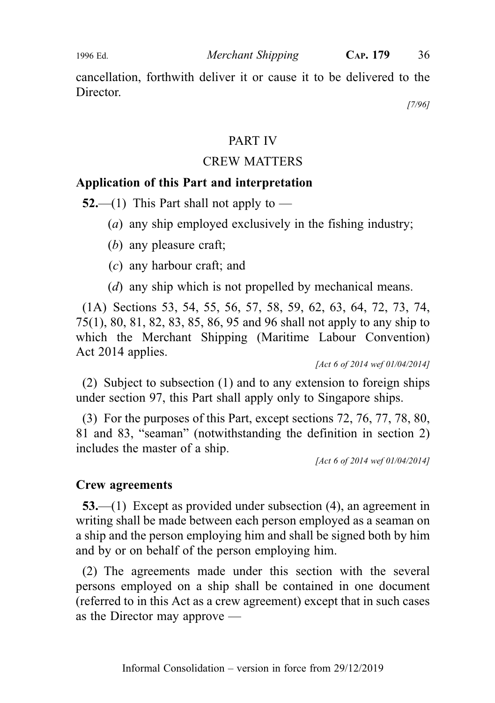cancellation, forthwith deliver it or cause it to be delivered to the Director.

[7/96]

#### PART IV

#### CREW MATTERS

#### Application of this Part and interpretation

**52.**—(1) This Part shall not apply to —

- (a) any ship employed exclusively in the fishing industry;
- (b) any pleasure craft;
- (c) any harbour craft; and
- (*d*) any ship which is not propelled by mechanical means.

(1A) Sections 53, 54, 55, 56, 57, 58, 59, 62, 63, 64, 72, 73, 74, 75(1), 80, 81, 82, 83, 85, 86, 95 and 96 shall not apply to any ship to which the Merchant Shipping (Maritime Labour Convention) Act 2014 applies.

[Act 6 of 2014 wef 01/04/2014]

(2) Subject to subsection (1) and to any extension to foreign ships under section 97, this Part shall apply only to Singapore ships.

(3) For the purposes of this Part, except sections 72, 76, 77, 78, 80, 81 and 83, "seaman" (notwithstanding the definition in section 2) includes the master of a ship.

[Act 6 of 2014 wef 01/04/2014]

#### Crew agreements

53.—(1) Except as provided under subsection (4), an agreement in writing shall be made between each person employed as a seaman on a ship and the person employing him and shall be signed both by him and by or on behalf of the person employing him.

(2) The agreements made under this section with the several persons employed on a ship shall be contained in one document (referred to in this Act as a crew agreement) except that in such cases as the Director may approve —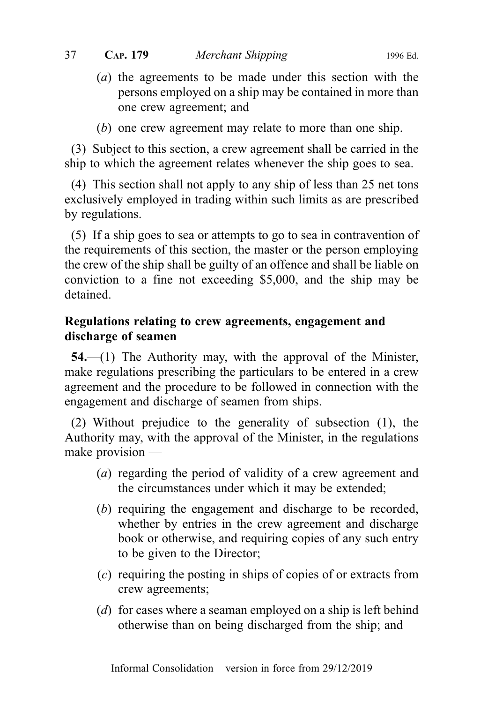(a) the agreements to be made under this section with the persons employed on a ship may be contained in more than one crew agreement; and

(b) one crew agreement may relate to more than one ship.

(3) Subject to this section, a crew agreement shall be carried in the ship to which the agreement relates whenever the ship goes to sea.

(4) This section shall not apply to any ship of less than 25 net tons exclusively employed in trading within such limits as are prescribed by regulations.

(5) If a ship goes to sea or attempts to go to sea in contravention of the requirements of this section, the master or the person employing the crew of the ship shall be guilty of an offence and shall be liable on conviction to a fine not exceeding \$5,000, and the ship may be detained.

# Regulations relating to crew agreements, engagement and discharge of seamen

54.—(1) The Authority may, with the approval of the Minister, make regulations prescribing the particulars to be entered in a crew agreement and the procedure to be followed in connection with the engagement and discharge of seamen from ships.

(2) Without prejudice to the generality of subsection (1), the Authority may, with the approval of the Minister, in the regulations make provision —

- (a) regarding the period of validity of a crew agreement and the circumstances under which it may be extended;
- (b) requiring the engagement and discharge to be recorded, whether by entries in the crew agreement and discharge book or otherwise, and requiring copies of any such entry to be given to the Director;
- (c) requiring the posting in ships of copies of or extracts from crew agreements;
- (d) for cases where a seaman employed on a ship is left behind otherwise than on being discharged from the ship; and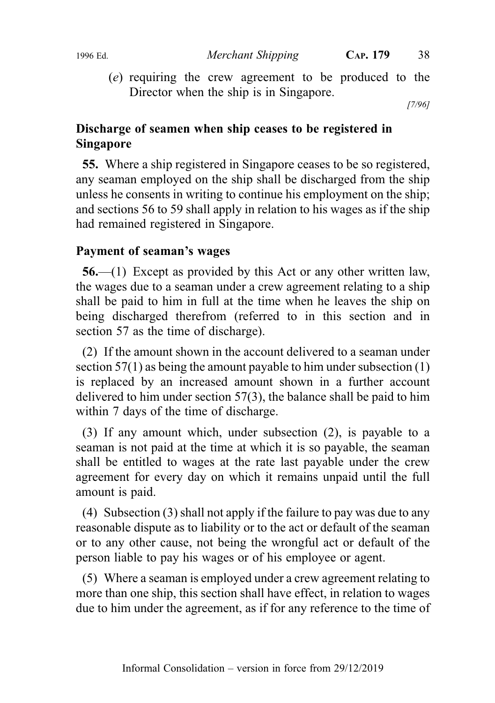(e) requiring the crew agreement to be produced to the Director when the ship is in Singapore.

[7/96]

# Discharge of seamen when ship ceases to be registered in Singapore

55. Where a ship registered in Singapore ceases to be so registered, any seaman employed on the ship shall be discharged from the ship unless he consents in writing to continue his employment on the ship; and sections 56 to 59 shall apply in relation to his wages as if the ship had remained registered in Singapore.

## Payment of seaman's wages

56.—(1) Except as provided by this Act or any other written law, the wages due to a seaman under a crew agreement relating to a ship shall be paid to him in full at the time when he leaves the ship on being discharged therefrom (referred to in this section and in section 57 as the time of discharge).

(2) If the amount shown in the account delivered to a seaman under section 57(1) as being the amount payable to him under subsection (1) is replaced by an increased amount shown in a further account delivered to him under section 57(3), the balance shall be paid to him within 7 days of the time of discharge.

(3) If any amount which, under subsection (2), is payable to a seaman is not paid at the time at which it is so payable, the seaman shall be entitled to wages at the rate last payable under the crew agreement for every day on which it remains unpaid until the full amount is paid.

(4) Subsection (3) shall not apply if the failure to pay was due to any reasonable dispute as to liability or to the act or default of the seaman or to any other cause, not being the wrongful act or default of the person liable to pay his wages or of his employee or agent.

(5) Where a seaman is employed under a crew agreement relating to more than one ship, this section shall have effect, in relation to wages due to him under the agreement, as if for any reference to the time of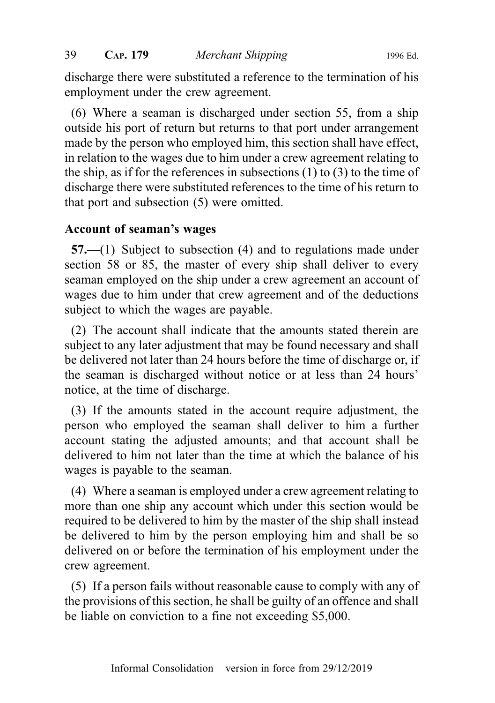discharge there were substituted a reference to the termination of his employment under the crew agreement.

(6) Where a seaman is discharged under section 55, from a ship outside his port of return but returns to that port under arrangement made by the person who employed him, this section shall have effect, in relation to the wages due to him under a crew agreement relating to the ship, as if for the references in subsections (1) to (3) to the time of discharge there were substituted references to the time of his return to that port and subsection (5) were omitted.

## Account of seaman's wages

57.—(1) Subject to subsection (4) and to regulations made under section 58 or 85, the master of every ship shall deliver to every seaman employed on the ship under a crew agreement an account of wages due to him under that crew agreement and of the deductions subject to which the wages are payable.

(2) The account shall indicate that the amounts stated therein are subject to any later adjustment that may be found necessary and shall be delivered not later than 24 hours before the time of discharge or, if the seaman is discharged without notice or at less than 24 hours' notice, at the time of discharge.

(3) If the amounts stated in the account require adjustment, the person who employed the seaman shall deliver to him a further account stating the adjusted amounts; and that account shall be delivered to him not later than the time at which the balance of his wages is payable to the seaman.

(4) Where a seaman is employed under a crew agreement relating to more than one ship any account which under this section would be required to be delivered to him by the master of the ship shall instead be delivered to him by the person employing him and shall be so delivered on or before the termination of his employment under the crew agreement.

(5) If a person fails without reasonable cause to comply with any of the provisions of this section, he shall be guilty of an offence and shall be liable on conviction to a fine not exceeding \$5,000.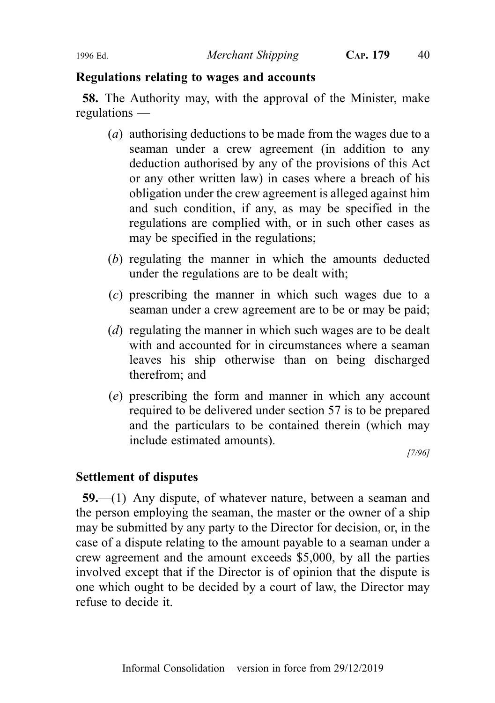#### Regulations relating to wages and accounts

58. The Authority may, with the approval of the Minister, make regulations —

- (a) authorising deductions to be made from the wages due to a seaman under a crew agreement (in addition to any deduction authorised by any of the provisions of this Act or any other written law) in cases where a breach of his obligation under the crew agreement is alleged against him and such condition, if any, as may be specified in the regulations are complied with, or in such other cases as may be specified in the regulations;
- (b) regulating the manner in which the amounts deducted under the regulations are to be dealt with;
- (c) prescribing the manner in which such wages due to a seaman under a crew agreement are to be or may be paid;
- (*d*) regulating the manner in which such wages are to be dealt with and accounted for in circumstances where a seaman leaves his ship otherwise than on being discharged therefrom; and
- (e) prescribing the form and manner in which any account required to be delivered under section 57 is to be prepared and the particulars to be contained therein (which may include estimated amounts).

[7/96]

## Settlement of disputes

59.—(1) Any dispute, of whatever nature, between a seaman and the person employing the seaman, the master or the owner of a ship may be submitted by any party to the Director for decision, or, in the case of a dispute relating to the amount payable to a seaman under a crew agreement and the amount exceeds \$5,000, by all the parties involved except that if the Director is of opinion that the dispute is one which ought to be decided by a court of law, the Director may refuse to decide it.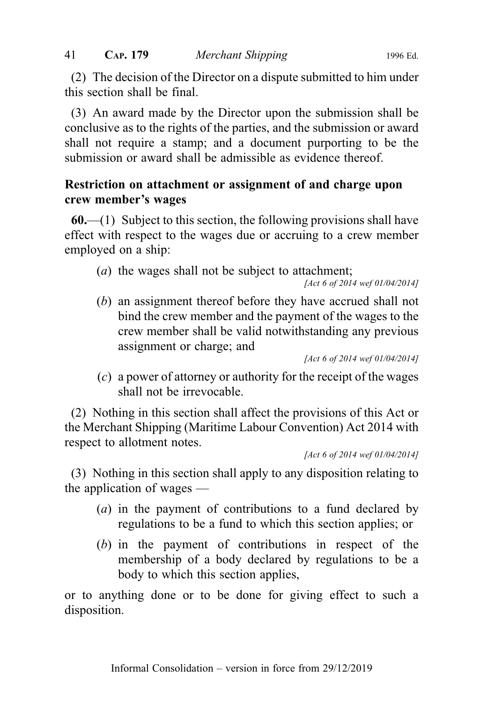(2) The decision of the Director on a dispute submitted to him under this section shall be final.

(3) An award made by the Director upon the submission shall be conclusive as to the rights of the parties, and the submission or award shall not require a stamp; and a document purporting to be the submission or award shall be admissible as evidence thereof.

# Restriction on attachment or assignment of and charge upon crew member's wages

 $60$ .—(1) Subject to this section, the following provisions shall have effect with respect to the wages due or accruing to a crew member employed on a ship:

(a) the wages shall not be subject to attachment;

[Act 6 of 2014 wef 01/04/2014]

(b) an assignment thereof before they have accrued shall not bind the crew member and the payment of the wages to the crew member shall be valid notwithstanding any previous assignment or charge; and

[Act 6 of 2014 wef 01/04/2014]

(c) a power of attorney or authority for the receipt of the wages shall not be irrevocable.

(2) Nothing in this section shall affect the provisions of this Act or the Merchant Shipping (Maritime Labour Convention) Act 2014 with respect to allotment notes.

[Act 6 of 2014 wef 01/04/2014]

(3) Nothing in this section shall apply to any disposition relating to the application of wages —

- (a) in the payment of contributions to a fund declared by regulations to be a fund to which this section applies; or
- (b) in the payment of contributions in respect of the membership of a body declared by regulations to be a body to which this section applies,

or to anything done or to be done for giving effect to such a disposition.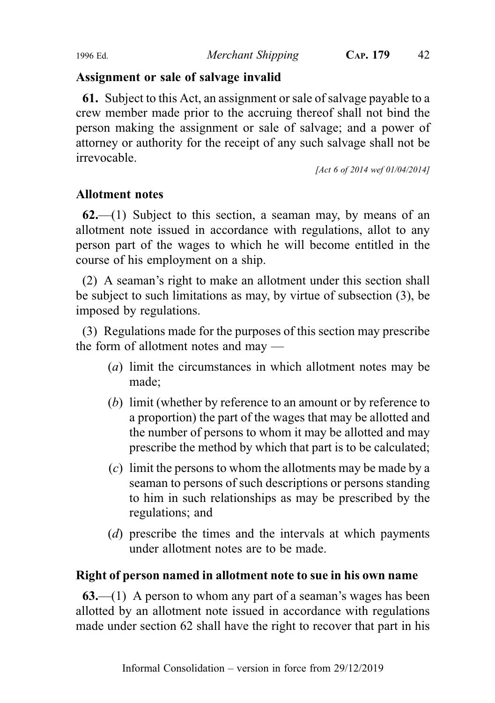## Assignment or sale of salvage invalid

61. Subject to this Act, an assignment or sale of salvage payable to a crew member made prior to the accruing thereof shall not bind the person making the assignment or sale of salvage; and a power of attorney or authority for the receipt of any such salvage shall not be irrevocable.

[Act 6 of 2014 wef 01/04/2014]

# Allotment notes

 $62$ —(1) Subject to this section, a seaman may, by means of an allotment note issued in accordance with regulations, allot to any person part of the wages to which he will become entitled in the course of his employment on a ship.

(2) A seaman's right to make an allotment under this section shall be subject to such limitations as may, by virtue of subsection (3), be imposed by regulations.

(3) Regulations made for the purposes of this section may prescribe the form of allotment notes and may —

- (a) limit the circumstances in which allotment notes may be made;
- (b) limit (whether by reference to an amount or by reference to a proportion) the part of the wages that may be allotted and the number of persons to whom it may be allotted and may prescribe the method by which that part is to be calculated;
- (c) limit the persons to whom the allotments may be made by a seaman to persons of such descriptions or persons standing to him in such relationships as may be prescribed by the regulations; and
- (d) prescribe the times and the intervals at which payments under allotment notes are to be made.

# Right of person named in allotment note to sue in his own name

 $63$ —(1) A person to whom any part of a seaman's wages has been allotted by an allotment note issued in accordance with regulations made under section 62 shall have the right to recover that part in his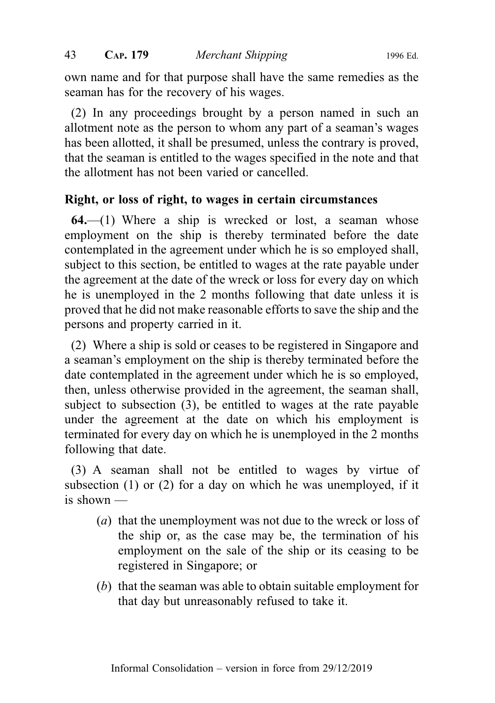own name and for that purpose shall have the same remedies as the seaman has for the recovery of his wages.

(2) In any proceedings brought by a person named in such an allotment note as the person to whom any part of a seaman's wages has been allotted, it shall be presumed, unless the contrary is proved, that the seaman is entitled to the wages specified in the note and that the allotment has not been varied or cancelled.

#### Right, or loss of right, to wages in certain circumstances

 $64$ —(1) Where a ship is wrecked or lost, a seaman whose employment on the ship is thereby terminated before the date contemplated in the agreement under which he is so employed shall, subject to this section, be entitled to wages at the rate payable under the agreement at the date of the wreck or loss for every day on which he is unemployed in the 2 months following that date unless it is proved that he did not make reasonable efforts to save the ship and the persons and property carried in it.

(2) Where a ship is sold or ceases to be registered in Singapore and a seaman's employment on the ship is thereby terminated before the date contemplated in the agreement under which he is so employed, then, unless otherwise provided in the agreement, the seaman shall, subject to subsection (3), be entitled to wages at the rate payable under the agreement at the date on which his employment is terminated for every day on which he is unemployed in the 2 months following that date.

(3) A seaman shall not be entitled to wages by virtue of subsection (1) or (2) for a day on which he was unemployed, if it is shown —

- (a) that the unemployment was not due to the wreck or loss of the ship or, as the case may be, the termination of his employment on the sale of the ship or its ceasing to be registered in Singapore; or
- (b) that the seaman was able to obtain suitable employment for that day but unreasonably refused to take it.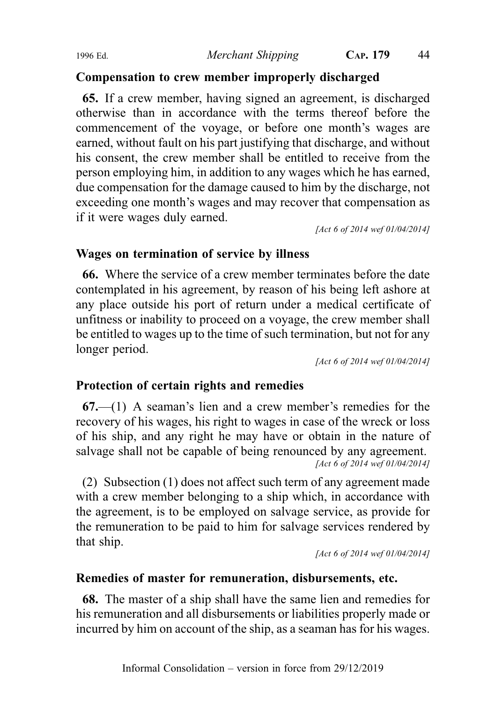#### Compensation to crew member improperly discharged

65. If a crew member, having signed an agreement, is discharged otherwise than in accordance with the terms thereof before the commencement of the voyage, or before one month's wages are earned, without fault on his part justifying that discharge, and without his consent, the crew member shall be entitled to receive from the person employing him, in addition to any wages which he has earned, due compensation for the damage caused to him by the discharge, not exceeding one month's wages and may recover that compensation as if it were wages duly earned.

[Act 6 of 2014 wef 01/04/2014]

#### Wages on termination of service by illness

66. Where the service of a crew member terminates before the date contemplated in his agreement, by reason of his being left ashore at any place outside his port of return under a medical certificate of unfitness or inability to proceed on a voyage, the crew member shall be entitled to wages up to the time of such termination, but not for any longer period.

[Act 6 of 2014 wef 01/04/2014]

#### Protection of certain rights and remedies

67.—(1) A seaman's lien and a crew member's remedies for the recovery of his wages, his right to wages in case of the wreck or loss of his ship, and any right he may have or obtain in the nature of salvage shall not be capable of being renounced by any agreement. [Act 6 of 2014 wef 01/04/2014]

(2) Subsection (1) does not affect such term of any agreement made with a crew member belonging to a ship which, in accordance with the agreement, is to be employed on salvage service, as provide for the remuneration to be paid to him for salvage services rendered by that ship.

[Act 6 of 2014 wef 01/04/2014]

## Remedies of master for remuneration, disbursements, etc.

68. The master of a ship shall have the same lien and remedies for his remuneration and all disbursements or liabilities properly made or incurred by him on account of the ship, as a seaman has for his wages.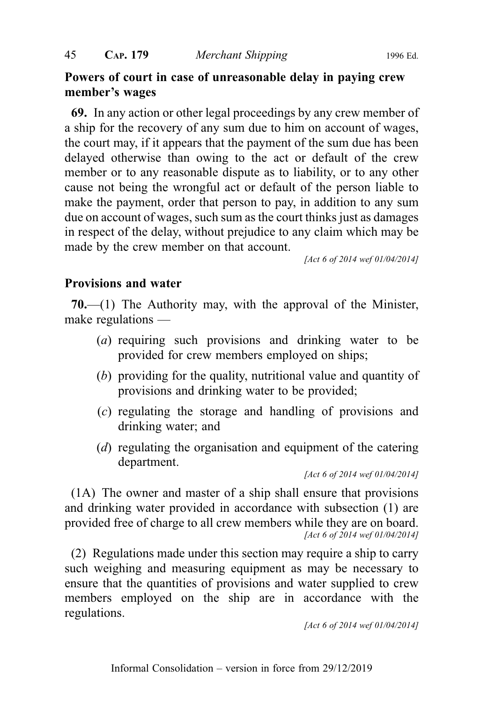# Powers of court in case of unreasonable delay in paying crew member's wages

69. In any action or other legal proceedings by any crew member of a ship for the recovery of any sum due to him on account of wages, the court may, if it appears that the payment of the sum due has been delayed otherwise than owing to the act or default of the crew member or to any reasonable dispute as to liability, or to any other cause not being the wrongful act or default of the person liable to make the payment, order that person to pay, in addition to any sum due on account of wages, such sum as the court thinks just as damages in respect of the delay, without prejudice to any claim which may be made by the crew member on that account.

[Act 6 of 2014 wef 01/04/2014]

## Provisions and water

70.—(1) The Authority may, with the approval of the Minister, make regulations —

- (a) requiring such provisions and drinking water to be provided for crew members employed on ships;
- (b) providing for the quality, nutritional value and quantity of provisions and drinking water to be provided;
- (c) regulating the storage and handling of provisions and drinking water; and
- (d) regulating the organisation and equipment of the catering department.

[Act 6 of 2014 wef 01/04/2014]

(1A) The owner and master of a ship shall ensure that provisions and drinking water provided in accordance with subsection (1) are provided free of charge to all crew members while they are on board. [Act 6 of 2014 wef 01/04/2014]

(2) Regulations made under this section may require a ship to carry such weighing and measuring equipment as may be necessary to ensure that the quantities of provisions and water supplied to crew members employed on the ship are in accordance with the regulations.

[Act 6 of 2014 wef 01/04/2014]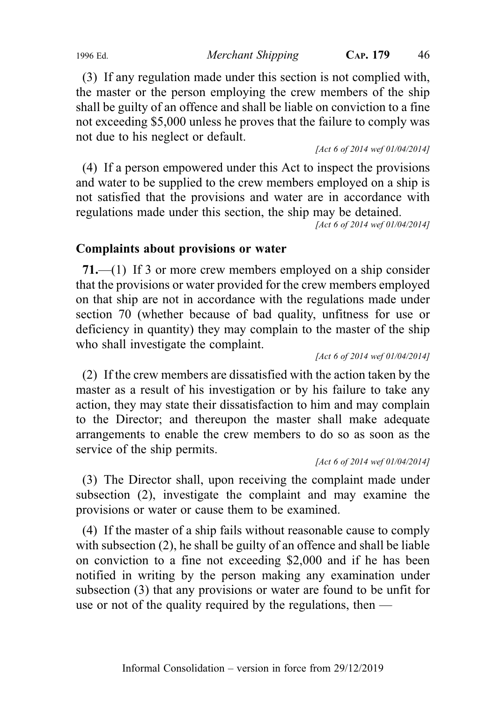(3) If any regulation made under this section is not complied with, the master or the person employing the crew members of the ship shall be guilty of an offence and shall be liable on conviction to a fine not exceeding \$5,000 unless he proves that the failure to comply was not due to his neglect or default.

[Act 6 of 2014 wef 01/04/2014]

(4) If a person empowered under this Act to inspect the provisions and water to be supplied to the crew members employed on a ship is not satisfied that the provisions and water are in accordance with regulations made under this section, the ship may be detained.

[Act 6 of 2014 wef 01/04/2014]

#### Complaints about provisions or water

71.—(1) If 3 or more crew members employed on a ship consider that the provisions or water provided for the crew members employed on that ship are not in accordance with the regulations made under section 70 (whether because of bad quality, unfitness for use or deficiency in quantity) they may complain to the master of the ship who shall investigate the complaint.

[Act 6 of 2014 wef 01/04/2014]

(2) If the crew members are dissatisfied with the action taken by the master as a result of his investigation or by his failure to take any action, they may state their dissatisfaction to him and may complain to the Director; and thereupon the master shall make adequate arrangements to enable the crew members to do so as soon as the service of the ship permits.

[Act 6 of 2014 wef 01/04/2014]

(3) The Director shall, upon receiving the complaint made under subsection (2), investigate the complaint and may examine the provisions or water or cause them to be examined.

(4) If the master of a ship fails without reasonable cause to comply with subsection (2), he shall be guilty of an offence and shall be liable on conviction to a fine not exceeding \$2,000 and if he has been notified in writing by the person making any examination under subsection (3) that any provisions or water are found to be unfit for use or not of the quality required by the regulations, then —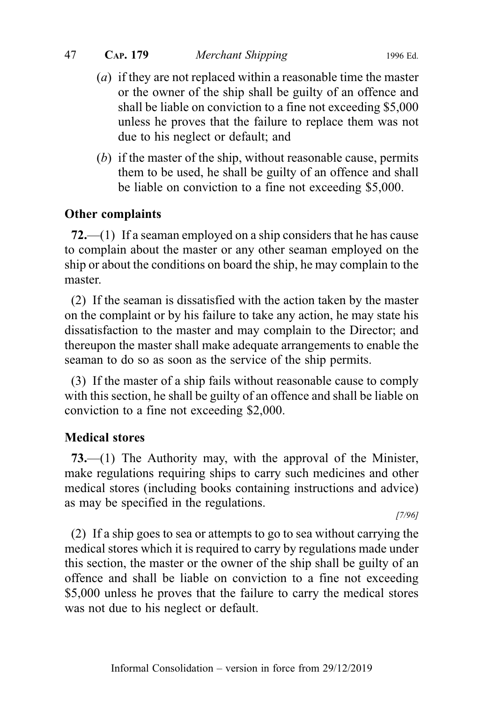#### 47 CAP. 179 Merchant Shipping 1996 Ed.

- (a) if they are not replaced within a reasonable time the master or the owner of the ship shall be guilty of an offence and shall be liable on conviction to a fine not exceeding \$5,000 unless he proves that the failure to replace them was not due to his neglect or default; and
- (b) if the master of the ship, without reasonable cause, permits them to be used, he shall be guilty of an offence and shall be liable on conviction to a fine not exceeding \$5,000.

#### Other complaints

72.—(1) If a seaman employed on a ship considers that he has cause to complain about the master or any other seaman employed on the ship or about the conditions on board the ship, he may complain to the master.

(2) If the seaman is dissatisfied with the action taken by the master on the complaint or by his failure to take any action, he may state his dissatisfaction to the master and may complain to the Director; and thereupon the master shall make adequate arrangements to enable the seaman to do so as soon as the service of the ship permits.

(3) If the master of a ship fails without reasonable cause to comply with this section, he shall be guilty of an offence and shall be liable on conviction to a fine not exceeding \$2,000.

#### Medical stores

73.—(1) The Authority may, with the approval of the Minister, make regulations requiring ships to carry such medicines and other medical stores (including books containing instructions and advice) as may be specified in the regulations.

[7/96]

(2) If a ship goes to sea or attempts to go to sea without carrying the medical stores which it is required to carry by regulations made under this section, the master or the owner of the ship shall be guilty of an offence and shall be liable on conviction to a fine not exceeding \$5,000 unless he proves that the failure to carry the medical stores was not due to his neglect or default.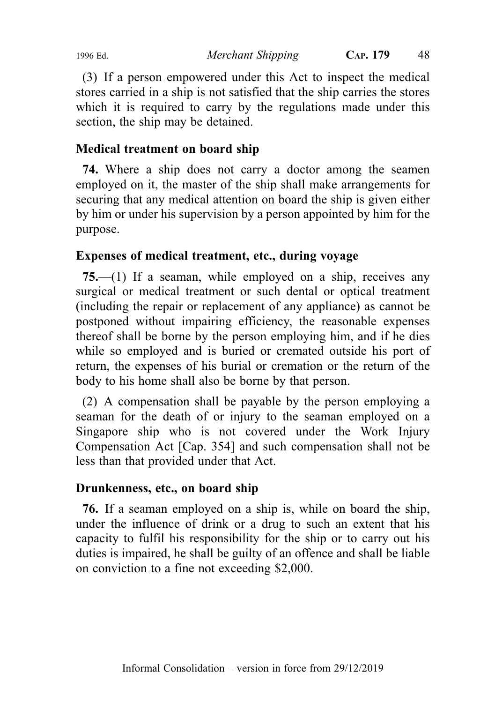(3) If a person empowered under this Act to inspect the medical stores carried in a ship is not satisfied that the ship carries the stores which it is required to carry by the regulations made under this section, the ship may be detained.

# Medical treatment on board ship

74. Where a ship does not carry a doctor among the seamen employed on it, the master of the ship shall make arrangements for securing that any medical attention on board the ship is given either by him or under his supervision by a person appointed by him for the purpose.

# Expenses of medical treatment, etc., during voyage

75.—(1) If a seaman, while employed on a ship, receives any surgical or medical treatment or such dental or optical treatment (including the repair or replacement of any appliance) as cannot be postponed without impairing efficiency, the reasonable expenses thereof shall be borne by the person employing him, and if he dies while so employed and is buried or cremated outside his port of return, the expenses of his burial or cremation or the return of the body to his home shall also be borne by that person.

(2) A compensation shall be payable by the person employing a seaman for the death of or injury to the seaman employed on a Singapore ship who is not covered under the Work Injury Compensation Act [Cap. 354] and such compensation shall not be less than that provided under that Act.

## Drunkenness, etc., on board ship

76. If a seaman employed on a ship is, while on board the ship, under the influence of drink or a drug to such an extent that his capacity to fulfil his responsibility for the ship or to carry out his duties is impaired, he shall be guilty of an offence and shall be liable on conviction to a fine not exceeding \$2,000.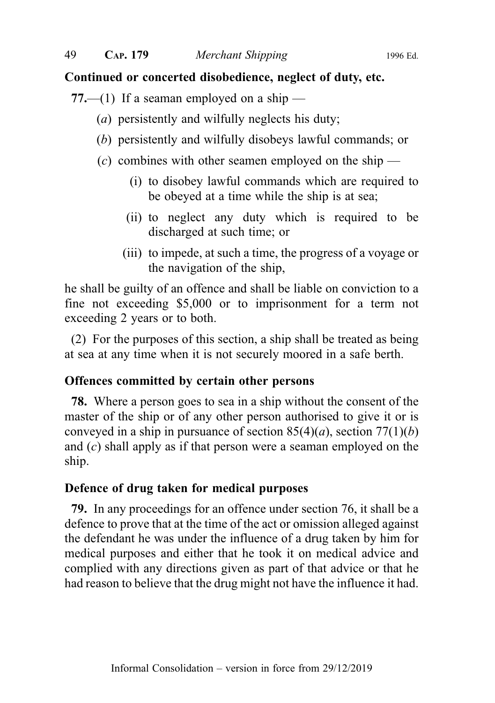#### Continued or concerted disobedience, neglect of duty, etc.

77.—(1) If a seaman employed on a ship —

- (a) persistently and wilfully neglects his duty;
- (b) persistently and wilfully disobeys lawful commands; or
- $(c)$  combines with other seamen employed on the ship
	- (i) to disobey lawful commands which are required to be obeyed at a time while the ship is at sea;
	- (ii) to neglect any duty which is required to be discharged at such time; or
	- (iii) to impede, at such a time, the progress of a voyage or the navigation of the ship,

he shall be guilty of an offence and shall be liable on conviction to a fine not exceeding \$5,000 or to imprisonment for a term not exceeding 2 years or to both.

(2) For the purposes of this section, a ship shall be treated as being at sea at any time when it is not securely moored in a safe berth.

#### Offences committed by certain other persons

78. Where a person goes to sea in a ship without the consent of the master of the ship or of any other person authorised to give it or is conveyed in a ship in pursuance of section  $85(4)(a)$ , section  $77(1)(b)$ and (c) shall apply as if that person were a seaman employed on the ship.

#### Defence of drug taken for medical purposes

79. In any proceedings for an offence under section 76, it shall be a defence to prove that at the time of the act or omission alleged against the defendant he was under the influence of a drug taken by him for medical purposes and either that he took it on medical advice and complied with any directions given as part of that advice or that he had reason to believe that the drug might not have the influence it had.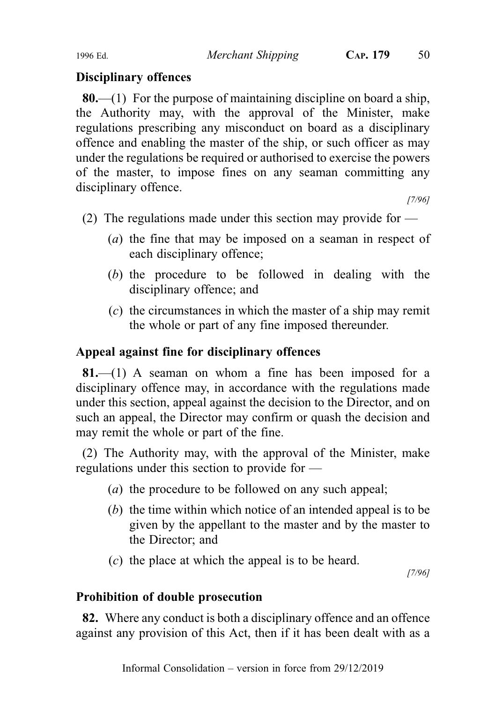## Disciplinary offences

**80.**—(1) For the purpose of maintaining discipline on board a ship, the Authority may, with the approval of the Minister, make regulations prescribing any misconduct on board as a disciplinary offence and enabling the master of the ship, or such officer as may under the regulations be required or authorised to exercise the powers of the master, to impose fines on any seaman committing any disciplinary offence.

[7/96]

- (2) The regulations made under this section may provide for
	- (a) the fine that may be imposed on a seaman in respect of each disciplinary offence;
	- (b) the procedure to be followed in dealing with the disciplinary offence; and
	- (c) the circumstances in which the master of a ship may remit the whole or part of any fine imposed thereunder.

## Appeal against fine for disciplinary offences

 $81$ —(1) A seaman on whom a fine has been imposed for a disciplinary offence may, in accordance with the regulations made under this section, appeal against the decision to the Director, and on such an appeal, the Director may confirm or quash the decision and may remit the whole or part of the fine.

(2) The Authority may, with the approval of the Minister, make regulations under this section to provide for —

- (a) the procedure to be followed on any such appeal;
- (b) the time within which notice of an intended appeal is to be given by the appellant to the master and by the master to the Director; and
- (c) the place at which the appeal is to be heard.

[7/96]

## Prohibition of double prosecution

82. Where any conduct is both a disciplinary offence and an offence against any provision of this Act, then if it has been dealt with as a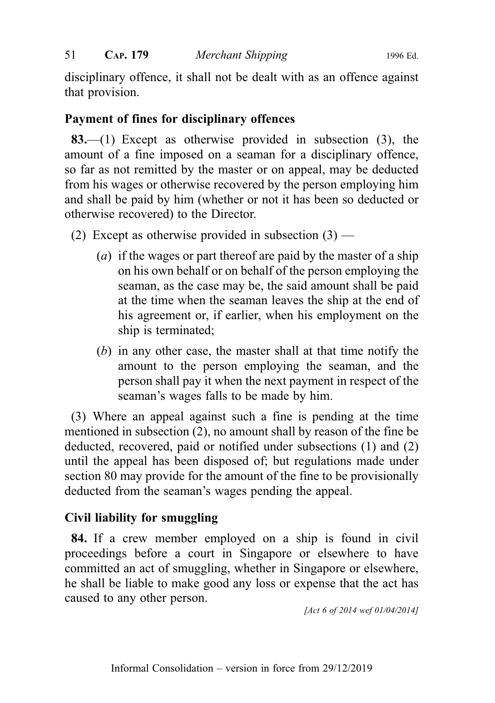disciplinary offence, it shall not be dealt with as an offence against that provision.

## Payment of fines for disciplinary offences

83.—(1) Except as otherwise provided in subsection (3), the amount of a fine imposed on a seaman for a disciplinary offence, so far as not remitted by the master or on appeal, may be deducted from his wages or otherwise recovered by the person employing him and shall be paid by him (whether or not it has been so deducted or otherwise recovered) to the Director.

- (2) Except as otherwise provided in subsection  $(3)$ 
	- (a) if the wages or part thereof are paid by the master of a ship on his own behalf or on behalf of the person employing the seaman, as the case may be, the said amount shall be paid at the time when the seaman leaves the ship at the end of his agreement or, if earlier, when his employment on the ship is terminated;
	- (b) in any other case, the master shall at that time notify the amount to the person employing the seaman, and the person shall pay it when the next payment in respect of the seaman's wages falls to be made by him.

(3) Where an appeal against such a fine is pending at the time mentioned in subsection (2), no amount shall by reason of the fine be deducted, recovered, paid or notified under subsections (1) and (2) until the appeal has been disposed of; but regulations made under section 80 may provide for the amount of the fine to be provisionally deducted from the seaman's wages pending the appeal.

# Civil liability for smuggling

84. If a crew member employed on a ship is found in civil proceedings before a court in Singapore or elsewhere to have committed an act of smuggling, whether in Singapore or elsewhere, he shall be liable to make good any loss or expense that the act has caused to any other person.

[Act 6 of 2014 wef 01/04/2014]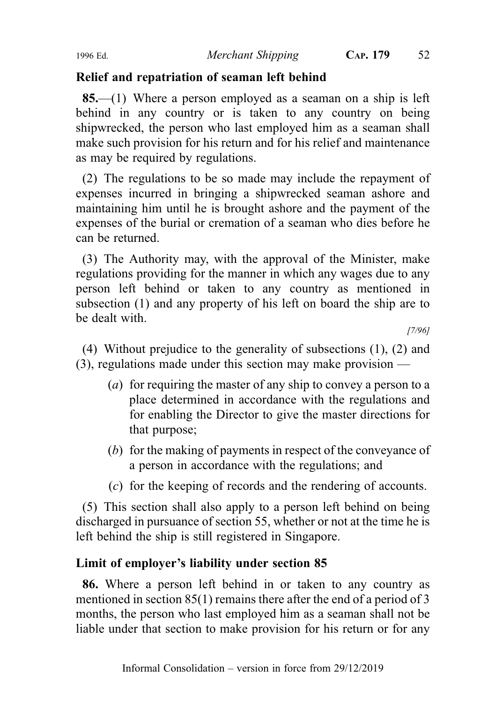# Relief and repatriation of seaman left behind

85.—(1) Where a person employed as a seaman on a ship is left behind in any country or is taken to any country on being shipwrecked, the person who last employed him as a seaman shall make such provision for his return and for his relief and maintenance as may be required by regulations.

(2) The regulations to be so made may include the repayment of expenses incurred in bringing a shipwrecked seaman ashore and maintaining him until he is brought ashore and the payment of the expenses of the burial or cremation of a seaman who dies before he can be returned.

(3) The Authority may, with the approval of the Minister, make regulations providing for the manner in which any wages due to any person left behind or taken to any country as mentioned in subsection (1) and any property of his left on board the ship are to be dealt with.

[7/96]

(4) Without prejudice to the generality of subsections (1), (2) and (3), regulations made under this section may make provision —

- (a) for requiring the master of any ship to convey a person to a place determined in accordance with the regulations and for enabling the Director to give the master directions for that purpose;
- (b) for the making of payments in respect of the conveyance of a person in accordance with the regulations; and
- (c) for the keeping of records and the rendering of accounts.

(5) This section shall also apply to a person left behind on being discharged in pursuance of section 55, whether or not at the time he is left behind the ship is still registered in Singapore.

# Limit of employer's liability under section 85

86. Where a person left behind in or taken to any country as mentioned in section 85(1) remains there after the end of a period of 3 months, the person who last employed him as a seaman shall not be liable under that section to make provision for his return or for any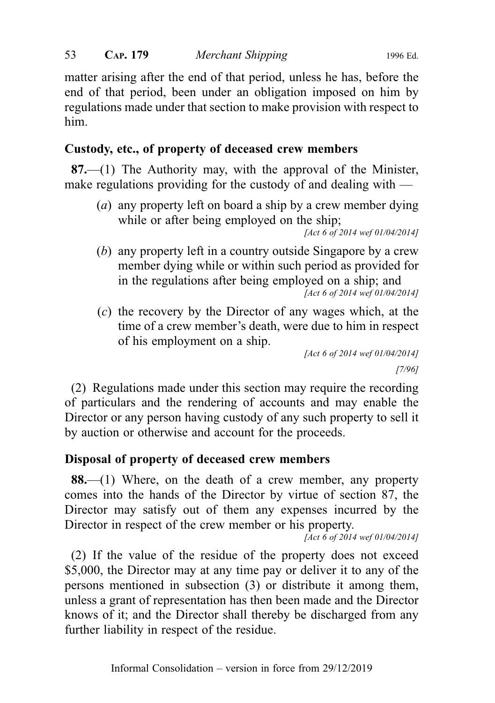matter arising after the end of that period, unless he has, before the end of that period, been under an obligation imposed on him by regulations made under that section to make provision with respect to him.

# Custody, etc., of property of deceased crew members

 $87$ —(1) The Authority may, with the approval of the Minister, make regulations providing for the custody of and dealing with —

(a) any property left on board a ship by a crew member dying while or after being employed on the ship;

```
[Act 6 of 2014 wef 01/04/2014]
```
(b) any property left in a country outside Singapore by a crew member dying while or within such period as provided for in the regulations after being employed on a ship; and

[Act 6 of 2014 wef 01/04/2014]

(c) the recovery by the Director of any wages which, at the time of a crew member's death, were due to him in respect of his employment on a ship.

```
[Act 6 of 2014 wef 01/04/2014]
            [7/96]
```
(2) Regulations made under this section may require the recording of particulars and the rendering of accounts and may enable the Director or any person having custody of any such property to sell it by auction or otherwise and account for the proceeds.

# Disposal of property of deceased crew members

88.—(1) Where, on the death of a crew member, any property comes into the hands of the Director by virtue of section 87, the Director may satisfy out of them any expenses incurred by the Director in respect of the crew member or his property.

 $[Act 6 of 2014$  wef 01/04/2014]

(2) If the value of the residue of the property does not exceed \$5,000, the Director may at any time pay or deliver it to any of the persons mentioned in subsection (3) or distribute it among them, unless a grant of representation has then been made and the Director knows of it; and the Director shall thereby be discharged from any further liability in respect of the residue.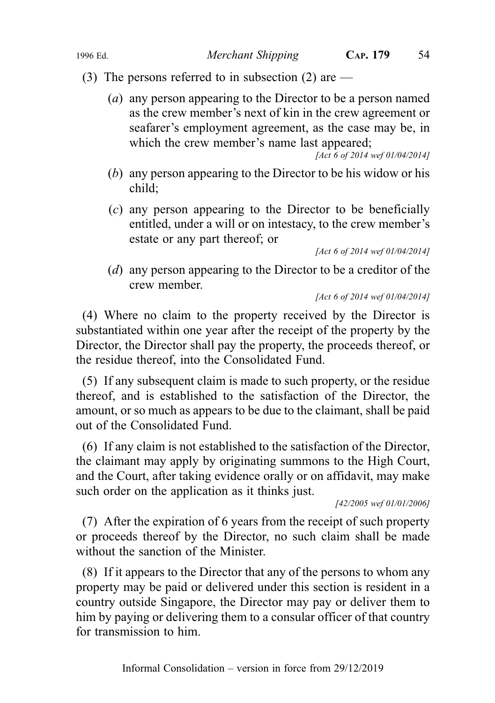# (3) The persons referred to in subsection (2) are  $-$

(a) any person appearing to the Director to be a person named as the crew member's next of kin in the crew agreement or seafarer's employment agreement, as the case may be, in which the crew member's name last appeared;

[Act 6 of 2014 wef 01/04/2014]

- (b) any person appearing to the Director to be his widow or his child;
- (c) any person appearing to the Director to be beneficially entitled, under a will or on intestacy, to the crew member's estate or any part thereof; or

[Act 6 of 2014 wef 01/04/2014]

(d) any person appearing to the Director to be a creditor of the crew member.

[Act 6 of 2014 wef 01/04/2014]

(4) Where no claim to the property received by the Director is substantiated within one year after the receipt of the property by the Director, the Director shall pay the property, the proceeds thereof, or the residue thereof, into the Consolidated Fund.

(5) If any subsequent claim is made to such property, or the residue thereof, and is established to the satisfaction of the Director, the amount, or so much as appears to be due to the claimant, shall be paid out of the Consolidated Fund.

(6) If any claim is not established to the satisfaction of the Director, the claimant may apply by originating summons to the High Court, and the Court, after taking evidence orally or on affidavit, may make such order on the application as it thinks just.

[42/2005 wef 01/01/2006]

(7) After the expiration of 6 years from the receipt of such property or proceeds thereof by the Director, no such claim shall be made without the sanction of the Minister.

(8) If it appears to the Director that any of the persons to whom any property may be paid or delivered under this section is resident in a country outside Singapore, the Director may pay or deliver them to him by paying or delivering them to a consular officer of that country for transmission to him.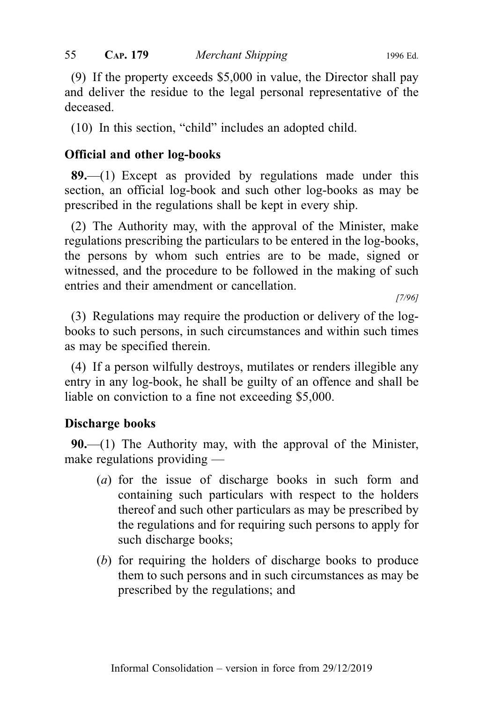(9) If the property exceeds \$5,000 in value, the Director shall pay and deliver the residue to the legal personal representative of the deceased.

(10) In this section, "child" includes an adopted child.

## Official and other log-books

89.—(1) Except as provided by regulations made under this section, an official log-book and such other log-books as may be prescribed in the regulations shall be kept in every ship.

(2) The Authority may, with the approval of the Minister, make regulations prescribing the particulars to be entered in the log-books, the persons by whom such entries are to be made, signed or witnessed, and the procedure to be followed in the making of such entries and their amendment or cancellation.

[7/96]

(3) Regulations may require the production or delivery of the logbooks to such persons, in such circumstances and within such times as may be specified therein.

(4) If a person wilfully destroys, mutilates or renders illegible any entry in any log-book, he shall be guilty of an offence and shall be liable on conviction to a fine not exceeding \$5,000.

## Discharge books

 $90$ ,—(1) The Authority may, with the approval of the Minister, make regulations providing —

- (a) for the issue of discharge books in such form and containing such particulars with respect to the holders thereof and such other particulars as may be prescribed by the regulations and for requiring such persons to apply for such discharge books;
- (b) for requiring the holders of discharge books to produce them to such persons and in such circumstances as may be prescribed by the regulations; and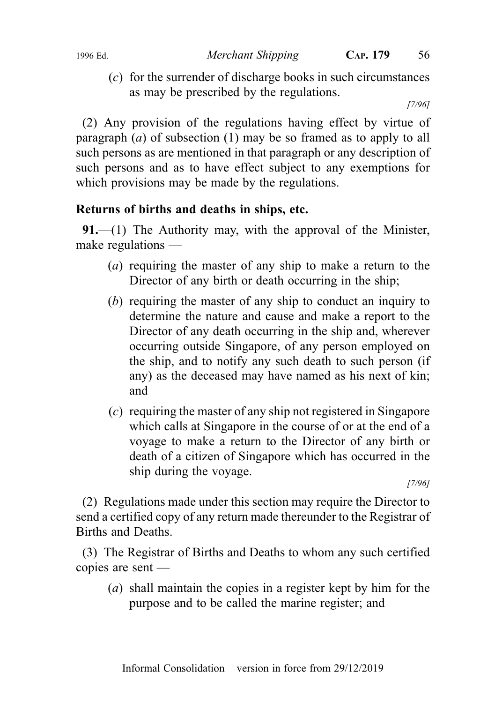(c) for the surrender of discharge books in such circumstances as may be prescribed by the regulations.

[7/96]

(2) Any provision of the regulations having effect by virtue of paragraph (*a*) of subsection (1) may be so framed as to apply to all such persons as are mentioned in that paragraph or any description of such persons and as to have effect subject to any exemptions for which provisions may be made by the regulations.

# Returns of births and deaths in ships, etc.

**91.—(1)** The Authority may, with the approval of the Minister, make regulations —

- (a) requiring the master of any ship to make a return to the Director of any birth or death occurring in the ship;
- (b) requiring the master of any ship to conduct an inquiry to determine the nature and cause and make a report to the Director of any death occurring in the ship and, wherever occurring outside Singapore, of any person employed on the ship, and to notify any such death to such person (if any) as the deceased may have named as his next of kin; and
- (c) requiring the master of any ship not registered in Singapore which calls at Singapore in the course of or at the end of a voyage to make a return to the Director of any birth or death of a citizen of Singapore which has occurred in the ship during the voyage.

[7/96]

(2) Regulations made under this section may require the Director to send a certified copy of any return made thereunder to the Registrar of Births and Deaths.

(3) The Registrar of Births and Deaths to whom any such certified copies are sent —

(a) shall maintain the copies in a register kept by him for the purpose and to be called the marine register; and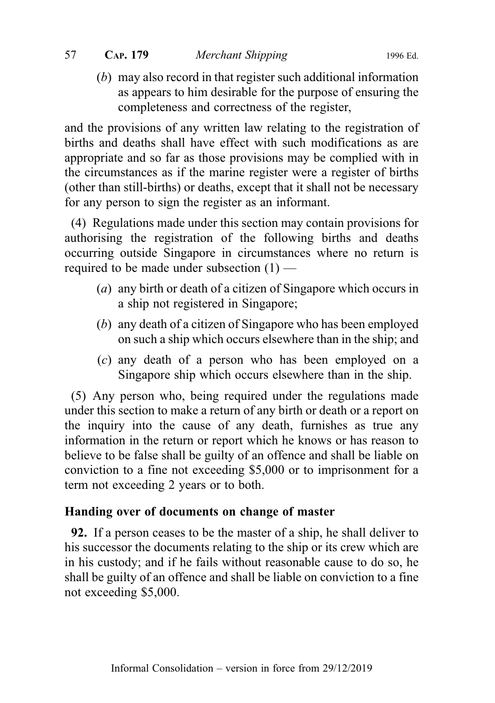(b) may also record in that register such additional information as appears to him desirable for the purpose of ensuring the completeness and correctness of the register,

and the provisions of any written law relating to the registration of births and deaths shall have effect with such modifications as are appropriate and so far as those provisions may be complied with in the circumstances as if the marine register were a register of births (other than still-births) or deaths, except that it shall not be necessary for any person to sign the register as an informant.

(4) Regulations made under this section may contain provisions for authorising the registration of the following births and deaths occurring outside Singapore in circumstances where no return is required to be made under subsection (1) —

- (a) any birth or death of a citizen of Singapore which occurs in a ship not registered in Singapore;
- (b) any death of a citizen of Singapore who has been employed on such a ship which occurs elsewhere than in the ship; and
- (c) any death of a person who has been employed on a Singapore ship which occurs elsewhere than in the ship.

(5) Any person who, being required under the regulations made under this section to make a return of any birth or death or a report on the inquiry into the cause of any death, furnishes as true any information in the return or report which he knows or has reason to believe to be false shall be guilty of an offence and shall be liable on conviction to a fine not exceeding \$5,000 or to imprisonment for a term not exceeding 2 years or to both.

# Handing over of documents on change of master

92. If a person ceases to be the master of a ship, he shall deliver to his successor the documents relating to the ship or its crew which are in his custody; and if he fails without reasonable cause to do so, he shall be guilty of an offence and shall be liable on conviction to a fine not exceeding \$5,000.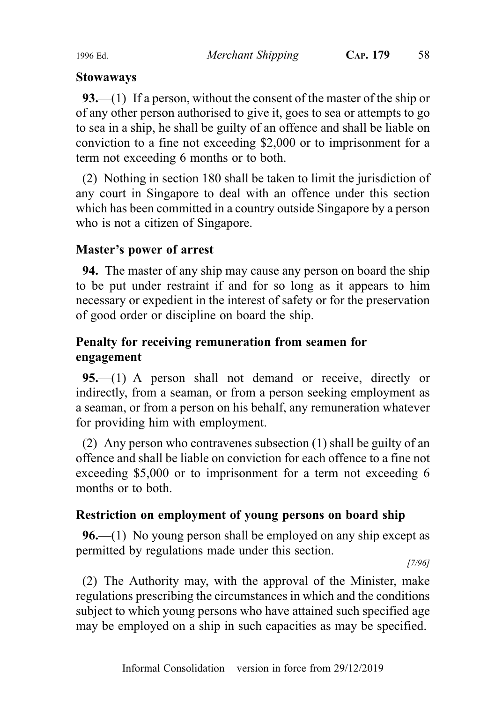## Stowaways

93.—(1) If a person, without the consent of the master of the ship or of any other person authorised to give it, goes to sea or attempts to go to sea in a ship, he shall be guilty of an offence and shall be liable on conviction to a fine not exceeding \$2,000 or to imprisonment for a term not exceeding 6 months or to both.

(2) Nothing in section 180 shall be taken to limit the jurisdiction of any court in Singapore to deal with an offence under this section which has been committed in a country outside Singapore by a person who is not a citizen of Singapore.

# Master's power of arrest

94. The master of any ship may cause any person on board the ship to be put under restraint if and for so long as it appears to him necessary or expedient in the interest of safety or for the preservation of good order or discipline on board the ship.

# Penalty for receiving remuneration from seamen for engagement

95.—(1) A person shall not demand or receive, directly or indirectly, from a seaman, or from a person seeking employment as a seaman, or from a person on his behalf, any remuneration whatever for providing him with employment.

(2) Any person who contravenes subsection (1) shall be guilty of an offence and shall be liable on conviction for each offence to a fine not exceeding \$5,000 or to imprisonment for a term not exceeding 6 months or to both.

# Restriction on employment of young persons on board ship

96.—(1) No young person shall be employed on any ship except as permitted by regulations made under this section.

[7/96]

(2) The Authority may, with the approval of the Minister, make regulations prescribing the circumstances in which and the conditions subject to which young persons who have attained such specified age may be employed on a ship in such capacities as may be specified.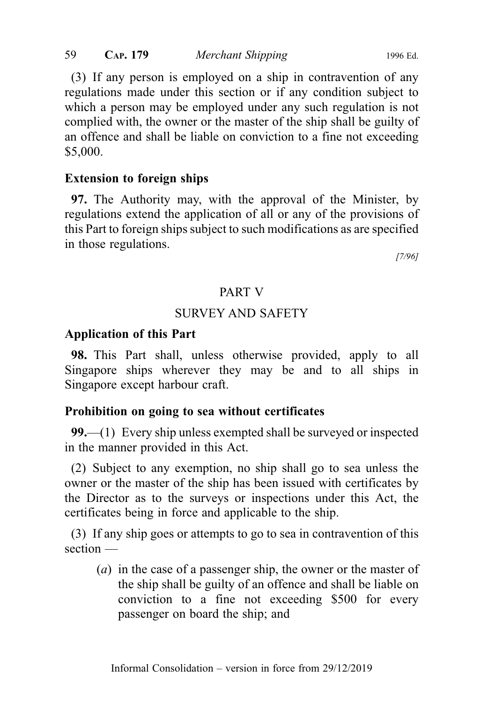(3) If any person is employed on a ship in contravention of any regulations made under this section or if any condition subject to which a person may be employed under any such regulation is not complied with, the owner or the master of the ship shall be guilty of an offence and shall be liable on conviction to a fine not exceeding \$5,000.

#### Extension to foreign ships

97. The Authority may, with the approval of the Minister, by regulations extend the application of all or any of the provisions of this Part to foreign ships subject to such modifications as are specified in those regulations.

[7/96]

## PART V

#### SURVEY AND SAFETY

#### Application of this Part

98. This Part shall, unless otherwise provided, apply to all Singapore ships wherever they may be and to all ships in Singapore except harbour craft.

#### Prohibition on going to sea without certificates

99.—(1) Every ship unless exempted shall be surveyed or inspected in the manner provided in this Act.

(2) Subject to any exemption, no ship shall go to sea unless the owner or the master of the ship has been issued with certificates by the Director as to the surveys or inspections under this Act, the certificates being in force and applicable to the ship.

(3) If any ship goes or attempts to go to sea in contravention of this section —

(a) in the case of a passenger ship, the owner or the master of the ship shall be guilty of an offence and shall be liable on conviction to a fine not exceeding \$500 for every passenger on board the ship; and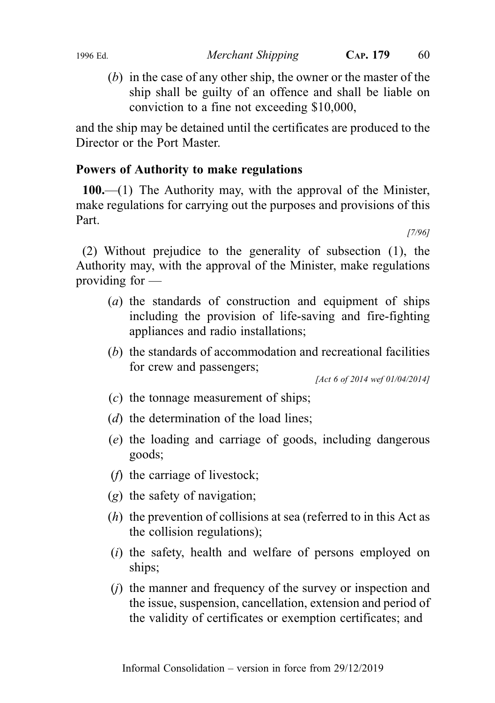(b) in the case of any other ship, the owner or the master of the ship shall be guilty of an offence and shall be liable on conviction to a fine not exceeding \$10,000,

and the ship may be detained until the certificates are produced to the Director or the Port Master.

## Powers of Authority to make regulations

100.—(1) The Authority may, with the approval of the Minister, make regulations for carrying out the purposes and provisions of this Part.

[7/96]

(2) Without prejudice to the generality of subsection (1), the Authority may, with the approval of the Minister, make regulations providing for —

- (a) the standards of construction and equipment of ships including the provision of life-saving and fire-fighting appliances and radio installations;
- (b) the standards of accommodation and recreational facilities for crew and passengers;

[Act 6 of 2014 wef 01/04/2014]

- $(c)$  the tonnage measurement of ships;
- (*d*) the determination of the load lines;
- (e) the loading and carriage of goods, including dangerous goods;
- (f) the carriage of livestock;
- (g) the safety of navigation;
- $(h)$  the prevention of collisions at sea (referred to in this Act as the collision regulations);
- (i) the safety, health and welfare of persons employed on ships;
- (j) the manner and frequency of the survey or inspection and the issue, suspension, cancellation, extension and period of the validity of certificates or exemption certificates; and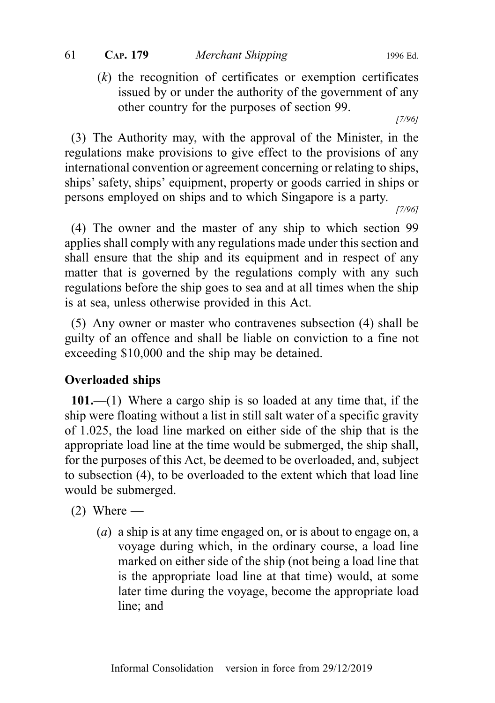$(k)$  the recognition of certificates or exemption certificates issued by or under the authority of the government of any other country for the purposes of section 99.

[7/96]

(3) The Authority may, with the approval of the Minister, in the regulations make provisions to give effect to the provisions of any international convention or agreement concerning or relating to ships, ships' safety, ships' equipment, property or goods carried in ships or persons employed on ships and to which Singapore is a party.

[7/96]

(4) The owner and the master of any ship to which section 99 applies shall comply with any regulations made under this section and shall ensure that the ship and its equipment and in respect of any matter that is governed by the regulations comply with any such regulations before the ship goes to sea and at all times when the ship is at sea, unless otherwise provided in this Act.

(5) Any owner or master who contravenes subsection (4) shall be guilty of an offence and shall be liable on conviction to a fine not exceeding \$10,000 and the ship may be detained.

# Overloaded ships

101.—(1) Where a cargo ship is so loaded at any time that, if the ship were floating without a list in still salt water of a specific gravity of 1.025, the load line marked on either side of the ship that is the appropriate load line at the time would be submerged, the ship shall, for the purposes of this Act, be deemed to be overloaded, and, subject to subsection (4), to be overloaded to the extent which that load line would be submerged.

- $(2)$  Where
	- (a) a ship is at any time engaged on, or is about to engage on, a voyage during which, in the ordinary course, a load line marked on either side of the ship (not being a load line that is the appropriate load line at that time) would, at some later time during the voyage, become the appropriate load line; and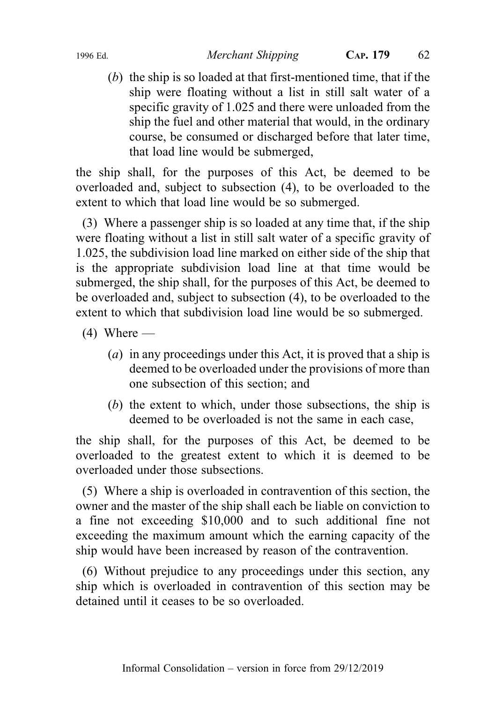(b) the ship is so loaded at that first-mentioned time, that if the ship were floating without a list in still salt water of a specific gravity of 1.025 and there were unloaded from the ship the fuel and other material that would, in the ordinary course, be consumed or discharged before that later time, that load line would be submerged,

the ship shall, for the purposes of this Act, be deemed to be overloaded and, subject to subsection (4), to be overloaded to the extent to which that load line would be so submerged.

(3) Where a passenger ship is so loaded at any time that, if the ship were floating without a list in still salt water of a specific gravity of 1.025, the subdivision load line marked on either side of the ship that is the appropriate subdivision load line at that time would be submerged, the ship shall, for the purposes of this Act, be deemed to be overloaded and, subject to subsection (4), to be overloaded to the extent to which that subdivision load line would be so submerged.

- $(4)$  Where
	- (a) in any proceedings under this Act, it is proved that a ship is deemed to be overloaded under the provisions of more than one subsection of this section; and
	- (b) the extent to which, under those subsections, the ship is deemed to be overloaded is not the same in each case,

the ship shall, for the purposes of this Act, be deemed to be overloaded to the greatest extent to which it is deemed to be overloaded under those subsections.

(5) Where a ship is overloaded in contravention of this section, the owner and the master of the ship shall each be liable on conviction to a fine not exceeding \$10,000 and to such additional fine not exceeding the maximum amount which the earning capacity of the ship would have been increased by reason of the contravention.

(6) Without prejudice to any proceedings under this section, any ship which is overloaded in contravention of this section may be detained until it ceases to be so overloaded.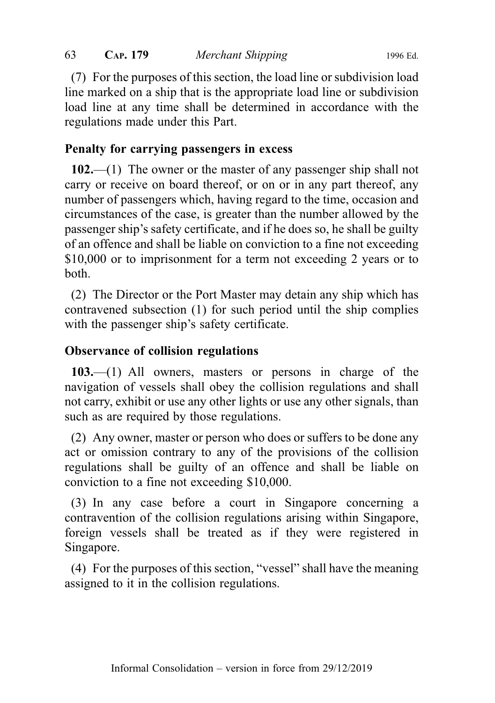(7) For the purposes of this section, the load line or subdivision load line marked on a ship that is the appropriate load line or subdivision load line at any time shall be determined in accordance with the regulations made under this Part.

## Penalty for carrying passengers in excess

102.—(1) The owner or the master of any passenger ship shall not carry or receive on board thereof, or on or in any part thereof, any number of passengers which, having regard to the time, occasion and circumstances of the case, is greater than the number allowed by the passenger ship's safety certificate, and if he does so, he shall be guilty of an offence and shall be liable on conviction to a fine not exceeding \$10,000 or to imprisonment for a term not exceeding 2 years or to both.

(2) The Director or the Port Master may detain any ship which has contravened subsection (1) for such period until the ship complies with the passenger ship's safety certificate.

## Observance of collision regulations

103.—(1) All owners, masters or persons in charge of the navigation of vessels shall obey the collision regulations and shall not carry, exhibit or use any other lights or use any other signals, than such as are required by those regulations.

(2) Any owner, master or person who does or suffers to be done any act or omission contrary to any of the provisions of the collision regulations shall be guilty of an offence and shall be liable on conviction to a fine not exceeding \$10,000.

(3) In any case before a court in Singapore concerning a contravention of the collision regulations arising within Singapore, foreign vessels shall be treated as if they were registered in Singapore.

(4) For the purposes of this section, "vessel" shall have the meaning assigned to it in the collision regulations.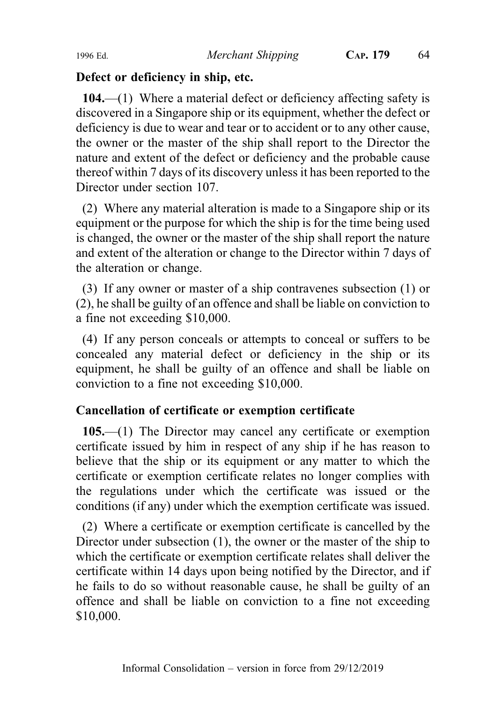#### Defect or deficiency in ship, etc.

104.—(1) Where a material defect or deficiency affecting safety is discovered in a Singapore ship or its equipment, whether the defect or deficiency is due to wear and tear or to accident or to any other cause, the owner or the master of the ship shall report to the Director the nature and extent of the defect or deficiency and the probable cause thereof within 7 days of its discovery unless it has been reported to the Director under section 107.

(2) Where any material alteration is made to a Singapore ship or its equipment or the purpose for which the ship is for the time being used is changed, the owner or the master of the ship shall report the nature and extent of the alteration or change to the Director within 7 days of the alteration or change.

(3) If any owner or master of a ship contravenes subsection (1) or (2), he shall be guilty of an offence and shall be liable on conviction to a fine not exceeding \$10,000.

(4) If any person conceals or attempts to conceal or suffers to be concealed any material defect or deficiency in the ship or its equipment, he shall be guilty of an offence and shall be liable on conviction to a fine not exceeding \$10,000.

# Cancellation of certificate or exemption certificate

105.—(1) The Director may cancel any certificate or exemption certificate issued by him in respect of any ship if he has reason to believe that the ship or its equipment or any matter to which the certificate or exemption certificate relates no longer complies with the regulations under which the certificate was issued or the conditions (if any) under which the exemption certificate was issued.

(2) Where a certificate or exemption certificate is cancelled by the Director under subsection (1), the owner or the master of the ship to which the certificate or exemption certificate relates shall deliver the certificate within 14 days upon being notified by the Director, and if he fails to do so without reasonable cause, he shall be guilty of an offence and shall be liable on conviction to a fine not exceeding \$10,000.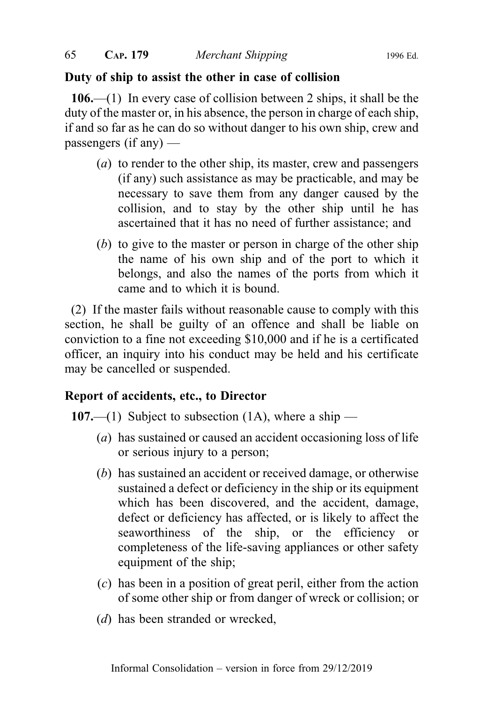## Duty of ship to assist the other in case of collision

106.—(1) In every case of collision between 2 ships, it shall be the duty of the master or, in his absence, the person in charge of each ship, if and so far as he can do so without danger to his own ship, crew and passengers (if any) —

- (a) to render to the other ship, its master, crew and passengers (if any) such assistance as may be practicable, and may be necessary to save them from any danger caused by the collision, and to stay by the other ship until he has ascertained that it has no need of further assistance; and
- (b) to give to the master or person in charge of the other ship the name of his own ship and of the port to which it belongs, and also the names of the ports from which it came and to which it is bound.

(2) If the master fails without reasonable cause to comply with this section, he shall be guilty of an offence and shall be liable on conviction to a fine not exceeding \$10,000 and if he is a certificated officer, an inquiry into his conduct may be held and his certificate may be cancelled or suspended.

# Report of accidents, etc., to Director

107.—(1) Subject to subsection (1A), where a ship —

- (a) has sustained or caused an accident occasioning loss of life or serious injury to a person;
- (b) has sustained an accident or received damage, or otherwise sustained a defect or deficiency in the ship or its equipment which has been discovered, and the accident, damage, defect or deficiency has affected, or is likely to affect the seaworthiness of the ship, or the efficiency or completeness of the life-saving appliances or other safety equipment of the ship;
- (c) has been in a position of great peril, either from the action of some other ship or from danger of wreck or collision; or
- (*d*) has been stranded or wrecked,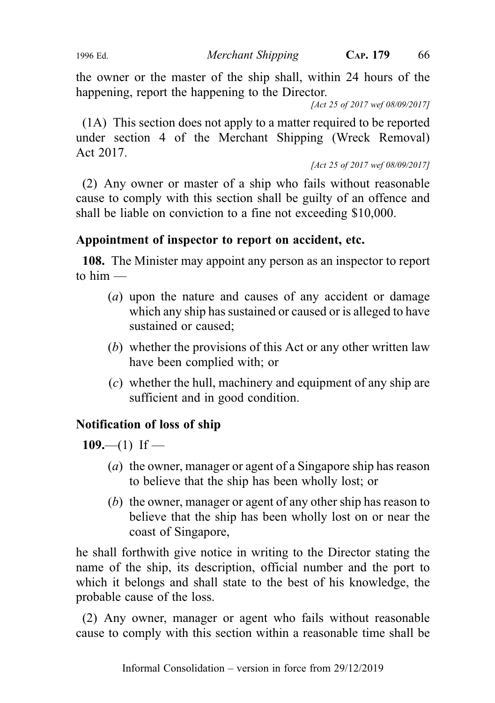the owner or the master of the ship shall, within 24 hours of the happening, report the happening to the Director.

[Act 25 of 2017 wef 08/09/2017]

(1A) This section does not apply to a matter required to be reported under section 4 of the Merchant Shipping (Wreck Removal) Act 2017.

[Act 25 of 2017 wef 08/09/2017]

(2) Any owner or master of a ship who fails without reasonable cause to comply with this section shall be guilty of an offence and shall be liable on conviction to a fine not exceeding \$10,000.

# Appointment of inspector to report on accident, etc.

108. The Minister may appoint any person as an inspector to report to  $him -$ 

- (a) upon the nature and causes of any accident or damage which any ship has sustained or caused or is alleged to have sustained or caused;
- (b) whether the provisions of this Act or any other written law have been complied with; or
- (c) whether the hull, machinery and equipment of any ship are sufficient and in good condition.

# Notification of loss of ship

 $109$ —(1) If —

- (a) the owner, manager or agent of a Singapore ship has reason to believe that the ship has been wholly lost; or
- (b) the owner, manager or agent of any other ship has reason to believe that the ship has been wholly lost on or near the coast of Singapore,

he shall forthwith give notice in writing to the Director stating the name of the ship, its description, official number and the port to which it belongs and shall state to the best of his knowledge, the probable cause of the loss.

(2) Any owner, manager or agent who fails without reasonable cause to comply with this section within a reasonable time shall be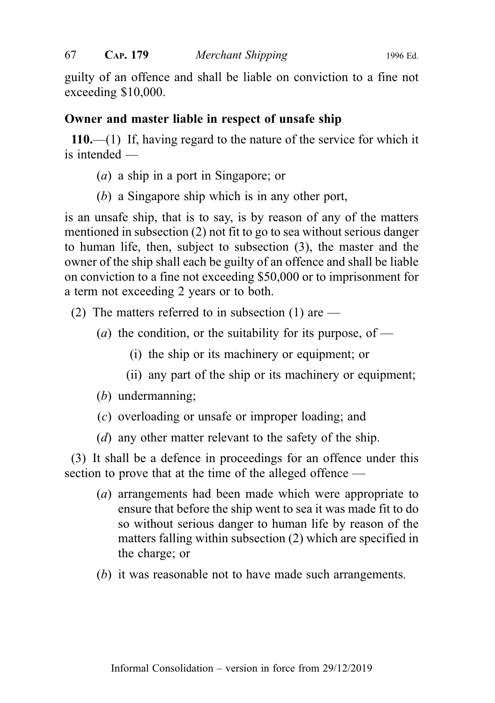guilty of an offence and shall be liable on conviction to a fine not exceeding \$10,000.

## Owner and master liable in respect of unsafe ship

110.—(1) If, having regard to the nature of the service for which it is intended —

- (a) a ship in a port in Singapore; or
- (b) a Singapore ship which is in any other port,

is an unsafe ship, that is to say, is by reason of any of the matters mentioned in subsection (2) not fit to go to sea without serious danger to human life, then, subject to subsection (3), the master and the owner of the ship shall each be guilty of an offence and shall be liable on conviction to a fine not exceeding \$50,000 or to imprisonment for a term not exceeding 2 years or to both.

- (2) The matters referred to in subsection (1) are  $-$ 
	- (*a*) the condition, or the suitability for its purpose, of
		- (i) the ship or its machinery or equipment; or
		- (ii) any part of the ship or its machinery or equipment;
	- (b) undermanning;
	- (c) overloading or unsafe or improper loading; and
	- (d) any other matter relevant to the safety of the ship.

(3) It shall be a defence in proceedings for an offence under this section to prove that at the time of the alleged offence —

- (a) arrangements had been made which were appropriate to ensure that before the ship went to sea it was made fit to do so without serious danger to human life by reason of the matters falling within subsection (2) which are specified in the charge; or
- (b) it was reasonable not to have made such arrangements.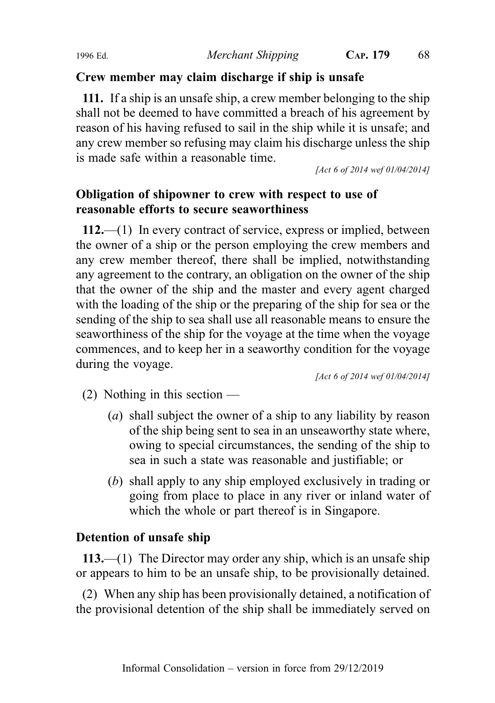## Crew member may claim discharge if ship is unsafe

111. If a ship is an unsafe ship, a crew member belonging to the ship shall not be deemed to have committed a breach of his agreement by reason of his having refused to sail in the ship while it is unsafe; and any crew member so refusing may claim his discharge unless the ship is made safe within a reasonable time.

[Act 6 of 2014 wef 01/04/2014]

# Obligation of shipowner to crew with respect to use of reasonable efforts to secure seaworthiness

112.—(1) In every contract of service, express or implied, between the owner of a ship or the person employing the crew members and any crew member thereof, there shall be implied, notwithstanding any agreement to the contrary, an obligation on the owner of the ship that the owner of the ship and the master and every agent charged with the loading of the ship or the preparing of the ship for sea or the sending of the ship to sea shall use all reasonable means to ensure the seaworthiness of the ship for the voyage at the time when the voyage commences, and to keep her in a seaworthy condition for the voyage during the voyage.

[Act 6 of 2014 wef 01/04/2014]

- $(2)$  Nothing in this section
	- (a) shall subject the owner of a ship to any liability by reason of the ship being sent to sea in an unseaworthy state where, owing to special circumstances, the sending of the ship to sea in such a state was reasonable and justifiable; or
	- (b) shall apply to any ship employed exclusively in trading or going from place to place in any river or inland water of which the whole or part thereof is in Singapore.

## Detention of unsafe ship

113.—(1) The Director may order any ship, which is an unsafe ship or appears to him to be an unsafe ship, to be provisionally detained.

(2) When any ship has been provisionally detained, a notification of the provisional detention of the ship shall be immediately served on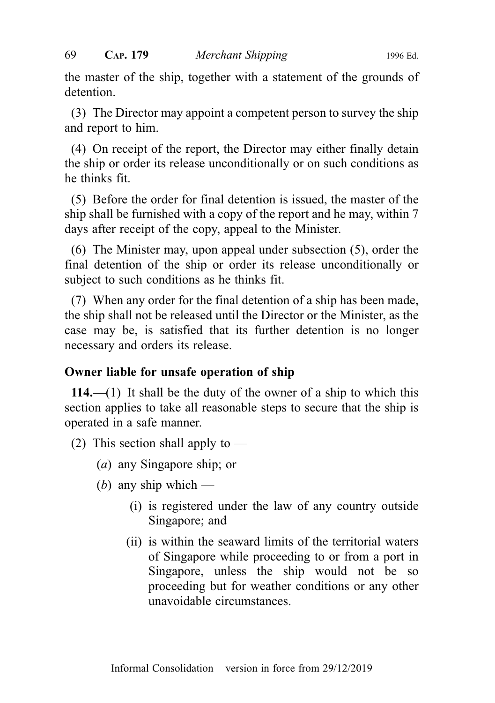the master of the ship, together with a statement of the grounds of detention.

(3) The Director may appoint a competent person to survey the ship and report to him.

(4) On receipt of the report, the Director may either finally detain the ship or order its release unconditionally or on such conditions as he thinks fit.

(5) Before the order for final detention is issued, the master of the ship shall be furnished with a copy of the report and he may, within 7 days after receipt of the copy, appeal to the Minister.

(6) The Minister may, upon appeal under subsection (5), order the final detention of the ship or order its release unconditionally or subject to such conditions as he thinks fit.

(7) When any order for the final detention of a ship has been made, the ship shall not be released until the Director or the Minister, as the case may be, is satisfied that its further detention is no longer necessary and orders its release.

## Owner liable for unsafe operation of ship

114.—(1) It shall be the duty of the owner of a ship to which this section applies to take all reasonable steps to secure that the ship is operated in a safe manner.

(2) This section shall apply to  $-$ 

- (a) any Singapore ship; or
- (*b*) any ship which
	- (i) is registered under the law of any country outside Singapore; and
	- (ii) is within the seaward limits of the territorial waters of Singapore while proceeding to or from a port in Singapore, unless the ship would not be so proceeding but for weather conditions or any other unavoidable circumstances.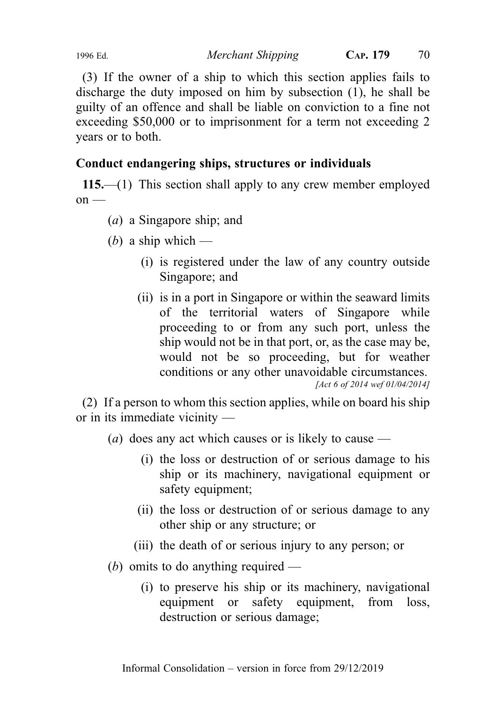(3) If the owner of a ship to which this section applies fails to discharge the duty imposed on him by subsection (1), he shall be guilty of an offence and shall be liable on conviction to a fine not exceeding \$50,000 or to imprisonment for a term not exceeding 2 years or to both.

# Conduct endangering ships, structures or individuals

115.—(1) This section shall apply to any crew member employed  $on$  —

- (a) a Singapore ship; and
- (b) a ship which
	- (i) is registered under the law of any country outside Singapore; and
	- (ii) is in a port in Singapore or within the seaward limits of the territorial waters of Singapore while proceeding to or from any such port, unless the ship would not be in that port, or, as the case may be, would not be so proceeding, but for weather conditions or any other unavoidable circumstances. [Act 6 of 2014 wef 01/04/2014]

(2) If a person to whom this section applies, while on board his ship or in its immediate vicinity —

(*a*) does any act which causes or is likely to cause —

- (i) the loss or destruction of or serious damage to his ship or its machinery, navigational equipment or safety equipment;
- (ii) the loss or destruction of or serious damage to any other ship or any structure; or
- (iii) the death of or serious injury to any person; or
- (b) omits to do anything required
	- (i) to preserve his ship or its machinery, navigational equipment or safety equipment, from loss, destruction or serious damage;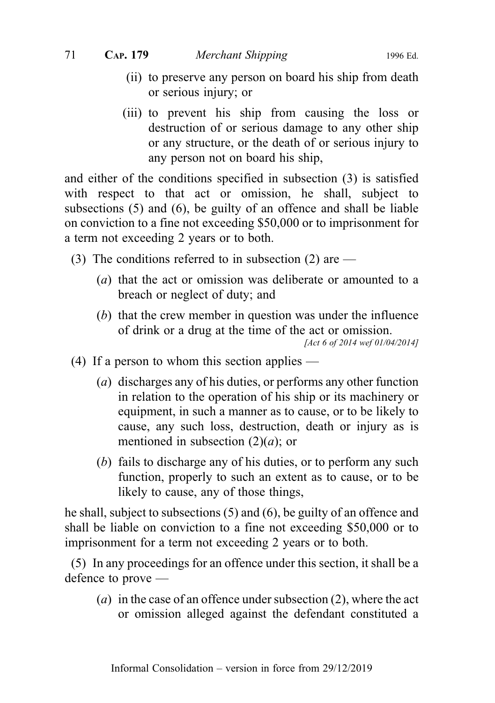- (ii) to preserve any person on board his ship from death or serious injury; or
- (iii) to prevent his ship from causing the loss or destruction of or serious damage to any other ship or any structure, or the death of or serious injury to any person not on board his ship,

and either of the conditions specified in subsection (3) is satisfied with respect to that act or omission, he shall, subject to subsections (5) and (6), be guilty of an offence and shall be liable on conviction to a fine not exceeding \$50,000 or to imprisonment for a term not exceeding 2 years or to both.

- (3) The conditions referred to in subsection (2) are
	- (a) that the act or omission was deliberate or amounted to a breach or neglect of duty; and
	- (b) that the crew member in question was under the influence of drink or a drug at the time of the act or omission.

[Act 6 of 2014 wef 01/04/2014]

- (4) If a person to whom this section applies
	- (a) discharges any of his duties, or performs any other function in relation to the operation of his ship or its machinery or equipment, in such a manner as to cause, or to be likely to cause, any such loss, destruction, death or injury as is mentioned in subsection  $(2)(a)$ ; or
	- (b) fails to discharge any of his duties, or to perform any such function, properly to such an extent as to cause, or to be likely to cause, any of those things,

he shall, subject to subsections (5) and (6), be guilty of an offence and shall be liable on conviction to a fine not exceeding \$50,000 or to imprisonment for a term not exceeding 2 years or to both.

(5) In any proceedings for an offence under this section, it shall be a defence to prove —

(*a*) in the case of an offence under subsection  $(2)$ , where the act or omission alleged against the defendant constituted a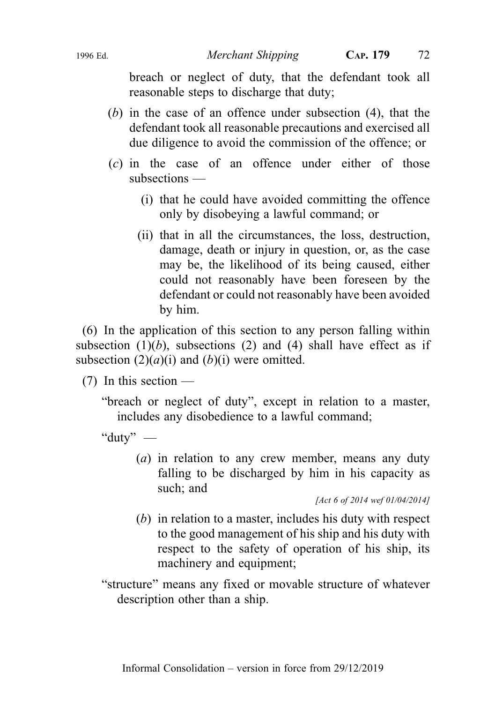breach or neglect of duty, that the defendant took all reasonable steps to discharge that duty;

- (b) in the case of an offence under subsection (4), that the defendant took all reasonable precautions and exercised all due diligence to avoid the commission of the offence; or
- (c) in the case of an offence under either of those subsections —
	- (i) that he could have avoided committing the offence only by disobeying a lawful command; or
	- (ii) that in all the circumstances, the loss, destruction, damage, death or injury in question, or, as the case may be, the likelihood of its being caused, either could not reasonably have been foreseen by the defendant or could not reasonably have been avoided by him.

(6) In the application of this section to any person falling within subsection  $(1)(b)$ , subsections  $(2)$  and  $(4)$  shall have effect as if subsection  $(2)(a)(i)$  and  $(b)(i)$  were omitted.

(7) In this section —

"breach or neglect of duty", except in relation to a master, includes any disobedience to a lawful command;

"duty" —

(a) in relation to any crew member, means any duty falling to be discharged by him in his capacity as such; and

[Act 6 of 2014 wef 01/04/2014]

- (b) in relation to a master, includes his duty with respect to the good management of his ship and his duty with respect to the safety of operation of his ship, its machinery and equipment;
- "structure" means any fixed or movable structure of whatever description other than a ship.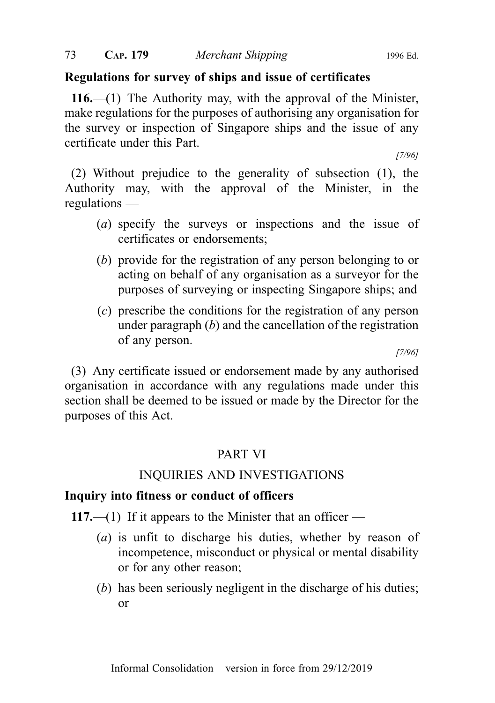#### Regulations for survey of ships and issue of certificates

116.—(1) The Authority may, with the approval of the Minister, make regulations for the purposes of authorising any organisation for the survey or inspection of Singapore ships and the issue of any certificate under this Part.

[7/96]

(2) Without prejudice to the generality of subsection (1), the Authority may, with the approval of the Minister, in the regulations —

- (a) specify the surveys or inspections and the issue of certificates or endorsements;
- (b) provide for the registration of any person belonging to or acting on behalf of any organisation as a surveyor for the purposes of surveying or inspecting Singapore ships; and
- (c) prescribe the conditions for the registration of any person under paragraph  $(b)$  and the cancellation of the registration of any person.

[7/96]

(3) Any certificate issued or endorsement made by any authorised organisation in accordance with any regulations made under this section shall be deemed to be issued or made by the Director for the purposes of this Act.

#### PART VI

#### INQUIRIES AND INVESTIGATIONS

#### Inquiry into fitness or conduct of officers

117.—(1) If it appears to the Minister that an officer —

- (a) is unfit to discharge his duties, whether by reason of incompetence, misconduct or physical or mental disability or for any other reason;
- (b) has been seriously negligent in the discharge of his duties; or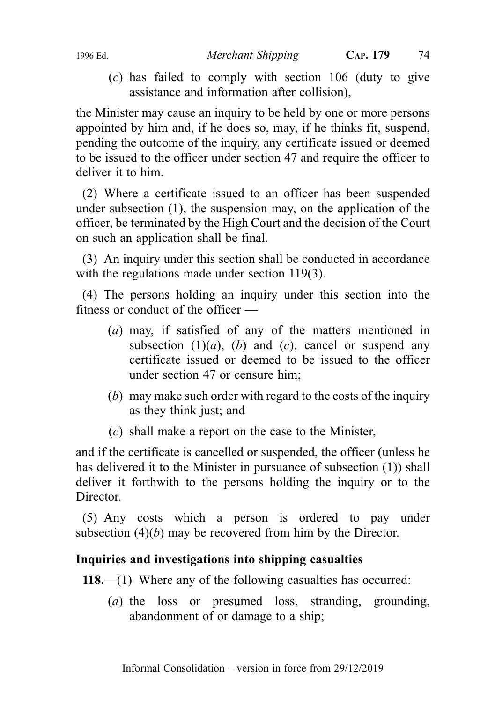(c) has failed to comply with section 106 (duty to give assistance and information after collision),

the Minister may cause an inquiry to be held by one or more persons appointed by him and, if he does so, may, if he thinks fit, suspend, pending the outcome of the inquiry, any certificate issued or deemed to be issued to the officer under section 47 and require the officer to deliver it to him.

(2) Where a certificate issued to an officer has been suspended under subsection (1), the suspension may, on the application of the officer, be terminated by the High Court and the decision of the Court on such an application shall be final.

(3) An inquiry under this section shall be conducted in accordance with the regulations made under section 119(3).

(4) The persons holding an inquiry under this section into the fitness or conduct of the officer —

- (a) may, if satisfied of any of the matters mentioned in subsection  $(1)(a)$ ,  $(b)$  and  $(c)$ , cancel or suspend any certificate issued or deemed to be issued to the officer under section 47 or censure him;
- (b) may make such order with regard to the costs of the inquiry as they think just; and
- (c) shall make a report on the case to the Minister,

and if the certificate is cancelled or suspended, the officer (unless he has delivered it to the Minister in pursuance of subsection (1)) shall deliver it forthwith to the persons holding the inquiry or to the Director.

(5) Any costs which a person is ordered to pay under subsection  $(4)(b)$  may be recovered from him by the Director.

# Inquiries and investigations into shipping casualties

118.—(1) Where any of the following casualties has occurred:

(a) the loss or presumed loss, stranding, grounding, abandonment of or damage to a ship;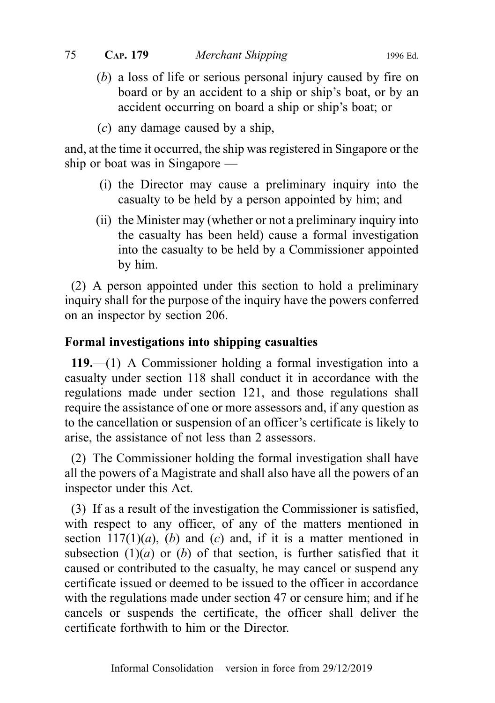- (b) a loss of life or serious personal injury caused by fire on board or by an accident to a ship or ship's boat, or by an accident occurring on board a ship or ship's boat; or
- $(c)$  any damage caused by a ship,

and, at the time it occurred, the ship was registered in Singapore or the ship or boat was in Singapore —

- (i) the Director may cause a preliminary inquiry into the casualty to be held by a person appointed by him; and
- (ii) the Minister may (whether or not a preliminary inquiry into the casualty has been held) cause a formal investigation into the casualty to be held by a Commissioner appointed by him.

(2) A person appointed under this section to hold a preliminary inquiry shall for the purpose of the inquiry have the powers conferred on an inspector by section 206.

# Formal investigations into shipping casualties

119.—(1) A Commissioner holding a formal investigation into a casualty under section 118 shall conduct it in accordance with the regulations made under section 121, and those regulations shall require the assistance of one or more assessors and, if any question as to the cancellation or suspension of an officer's certificate is likely to arise, the assistance of not less than 2 assessors.

(2) The Commissioner holding the formal investigation shall have all the powers of a Magistrate and shall also have all the powers of an inspector under this Act.

(3) If as a result of the investigation the Commissioner is satisfied, with respect to any officer, of any of the matters mentioned in section  $117(1)(a)$ , (b) and (c) and, if it is a matter mentioned in subsection  $(1)(a)$  or  $(b)$  of that section, is further satisfied that it caused or contributed to the casualty, he may cancel or suspend any certificate issued or deemed to be issued to the officer in accordance with the regulations made under section 47 or censure him; and if he cancels or suspends the certificate, the officer shall deliver the certificate forthwith to him or the Director.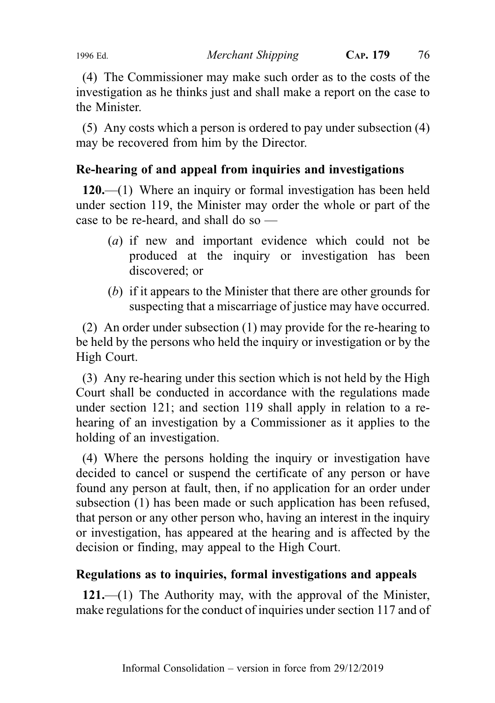(4) The Commissioner may make such order as to the costs of the investigation as he thinks just and shall make a report on the case to the Minister.

(5) Any costs which a person is ordered to pay under subsection (4) may be recovered from him by the Director.

# Re-hearing of and appeal from inquiries and investigations

120.—(1) Where an inquiry or formal investigation has been held under section 119, the Minister may order the whole or part of the case to be re-heard, and shall do so —

- (a) if new and important evidence which could not be produced at the inquiry or investigation has been discovered; or
- (b) if it appears to the Minister that there are other grounds for suspecting that a miscarriage of justice may have occurred.

(2) An order under subsection (1) may provide for the re-hearing to be held by the persons who held the inquiry or investigation or by the High Court.

(3) Any re-hearing under this section which is not held by the High Court shall be conducted in accordance with the regulations made under section 121; and section 119 shall apply in relation to a rehearing of an investigation by a Commissioner as it applies to the holding of an investigation.

(4) Where the persons holding the inquiry or investigation have decided to cancel or suspend the certificate of any person or have found any person at fault, then, if no application for an order under subsection (1) has been made or such application has been refused, that person or any other person who, having an interest in the inquiry or investigation, has appeared at the hearing and is affected by the decision or finding, may appeal to the High Court.

# Regulations as to inquiries, formal investigations and appeals

121.—(1) The Authority may, with the approval of the Minister, make regulations for the conduct of inquiries under section 117 and of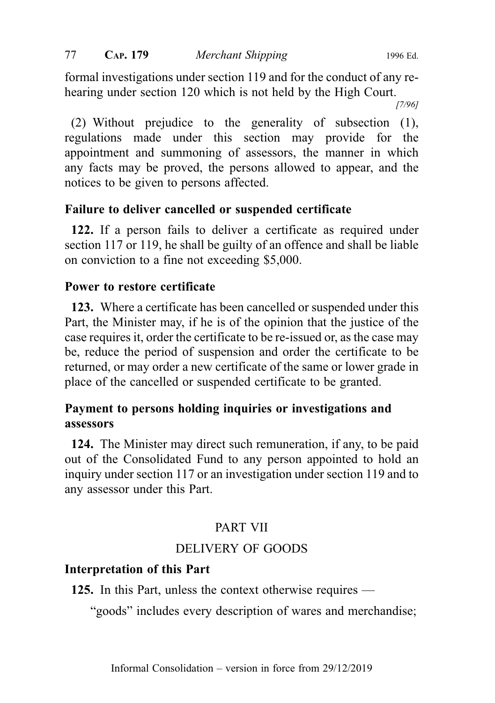formal investigations under section 119 and for the conduct of any rehearing under section 120 which is not held by the High Court.

[7/96]

(2) Without prejudice to the generality of subsection (1), regulations made under this section may provide for the appointment and summoning of assessors, the manner in which any facts may be proved, the persons allowed to appear, and the notices to be given to persons affected.

# Failure to deliver cancelled or suspended certificate

122. If a person fails to deliver a certificate as required under section 117 or 119, he shall be guilty of an offence and shall be liable on conviction to a fine not exceeding \$5,000.

#### Power to restore certificate

123. Where a certificate has been cancelled or suspended under this Part, the Minister may, if he is of the opinion that the justice of the case requires it, order the certificate to be re-issued or, as the case may be, reduce the period of suspension and order the certificate to be returned, or may order a new certificate of the same or lower grade in place of the cancelled or suspended certificate to be granted.

# Payment to persons holding inquiries or investigations and assessors

124. The Minister may direct such remuneration, if any, to be paid out of the Consolidated Fund to any person appointed to hold an inquiry under section 117 or an investigation under section 119 and to any assessor under this Part.

# PART VII

# DELIVERY OF GOODS

#### Interpretation of this Part

125. In this Part, unless the context otherwise requires —

"goods" includes every description of wares and merchandise;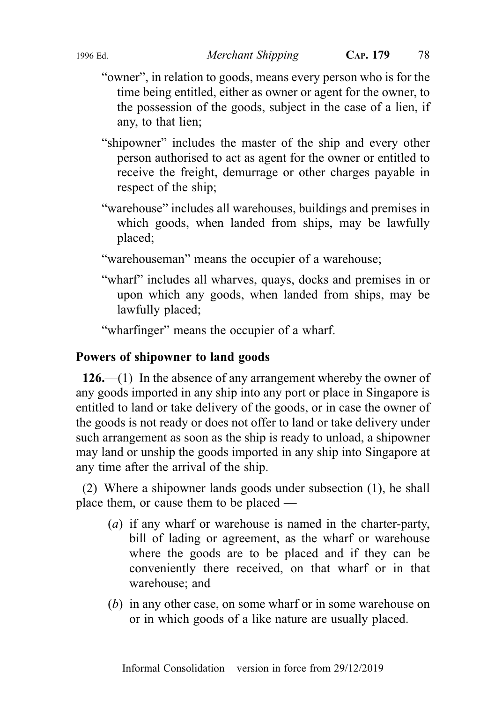- "owner", in relation to goods, means every person who is for the time being entitled, either as owner or agent for the owner, to the possession of the goods, subject in the case of a lien, if any, to that lien;
- "shipowner" includes the master of the ship and every other person authorised to act as agent for the owner or entitled to receive the freight, demurrage or other charges payable in respect of the ship;
- "warehouse" includes all warehouses, buildings and premises in which goods, when landed from ships, may be lawfully placed;

"warehouseman" means the occupier of a warehouse;

"wharf" includes all wharves, quays, docks and premises in or upon which any goods, when landed from ships, may be lawfully placed;

"wharfinger" means the occupier of a wharf.

# Powers of shipowner to land goods

126.—(1) In the absence of any arrangement whereby the owner of any goods imported in any ship into any port or place in Singapore is entitled to land or take delivery of the goods, or in case the owner of the goods is not ready or does not offer to land or take delivery under such arrangement as soon as the ship is ready to unload, a shipowner may land or unship the goods imported in any ship into Singapore at any time after the arrival of the ship.

(2) Where a shipowner lands goods under subsection (1), he shall place them, or cause them to be placed —

- (a) if any wharf or warehouse is named in the charter-party, bill of lading or agreement, as the wharf or warehouse where the goods are to be placed and if they can be conveniently there received, on that wharf or in that warehouse; and
- (b) in any other case, on some wharf or in some warehouse on or in which goods of a like nature are usually placed.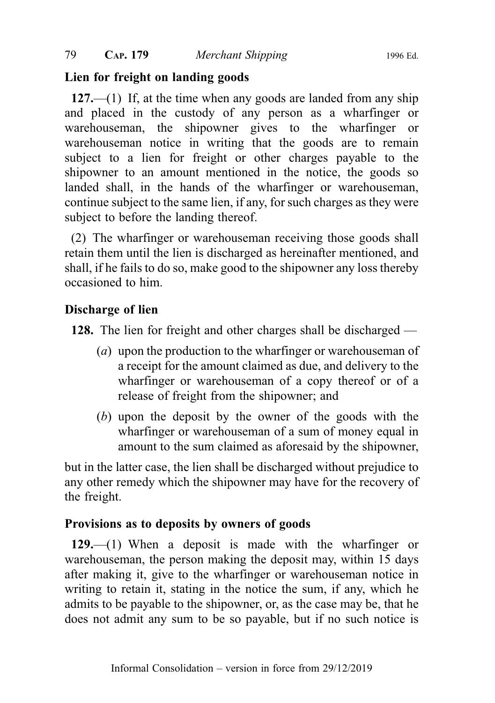#### Lien for freight on landing goods

127.—(1) If, at the time when any goods are landed from any ship and placed in the custody of any person as a wharfinger or warehouseman, the shipowner gives to the wharfinger or warehouseman notice in writing that the goods are to remain subject to a lien for freight or other charges payable to the shipowner to an amount mentioned in the notice, the goods so landed shall, in the hands of the wharfinger or warehouseman, continue subject to the same lien, if any, for such charges as they were subject to before the landing thereof.

(2) The wharfinger or warehouseman receiving those goods shall retain them until the lien is discharged as hereinafter mentioned, and shall, if he fails to do so, make good to the shipowner any loss thereby occasioned to him.

#### Discharge of lien

128. The lien for freight and other charges shall be discharged —

- (a) upon the production to the wharfinger or warehouseman of a receipt for the amount claimed as due, and delivery to the wharfinger or warehouseman of a copy thereof or of a release of freight from the shipowner; and
- (b) upon the deposit by the owner of the goods with the wharfinger or warehouseman of a sum of money equal in amount to the sum claimed as aforesaid by the shipowner,

but in the latter case, the lien shall be discharged without prejudice to any other remedy which the shipowner may have for the recovery of the freight.

# Provisions as to deposits by owners of goods

129.—(1) When a deposit is made with the wharfinger or warehouseman, the person making the deposit may, within 15 days after making it, give to the wharfinger or warehouseman notice in writing to retain it, stating in the notice the sum, if any, which he admits to be payable to the shipowner, or, as the case may be, that he does not admit any sum to be so payable, but if no such notice is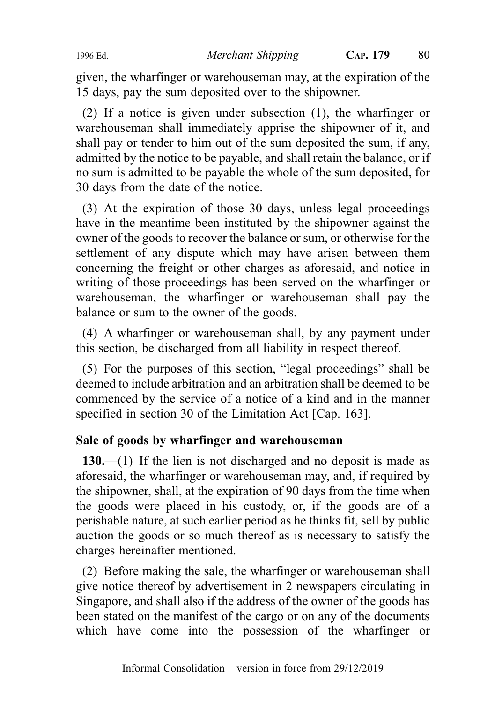given, the wharfinger or warehouseman may, at the expiration of the 15 days, pay the sum deposited over to the shipowner.

(2) If a notice is given under subsection (1), the wharfinger or warehouseman shall immediately apprise the shipowner of it, and shall pay or tender to him out of the sum deposited the sum, if any, admitted by the notice to be payable, and shall retain the balance, or if no sum is admitted to be payable the whole of the sum deposited, for 30 days from the date of the notice.

(3) At the expiration of those 30 days, unless legal proceedings have in the meantime been instituted by the shipowner against the owner of the goods to recover the balance or sum, or otherwise for the settlement of any dispute which may have arisen between them concerning the freight or other charges as aforesaid, and notice in writing of those proceedings has been served on the wharfinger or warehouseman, the wharfinger or warehouseman shall pay the balance or sum to the owner of the goods.

(4) A wharfinger or warehouseman shall, by any payment under this section, be discharged from all liability in respect thereof.

(5) For the purposes of this section, "legal proceedings" shall be deemed to include arbitration and an arbitration shall be deemed to be commenced by the service of a notice of a kind and in the manner specified in section 30 of the Limitation Act [Cap. 163].

# Sale of goods by wharfinger and warehouseman

130.—(1) If the lien is not discharged and no deposit is made as aforesaid, the wharfinger or warehouseman may, and, if required by the shipowner, shall, at the expiration of 90 days from the time when the goods were placed in his custody, or, if the goods are of a perishable nature, at such earlier period as he thinks fit, sell by public auction the goods or so much thereof as is necessary to satisfy the charges hereinafter mentioned.

(2) Before making the sale, the wharfinger or warehouseman shall give notice thereof by advertisement in 2 newspapers circulating in Singapore, and shall also if the address of the owner of the goods has been stated on the manifest of the cargo or on any of the documents which have come into the possession of the wharfinger or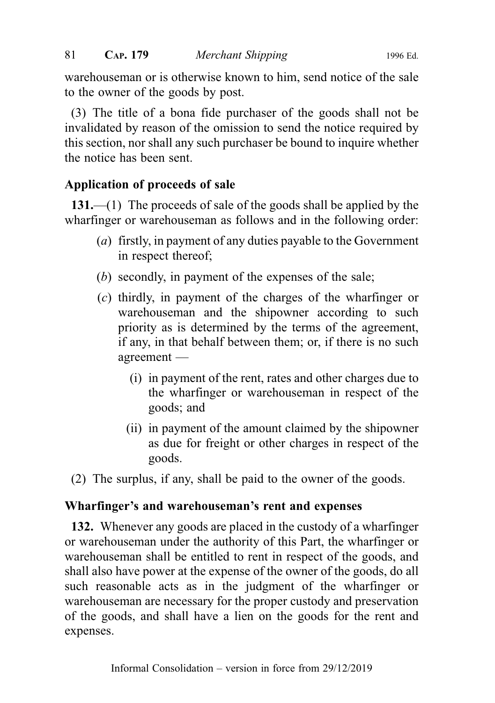warehouseman or is otherwise known to him, send notice of the sale to the owner of the goods by post.

(3) The title of a bona fide purchaser of the goods shall not be invalidated by reason of the omission to send the notice required by this section, nor shall any such purchaser be bound to inquire whether the notice has been sent.

# Application of proceeds of sale

131.—(1) The proceeds of sale of the goods shall be applied by the wharfinger or warehouseman as follows and in the following order:

- (a) firstly, in payment of any duties payable to the Government in respect thereof;
- (b) secondly, in payment of the expenses of the sale;
- (c) thirdly, in payment of the charges of the wharfinger or warehouseman and the shipowner according to such priority as is determined by the terms of the agreement, if any, in that behalf between them; or, if there is no such agreement —
	- (i) in payment of the rent, rates and other charges due to the wharfinger or warehouseman in respect of the goods; and
	- (ii) in payment of the amount claimed by the shipowner as due for freight or other charges in respect of the goods.

(2) The surplus, if any, shall be paid to the owner of the goods.

# Wharfinger's and warehouseman's rent and expenses

132. Whenever any goods are placed in the custody of a wharfinger or warehouseman under the authority of this Part, the wharfinger or warehouseman shall be entitled to rent in respect of the goods, and shall also have power at the expense of the owner of the goods, do all such reasonable acts as in the judgment of the wharfinger or warehouseman are necessary for the proper custody and preservation of the goods, and shall have a lien on the goods for the rent and expenses.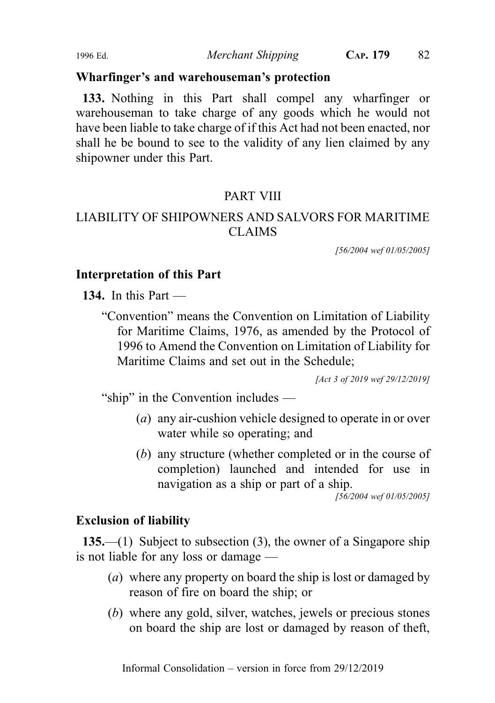#### Wharfinger's and warehouseman's protection

133. Nothing in this Part shall compel any wharfinger or warehouseman to take charge of any goods which he would not have been liable to take charge of if this Act had not been enacted, nor shall he be bound to see to the validity of any lien claimed by any shipowner under this Part.

#### PART VIII

# LIABILITY OF SHIPOWNERS AND SALVORS FOR MARITIME CLAIMS

[56/2004 wef 01/05/2005]

#### Interpretation of this Part

134. In this Part —

"Convention" means the Convention on Limitation of Liability for Maritime Claims, 1976, as amended by the Protocol of 1996 to Amend the Convention on Limitation of Liability for Maritime Claims and set out in the Schedule;

[Act 3 of 2019 wef 29/12/2019]

"ship" in the Convention includes —

- (a) any air-cushion vehicle designed to operate in or over water while so operating; and
- (b) any structure (whether completed or in the course of completion) launched and intended for use in navigation as a ship or part of a ship.

[56/2004 wef 01/05/2005]

#### Exclusion of liability

135.—(1) Subject to subsection (3), the owner of a Singapore ship is not liable for any loss or damage —

- (a) where any property on board the ship is lost or damaged by reason of fire on board the ship; or
- (b) where any gold, silver, watches, jewels or precious stones on board the ship are lost or damaged by reason of theft,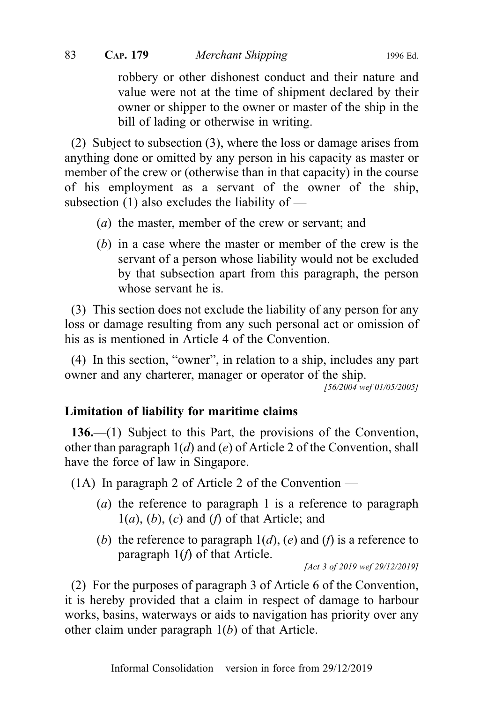robbery or other dishonest conduct and their nature and value were not at the time of shipment declared by their owner or shipper to the owner or master of the ship in the bill of lading or otherwise in writing.

(2) Subject to subsection (3), where the loss or damage arises from anything done or omitted by any person in his capacity as master or member of the crew or (otherwise than in that capacity) in the course of his employment as a servant of the owner of the ship, subsection  $(1)$  also excludes the liability of —

- (a) the master, member of the crew or servant; and
- (b) in a case where the master or member of the crew is the servant of a person whose liability would not be excluded by that subsection apart from this paragraph, the person whose servant he is.

(3) This section does not exclude the liability of any person for any loss or damage resulting from any such personal act or omission of his as is mentioned in Article 4 of the Convention.

(4) In this section, "owner", in relation to a ship, includes any part owner and any charterer, manager or operator of the ship.

[56/2004 wef 01/05/2005]

#### Limitation of liability for maritime claims

136.—(1) Subject to this Part, the provisions of the Convention, other than paragraph  $1(d)$  and  $(e)$  of Article 2 of the Convention, shall have the force of law in Singapore.

 $(1A)$  In paragraph 2 of Article 2 of the Convention —

- (a) the reference to paragraph 1 is a reference to paragraph  $1(a)$ ,  $(b)$ ,  $(c)$  and  $(f)$  of that Article; and
- (b) the reference to paragraph  $1(d)$ , (e) and (f) is a reference to paragraph  $1(f)$  of that Article.

[Act 3 of 2019 wef 29/12/2019]

(2) For the purposes of paragraph 3 of Article 6 of the Convention, it is hereby provided that a claim in respect of damage to harbour works, basins, waterways or aids to navigation has priority over any other claim under paragraph  $1(b)$  of that Article.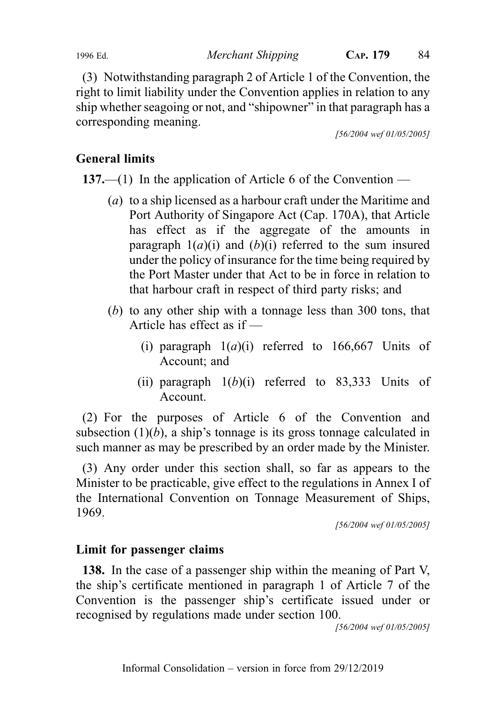(3) Notwithstanding paragraph 2 of Article 1 of the Convention, the right to limit liability under the Convention applies in relation to any ship whether seagoing or not, and "shipowner" in that paragraph has a corresponding meaning.

[56/2004 wef 01/05/2005]

# General limits

137.—(1) In the application of Article 6 of the Convention —

- (a) to a ship licensed as a harbour craft under the Maritime and Port Authority of Singapore Act (Cap. 170A), that Article has effect as if the aggregate of the amounts in paragraph  $1(a)(i)$  and  $(b)(i)$  referred to the sum insured under the policy of insurance for the time being required by the Port Master under that Act to be in force in relation to that harbour craft in respect of third party risks; and
- (b) to any other ship with a tonnage less than 300 tons, that Article has effect as if —
	- (i) paragraph  $1(a)(i)$  referred to 166,667 Units of Account; and
	- (ii) paragraph  $1(b)(i)$  referred to 83,333 Units of Account.

(2) For the purposes of Article 6 of the Convention and subsection  $(1)(b)$ , a ship's tonnage is its gross tonnage calculated in such manner as may be prescribed by an order made by the Minister.

(3) Any order under this section shall, so far as appears to the Minister to be practicable, give effect to the regulations in Annex I of the International Convention on Tonnage Measurement of Ships, 1969.

[56/2004 wef 01/05/2005]

# Limit for passenger claims

138. In the case of a passenger ship within the meaning of Part V, the ship's certificate mentioned in paragraph 1 of Article 7 of the Convention is the passenger ship's certificate issued under or recognised by regulations made under section 100.

[56/2004 wef 01/05/2005]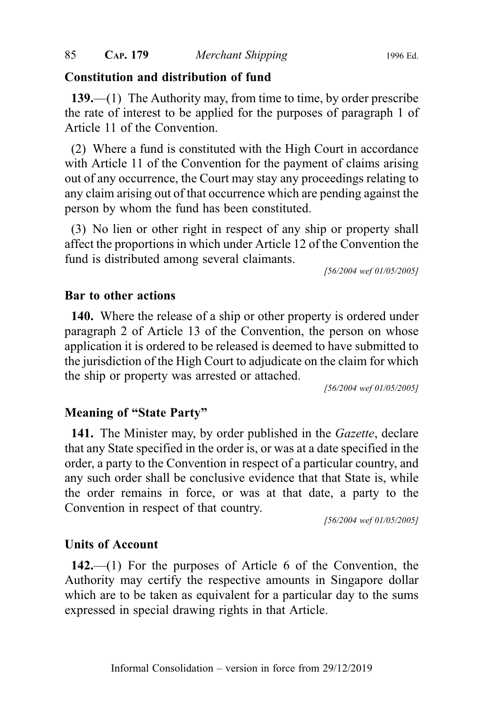#### Constitution and distribution of fund

139.—(1) The Authority may, from time to time, by order prescribe the rate of interest to be applied for the purposes of paragraph 1 of Article 11 of the Convention.

(2) Where a fund is constituted with the High Court in accordance with Article 11 of the Convention for the payment of claims arising out of any occurrence, the Court may stay any proceedings relating to any claim arising out of that occurrence which are pending against the person by whom the fund has been constituted.

(3) No lien or other right in respect of any ship or property shall affect the proportions in which under Article 12 of the Convention the fund is distributed among several claimants.

[56/2004 wef 01/05/2005]

#### Bar to other actions

140. Where the release of a ship or other property is ordered under paragraph 2 of Article 13 of the Convention, the person on whose application it is ordered to be released is deemed to have submitted to the jurisdiction of the High Court to adjudicate on the claim for which the ship or property was arrested or attached.

[56/2004 wef 01/05/2005]

#### Meaning of "State Party"

141. The Minister may, by order published in the *Gazette*, declare that any State specified in the order is, or was at a date specified in the order, a party to the Convention in respect of a particular country, and any such order shall be conclusive evidence that that State is, while the order remains in force, or was at that date, a party to the Convention in respect of that country.

[56/2004 wef 01/05/2005]

#### Units of Account

142.—(1) For the purposes of Article 6 of the Convention, the Authority may certify the respective amounts in Singapore dollar which are to be taken as equivalent for a particular day to the sums expressed in special drawing rights in that Article.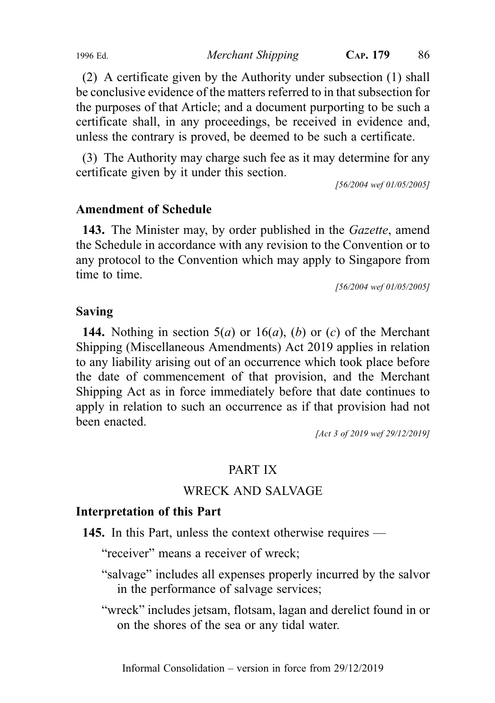(2) A certificate given by the Authority under subsection (1) shall be conclusive evidence of the matters referred to in that subsection for the purposes of that Article; and a document purporting to be such a certificate shall, in any proceedings, be received in evidence and, unless the contrary is proved, be deemed to be such a certificate.

(3) The Authority may charge such fee as it may determine for any certificate given by it under this section.

[56/2004 wef 01/05/2005]

#### Amendment of Schedule

143. The Minister may, by order published in the *Gazette*, amend the Schedule in accordance with any revision to the Convention or to any protocol to the Convention which may apply to Singapore from time to time.

[56/2004 wef 01/05/2005]

#### Saving

**144.** Nothing in section  $5(a)$  or  $16(a)$ ,  $(b)$  or  $(c)$  of the Merchant Shipping (Miscellaneous Amendments) Act 2019 applies in relation to any liability arising out of an occurrence which took place before the date of commencement of that provision, and the Merchant Shipping Act as in force immediately before that date continues to apply in relation to such an occurrence as if that provision had not been enacted.

[Act 3 of 2019 wef 29/12/2019]

# PART IX

#### WRECK AND SALVAGE

#### Interpretation of this Part

145. In this Part, unless the context otherwise requires —

"receiver" means a receiver of wreck;

- "salvage" includes all expenses properly incurred by the salvor in the performance of salvage services;
- "wreck" includes jetsam, flotsam, lagan and derelict found in or on the shores of the sea or any tidal water.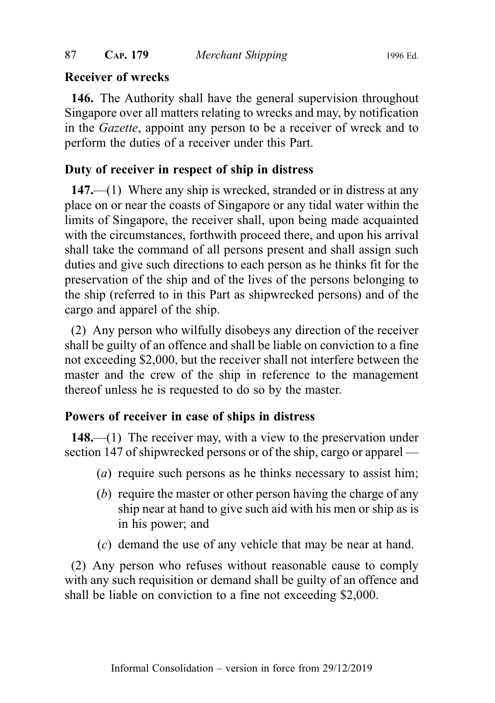#### Receiver of wrecks

146. The Authority shall have the general supervision throughout Singapore over all matters relating to wrecks and may, by notification in the Gazette, appoint any person to be a receiver of wreck and to perform the duties of a receiver under this Part.

#### Duty of receiver in respect of ship in distress

147.—(1) Where any ship is wrecked, stranded or in distress at any place on or near the coasts of Singapore or any tidal water within the limits of Singapore, the receiver shall, upon being made acquainted with the circumstances, forthwith proceed there, and upon his arrival shall take the command of all persons present and shall assign such duties and give such directions to each person as he thinks fit for the preservation of the ship and of the lives of the persons belonging to the ship (referred to in this Part as shipwrecked persons) and of the cargo and apparel of the ship.

(2) Any person who wilfully disobeys any direction of the receiver shall be guilty of an offence and shall be liable on conviction to a fine not exceeding \$2,000, but the receiver shall not interfere between the master and the crew of the ship in reference to the management thereof unless he is requested to do so by the master.

#### Powers of receiver in case of ships in distress

148.—(1) The receiver may, with a view to the preservation under section 147 of shipwrecked persons or of the ship, cargo or apparel —

- (a) require such persons as he thinks necessary to assist him;
- (b) require the master or other person having the charge of any ship near at hand to give such aid with his men or ship as is in his power; and
- (c) demand the use of any vehicle that may be near at hand.

(2) Any person who refuses without reasonable cause to comply with any such requisition or demand shall be guilty of an offence and shall be liable on conviction to a fine not exceeding \$2,000.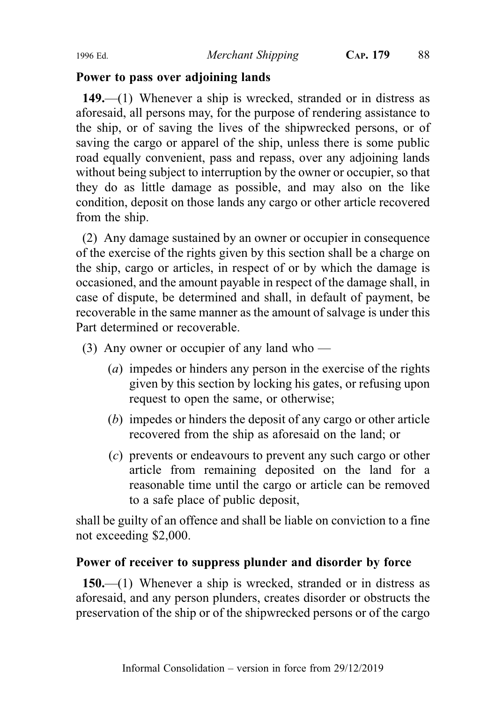#### Power to pass over adjoining lands

149.—(1) Whenever a ship is wrecked, stranded or in distress as aforesaid, all persons may, for the purpose of rendering assistance to the ship, or of saving the lives of the shipwrecked persons, or of saving the cargo or apparel of the ship, unless there is some public road equally convenient, pass and repass, over any adjoining lands without being subject to interruption by the owner or occupier, so that they do as little damage as possible, and may also on the like condition, deposit on those lands any cargo or other article recovered from the ship.

(2) Any damage sustained by an owner or occupier in consequence of the exercise of the rights given by this section shall be a charge on the ship, cargo or articles, in respect of or by which the damage is occasioned, and the amount payable in respect of the damage shall, in case of dispute, be determined and shall, in default of payment, be recoverable in the same manner as the amount of salvage is under this Part determined or recoverable.

- (3) Any owner or occupier of any land who
	- (a) impedes or hinders any person in the exercise of the rights given by this section by locking his gates, or refusing upon request to open the same, or otherwise;
	- (b) impedes or hinders the deposit of any cargo or other article recovered from the ship as aforesaid on the land; or
	- (c) prevents or endeavours to prevent any such cargo or other article from remaining deposited on the land for a reasonable time until the cargo or article can be removed to a safe place of public deposit,

shall be guilty of an offence and shall be liable on conviction to a fine not exceeding \$2,000.

#### Power of receiver to suppress plunder and disorder by force

150.—(1) Whenever a ship is wrecked, stranded or in distress as aforesaid, and any person plunders, creates disorder or obstructs the preservation of the ship or of the shipwrecked persons or of the cargo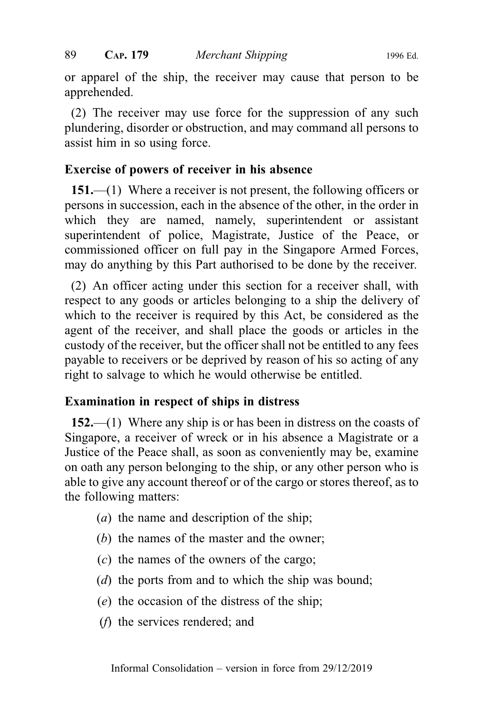or apparel of the ship, the receiver may cause that person to be apprehended.

(2) The receiver may use force for the suppression of any such plundering, disorder or obstruction, and may command all persons to assist him in so using force.

#### Exercise of powers of receiver in his absence

151.—(1) Where a receiver is not present, the following officers or persons in succession, each in the absence of the other, in the order in which they are named, namely, superintendent or assistant superintendent of police, Magistrate, Justice of the Peace, or commissioned officer on full pay in the Singapore Armed Forces, may do anything by this Part authorised to be done by the receiver.

(2) An officer acting under this section for a receiver shall, with respect to any goods or articles belonging to a ship the delivery of which to the receiver is required by this Act, be considered as the agent of the receiver, and shall place the goods or articles in the custody of the receiver, but the officer shall not be entitled to any fees payable to receivers or be deprived by reason of his so acting of any right to salvage to which he would otherwise be entitled.

#### Examination in respect of ships in distress

152.—(1) Where any ship is or has been in distress on the coasts of Singapore, a receiver of wreck or in his absence a Magistrate or a Justice of the Peace shall, as soon as conveniently may be, examine on oath any person belonging to the ship, or any other person who is able to give any account thereof or of the cargo or stores thereof, as to the following matters:

- (a) the name and description of the ship;
- (b) the names of the master and the owner;
- (c) the names of the owners of the cargo;
- (d) the ports from and to which the ship was bound;
- (e) the occasion of the distress of the ship;
- (f) the services rendered; and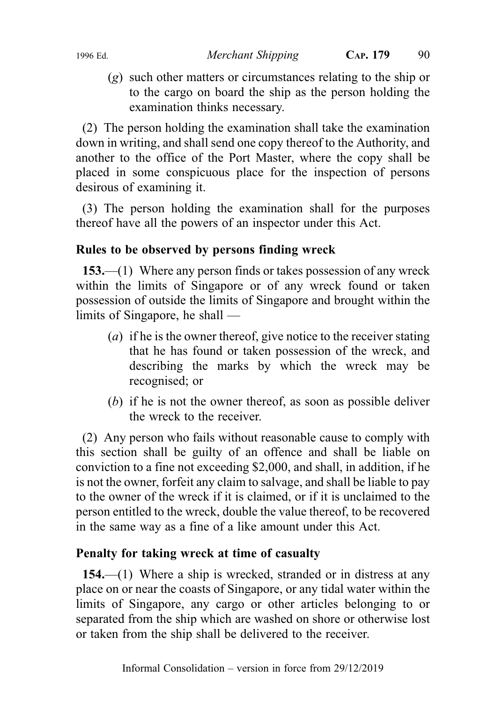(g) such other matters or circumstances relating to the ship or to the cargo on board the ship as the person holding the examination thinks necessary.

(2) The person holding the examination shall take the examination down in writing, and shall send one copy thereof to the Authority, and another to the office of the Port Master, where the copy shall be placed in some conspicuous place for the inspection of persons desirous of examining it.

(3) The person holding the examination shall for the purposes thereof have all the powers of an inspector under this Act.

# Rules to be observed by persons finding wreck

153.—(1) Where any person finds or takes possession of any wreck within the limits of Singapore or of any wreck found or taken possession of outside the limits of Singapore and brought within the limits of Singapore, he shall —

- (*a*) if he is the owner thereof, give notice to the receiver stating that he has found or taken possession of the wreck, and describing the marks by which the wreck may be recognised; or
- (b) if he is not the owner thereof, as soon as possible deliver the wreck to the receiver.

(2) Any person who fails without reasonable cause to comply with this section shall be guilty of an offence and shall be liable on conviction to a fine not exceeding \$2,000, and shall, in addition, if he is not the owner, forfeit any claim to salvage, and shall be liable to pay to the owner of the wreck if it is claimed, or if it is unclaimed to the person entitled to the wreck, double the value thereof, to be recovered in the same way as a fine of a like amount under this Act.

# Penalty for taking wreck at time of casualty

154.—(1) Where a ship is wrecked, stranded or in distress at any place on or near the coasts of Singapore, or any tidal water within the limits of Singapore, any cargo or other articles belonging to or separated from the ship which are washed on shore or otherwise lost or taken from the ship shall be delivered to the receiver.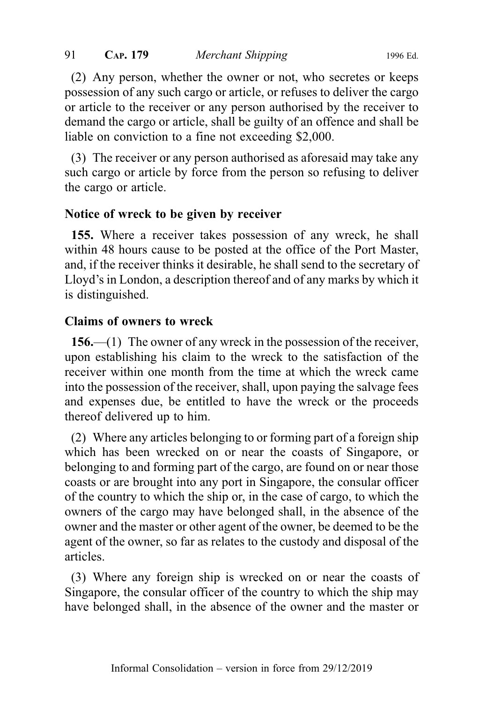(2) Any person, whether the owner or not, who secretes or keeps possession of any such cargo or article, or refuses to deliver the cargo or article to the receiver or any person authorised by the receiver to demand the cargo or article, shall be guilty of an offence and shall be liable on conviction to a fine not exceeding \$2,000.

(3) The receiver or any person authorised as aforesaid may take any such cargo or article by force from the person so refusing to deliver the cargo or article.

#### Notice of wreck to be given by receiver

155. Where a receiver takes possession of any wreck, he shall within 48 hours cause to be posted at the office of the Port Master, and, if the receiver thinks it desirable, he shall send to the secretary of Lloyd's in London, a description thereof and of any marks by which it is distinguished.

#### Claims of owners to wreck

156.—(1) The owner of any wreck in the possession of the receiver, upon establishing his claim to the wreck to the satisfaction of the receiver within one month from the time at which the wreck came into the possession of the receiver, shall, upon paying the salvage fees and expenses due, be entitled to have the wreck or the proceeds thereof delivered up to him.

(2) Where any articles belonging to or forming part of a foreign ship which has been wrecked on or near the coasts of Singapore, or belonging to and forming part of the cargo, are found on or near those coasts or are brought into any port in Singapore, the consular officer of the country to which the ship or, in the case of cargo, to which the owners of the cargo may have belonged shall, in the absence of the owner and the master or other agent of the owner, be deemed to be the agent of the owner, so far as relates to the custody and disposal of the articles.

(3) Where any foreign ship is wrecked on or near the coasts of Singapore, the consular officer of the country to which the ship may have belonged shall, in the absence of the owner and the master or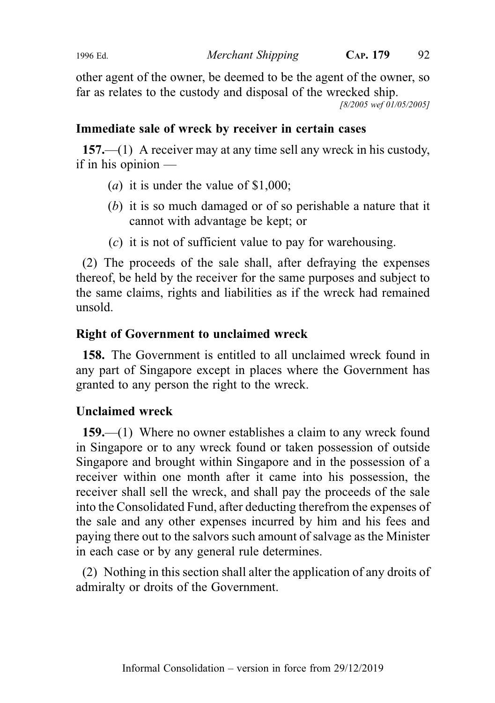other agent of the owner, be deemed to be the agent of the owner, so far as relates to the custody and disposal of the wrecked ship.

[8/2005 wef 01/05/2005]

# Immediate sale of wreck by receiver in certain cases

157.—(1) A receiver may at any time sell any wreck in his custody, if in his opinion —

- (*a*) it is under the value of \$1,000;
- (b) it is so much damaged or of so perishable a nature that it cannot with advantage be kept; or
- (c) it is not of sufficient value to pay for warehousing.

(2) The proceeds of the sale shall, after defraying the expenses thereof, be held by the receiver for the same purposes and subject to the same claims, rights and liabilities as if the wreck had remained unsold.

# Right of Government to unclaimed wreck

158. The Government is entitled to all unclaimed wreck found in any part of Singapore except in places where the Government has granted to any person the right to the wreck.

# Unclaimed wreck

159.—(1) Where no owner establishes a claim to any wreck found in Singapore or to any wreck found or taken possession of outside Singapore and brought within Singapore and in the possession of a receiver within one month after it came into his possession, the receiver shall sell the wreck, and shall pay the proceeds of the sale into the Consolidated Fund, after deducting therefrom the expenses of the sale and any other expenses incurred by him and his fees and paying there out to the salvors such amount of salvage as the Minister in each case or by any general rule determines.

(2) Nothing in this section shall alter the application of any droits of admiralty or droits of the Government.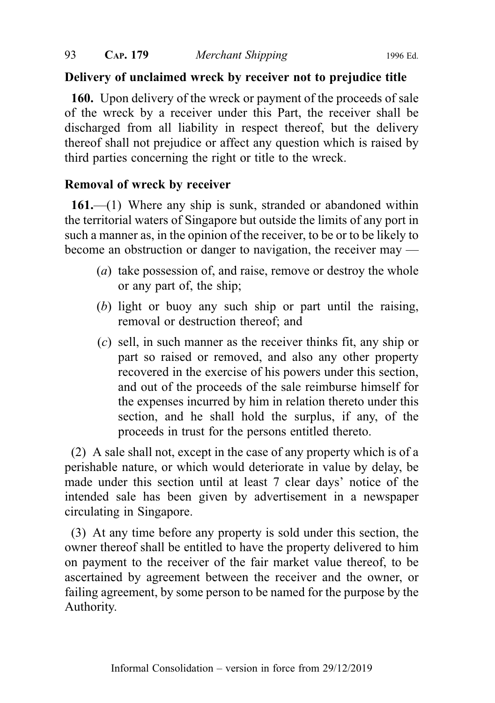#### Delivery of unclaimed wreck by receiver not to prejudice title

160. Upon delivery of the wreck or payment of the proceeds of sale of the wreck by a receiver under this Part, the receiver shall be discharged from all liability in respect thereof, but the delivery thereof shall not prejudice or affect any question which is raised by third parties concerning the right or title to the wreck.

# Removal of wreck by receiver

161.—(1) Where any ship is sunk, stranded or abandoned within the territorial waters of Singapore but outside the limits of any port in such a manner as, in the opinion of the receiver, to be or to be likely to become an obstruction or danger to navigation, the receiver may —

- (*a*) take possession of, and raise, remove or destroy the whole or any part of, the ship;
- (b) light or buoy any such ship or part until the raising, removal or destruction thereof; and
- (c) sell, in such manner as the receiver thinks fit, any ship or part so raised or removed, and also any other property recovered in the exercise of his powers under this section, and out of the proceeds of the sale reimburse himself for the expenses incurred by him in relation thereto under this section, and he shall hold the surplus, if any, of the proceeds in trust for the persons entitled thereto.

(2) A sale shall not, except in the case of any property which is of a perishable nature, or which would deteriorate in value by delay, be made under this section until at least 7 clear days' notice of the intended sale has been given by advertisement in a newspaper circulating in Singapore.

(3) At any time before any property is sold under this section, the owner thereof shall be entitled to have the property delivered to him on payment to the receiver of the fair market value thereof, to be ascertained by agreement between the receiver and the owner, or failing agreement, by some person to be named for the purpose by the Authority.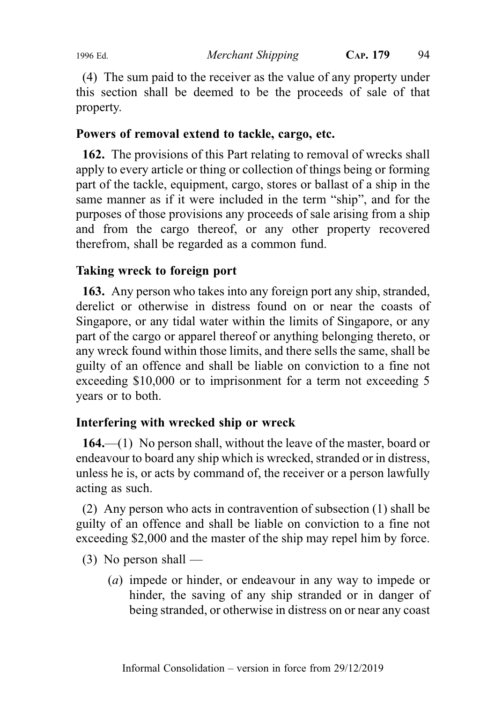(4) The sum paid to the receiver as the value of any property under this section shall be deemed to be the proceeds of sale of that property.

# Powers of removal extend to tackle, cargo, etc.

162. The provisions of this Part relating to removal of wrecks shall apply to every article or thing or collection of things being or forming part of the tackle, equipment, cargo, stores or ballast of a ship in the same manner as if it were included in the term "ship", and for the purposes of those provisions any proceeds of sale arising from a ship and from the cargo thereof, or any other property recovered therefrom, shall be regarded as a common fund.

#### Taking wreck to foreign port

163. Any person who takes into any foreign port any ship, stranded, derelict or otherwise in distress found on or near the coasts of Singapore, or any tidal water within the limits of Singapore, or any part of the cargo or apparel thereof or anything belonging thereto, or any wreck found within those limits, and there sells the same, shall be guilty of an offence and shall be liable on conviction to a fine not exceeding \$10,000 or to imprisonment for a term not exceeding 5 years or to both.

#### Interfering with wrecked ship or wreck

164.—(1) No person shall, without the leave of the master, board or endeavour to board any ship which is wrecked, stranded or in distress, unless he is, or acts by command of, the receiver or a person lawfully acting as such.

(2) Any person who acts in contravention of subsection (1) shall be guilty of an offence and shall be liable on conviction to a fine not exceeding \$2,000 and the master of the ship may repel him by force.

- $(3)$  No person shall
	- (a) impede or hinder, or endeavour in any way to impede or hinder, the saving of any ship stranded or in danger of being stranded, or otherwise in distress on or near any coast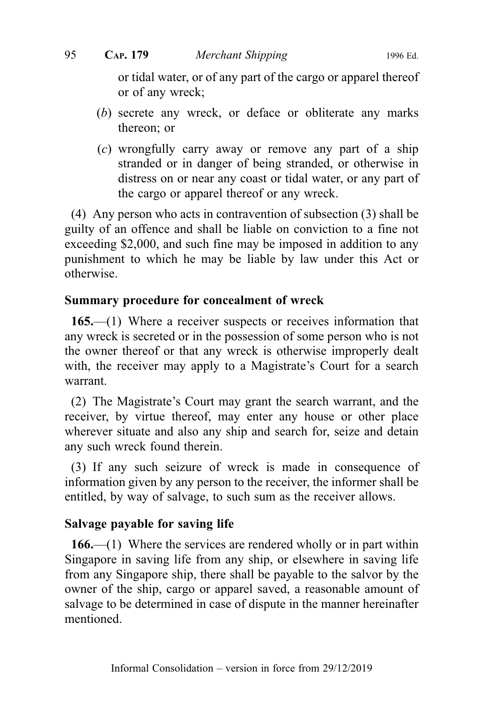or tidal water, or of any part of the cargo or apparel thereof or of any wreck;

- (b) secrete any wreck, or deface or obliterate any marks thereon; or
- (c) wrongfully carry away or remove any part of a ship stranded or in danger of being stranded, or otherwise in distress on or near any coast or tidal water, or any part of the cargo or apparel thereof or any wreck.

(4) Any person who acts in contravention of subsection (3) shall be guilty of an offence and shall be liable on conviction to a fine not exceeding \$2,000, and such fine may be imposed in addition to any punishment to which he may be liable by law under this Act or otherwise.

#### Summary procedure for concealment of wreck

165.—(1) Where a receiver suspects or receives information that any wreck is secreted or in the possession of some person who is not the owner thereof or that any wreck is otherwise improperly dealt with, the receiver may apply to a Magistrate's Court for a search warrant.

(2) The Magistrate's Court may grant the search warrant, and the receiver, by virtue thereof, may enter any house or other place wherever situate and also any ship and search for, seize and detain any such wreck found therein.

(3) If any such seizure of wreck is made in consequence of information given by any person to the receiver, the informer shall be entitled, by way of salvage, to such sum as the receiver allows.

#### Salvage payable for saving life

166.—(1) Where the services are rendered wholly or in part within Singapore in saving life from any ship, or elsewhere in saving life from any Singapore ship, there shall be payable to the salvor by the owner of the ship, cargo or apparel saved, a reasonable amount of salvage to be determined in case of dispute in the manner hereinafter mentioned.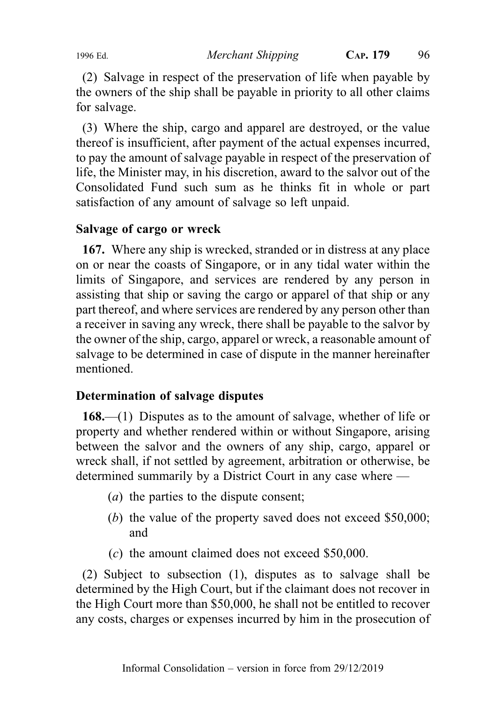(2) Salvage in respect of the preservation of life when payable by the owners of the ship shall be payable in priority to all other claims for salvage.

(3) Where the ship, cargo and apparel are destroyed, or the value thereof is insufficient, after payment of the actual expenses incurred, to pay the amount of salvage payable in respect of the preservation of life, the Minister may, in his discretion, award to the salvor out of the Consolidated Fund such sum as he thinks fit in whole or part satisfaction of any amount of salvage so left unpaid.

# Salvage of cargo or wreck

167. Where any ship is wrecked, stranded or in distress at any place on or near the coasts of Singapore, or in any tidal water within the limits of Singapore, and services are rendered by any person in assisting that ship or saving the cargo or apparel of that ship or any part thereof, and where services are rendered by any person other than a receiver in saving any wreck, there shall be payable to the salvor by the owner of the ship, cargo, apparel or wreck, a reasonable amount of salvage to be determined in case of dispute in the manner hereinafter mentioned.

#### Determination of salvage disputes

168.—(1) Disputes as to the amount of salvage, whether of life or property and whether rendered within or without Singapore, arising between the salvor and the owners of any ship, cargo, apparel or wreck shall, if not settled by agreement, arbitration or otherwise, be determined summarily by a District Court in any case where —

- (a) the parties to the dispute consent;
- (b) the value of the property saved does not exceed \$50,000; and
- (c) the amount claimed does not exceed \$50,000.

(2) Subject to subsection (1), disputes as to salvage shall be determined by the High Court, but if the claimant does not recover in the High Court more than \$50,000, he shall not be entitled to recover any costs, charges or expenses incurred by him in the prosecution of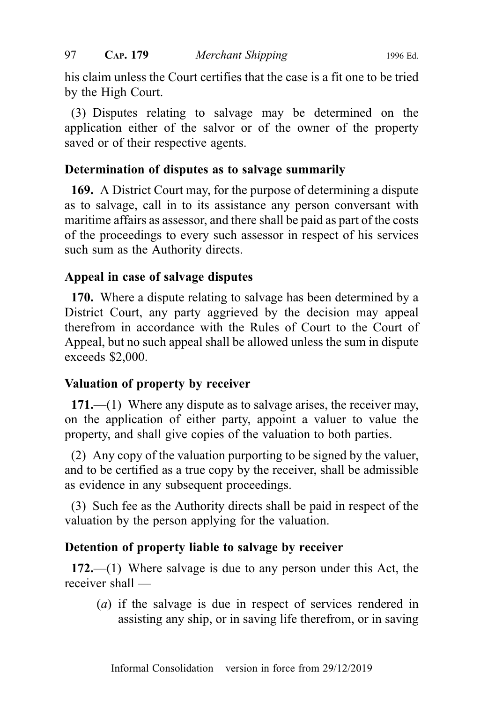his claim unless the Court certifies that the case is a fit one to be tried by the High Court.

(3) Disputes relating to salvage may be determined on the application either of the salvor or of the owner of the property saved or of their respective agents.

#### Determination of disputes as to salvage summarily

169. A District Court may, for the purpose of determining a dispute as to salvage, call in to its assistance any person conversant with maritime affairs as assessor, and there shall be paid as part of the costs of the proceedings to every such assessor in respect of his services such sum as the Authority directs.

#### Appeal in case of salvage disputes

170. Where a dispute relating to salvage has been determined by a District Court, any party aggrieved by the decision may appeal therefrom in accordance with the Rules of Court to the Court of Appeal, but no such appeal shall be allowed unless the sum in dispute exceeds \$2,000.

# Valuation of property by receiver

171.—(1) Where any dispute as to salvage arises, the receiver may, on the application of either party, appoint a valuer to value the property, and shall give copies of the valuation to both parties.

(2) Any copy of the valuation purporting to be signed by the valuer, and to be certified as a true copy by the receiver, shall be admissible as evidence in any subsequent proceedings.

(3) Such fee as the Authority directs shall be paid in respect of the valuation by the person applying for the valuation.

# Detention of property liable to salvage by receiver

172.—(1) Where salvage is due to any person under this Act, the receiver shall —

(a) if the salvage is due in respect of services rendered in assisting any ship, or in saving life therefrom, or in saving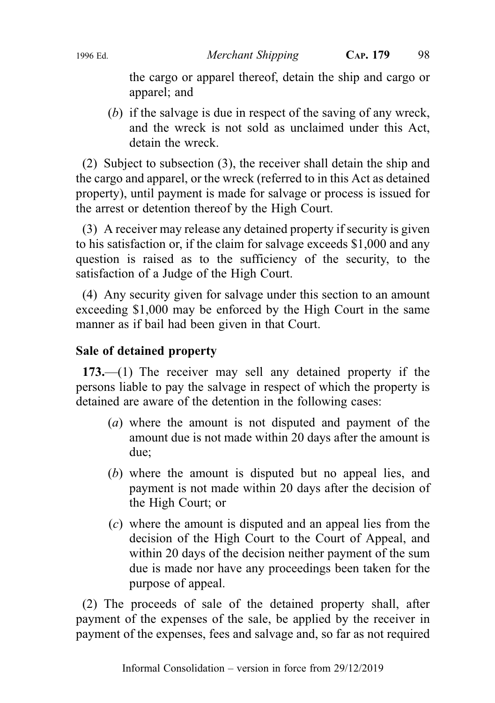the cargo or apparel thereof, detain the ship and cargo or apparel; and

(b) if the salvage is due in respect of the saving of any wreck, and the wreck is not sold as unclaimed under this Act, detain the wreck.

(2) Subject to subsection (3), the receiver shall detain the ship and the cargo and apparel, or the wreck (referred to in this Act as detained property), until payment is made for salvage or process is issued for the arrest or detention thereof by the High Court.

(3) A receiver may release any detained property if security is given to his satisfaction or, if the claim for salvage exceeds \$1,000 and any question is raised as to the sufficiency of the security, to the satisfaction of a Judge of the High Court.

(4) Any security given for salvage under this section to an amount exceeding \$1,000 may be enforced by the High Court in the same manner as if bail had been given in that Court.

# Sale of detained property

173.—(1) The receiver may sell any detained property if the persons liable to pay the salvage in respect of which the property is detained are aware of the detention in the following cases:

- (a) where the amount is not disputed and payment of the amount due is not made within 20 days after the amount is due;
- (b) where the amount is disputed but no appeal lies, and payment is not made within 20 days after the decision of the High Court; or
- (c) where the amount is disputed and an appeal lies from the decision of the High Court to the Court of Appeal, and within 20 days of the decision neither payment of the sum due is made nor have any proceedings been taken for the purpose of appeal.

(2) The proceeds of sale of the detained property shall, after payment of the expenses of the sale, be applied by the receiver in payment of the expenses, fees and salvage and, so far as not required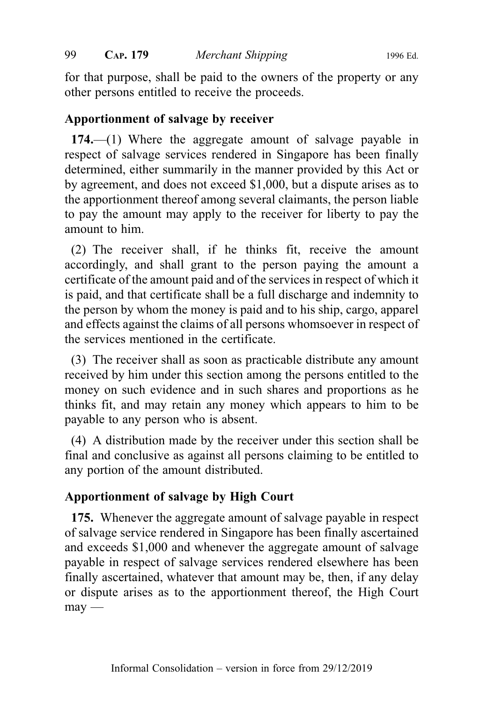for that purpose, shall be paid to the owners of the property or any other persons entitled to receive the proceeds.

#### Apportionment of salvage by receiver

174.—(1) Where the aggregate amount of salvage payable in respect of salvage services rendered in Singapore has been finally determined, either summarily in the manner provided by this Act or by agreement, and does not exceed \$1,000, but a dispute arises as to the apportionment thereof among several claimants, the person liable to pay the amount may apply to the receiver for liberty to pay the amount to him.

(2) The receiver shall, if he thinks fit, receive the amount accordingly, and shall grant to the person paying the amount a certificate of the amount paid and of the services in respect of which it is paid, and that certificate shall be a full discharge and indemnity to the person by whom the money is paid and to his ship, cargo, apparel and effects against the claims of all persons whomsoever in respect of the services mentioned in the certificate.

(3) The receiver shall as soon as practicable distribute any amount received by him under this section among the persons entitled to the money on such evidence and in such shares and proportions as he thinks fit, and may retain any money which appears to him to be payable to any person who is absent.

(4) A distribution made by the receiver under this section shall be final and conclusive as against all persons claiming to be entitled to any portion of the amount distributed.

# Apportionment of salvage by High Court

175. Whenever the aggregate amount of salvage payable in respect of salvage service rendered in Singapore has been finally ascertained and exceeds \$1,000 and whenever the aggregate amount of salvage payable in respect of salvage services rendered elsewhere has been finally ascertained, whatever that amount may be, then, if any delay or dispute arises as to the apportionment thereof, the High Court  $m$ ay —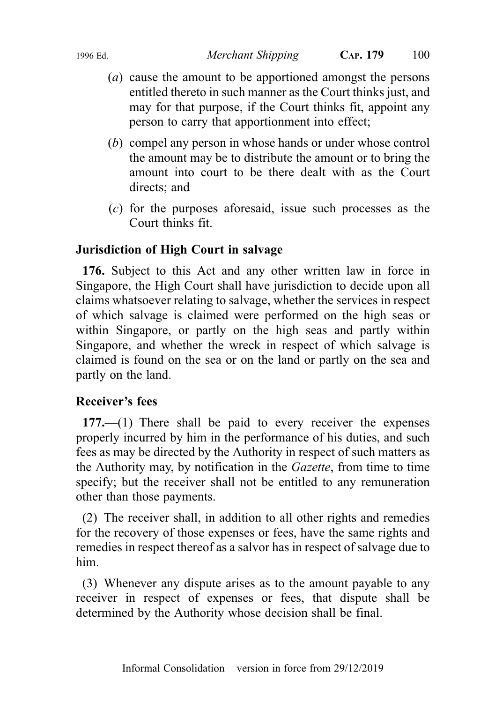- (a) cause the amount to be apportioned amongst the persons entitled thereto in such manner as the Court thinks just, and may for that purpose, if the Court thinks fit, appoint any person to carry that apportionment into effect;
- (b) compel any person in whose hands or under whose control the amount may be to distribute the amount or to bring the amount into court to be there dealt with as the Court directs; and
- (c) for the purposes aforesaid, issue such processes as the Court thinks fit.

# Jurisdiction of High Court in salvage

176. Subject to this Act and any other written law in force in Singapore, the High Court shall have jurisdiction to decide upon all claims whatsoever relating to salvage, whether the services in respect of which salvage is claimed were performed on the high seas or within Singapore, or partly on the high seas and partly within Singapore, and whether the wreck in respect of which salvage is claimed is found on the sea or on the land or partly on the sea and partly on the land.

# Receiver's fees

177.—(1) There shall be paid to every receiver the expenses properly incurred by him in the performance of his duties, and such fees as may be directed by the Authority in respect of such matters as the Authority may, by notification in the Gazette, from time to time specify; but the receiver shall not be entitled to any remuneration other than those payments.

(2) The receiver shall, in addition to all other rights and remedies for the recovery of those expenses or fees, have the same rights and remedies in respect thereof as a salvor has in respect of salvage due to him.

(3) Whenever any dispute arises as to the amount payable to any receiver in respect of expenses or fees, that dispute shall be determined by the Authority whose decision shall be final.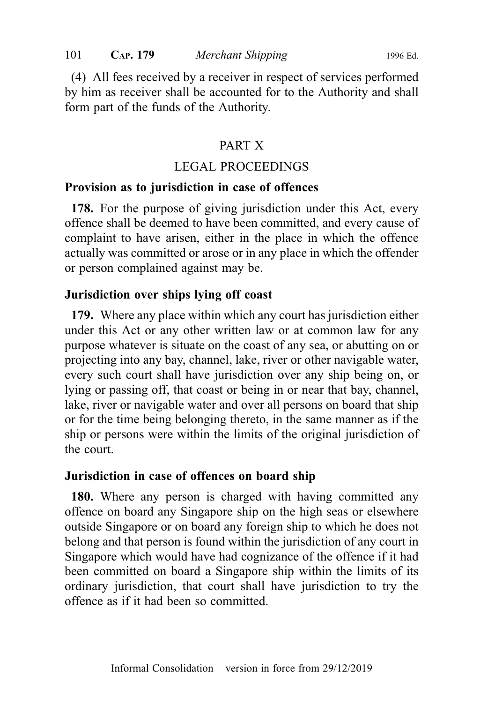(4) All fees received by a receiver in respect of services performed by him as receiver shall be accounted for to the Authority and shall form part of the funds of the Authority.

#### PART X

#### LEGAL PROCEEDINGS

#### Provision as to jurisdiction in case of offences

178. For the purpose of giving jurisdiction under this Act, every offence shall be deemed to have been committed, and every cause of complaint to have arisen, either in the place in which the offence actually was committed or arose or in any place in which the offender or person complained against may be.

#### Jurisdiction over ships lying off coast

179. Where any place within which any court has jurisdiction either under this Act or any other written law or at common law for any purpose whatever is situate on the coast of any sea, or abutting on or projecting into any bay, channel, lake, river or other navigable water, every such court shall have jurisdiction over any ship being on, or lying or passing off, that coast or being in or near that bay, channel, lake, river or navigable water and over all persons on board that ship or for the time being belonging thereto, in the same manner as if the ship or persons were within the limits of the original jurisdiction of the court.

#### Jurisdiction in case of offences on board ship

180. Where any person is charged with having committed any offence on board any Singapore ship on the high seas or elsewhere outside Singapore or on board any foreign ship to which he does not belong and that person is found within the jurisdiction of any court in Singapore which would have had cognizance of the offence if it had been committed on board a Singapore ship within the limits of its ordinary jurisdiction, that court shall have jurisdiction to try the offence as if it had been so committed.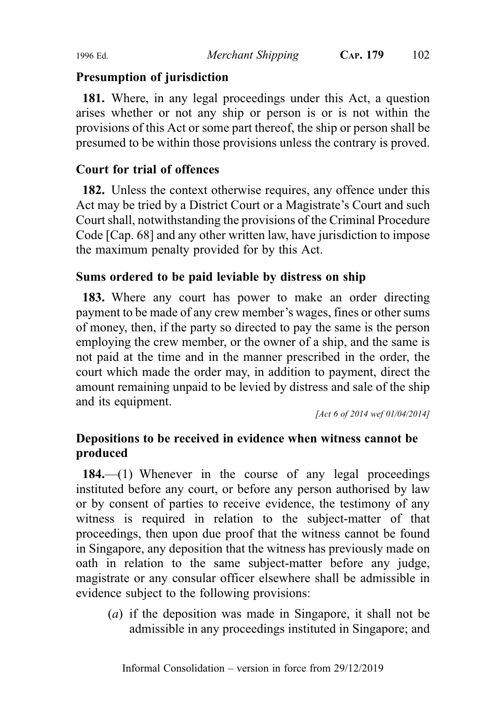#### Presumption of jurisdiction

181. Where, in any legal proceedings under this Act, a question arises whether or not any ship or person is or is not within the provisions of this Act or some part thereof, the ship or person shall be presumed to be within those provisions unless the contrary is proved.

# Court for trial of offences

182. Unless the context otherwise requires, any offence under this Act may be tried by a District Court or a Magistrate's Court and such Court shall, notwithstanding the provisions of the Criminal Procedure Code [Cap. 68] and any other written law, have jurisdiction to impose the maximum penalty provided for by this Act.

#### Sums ordered to be paid leviable by distress on ship

183. Where any court has power to make an order directing payment to be made of any crew member's wages, fines or other sums of money, then, if the party so directed to pay the same is the person employing the crew member, or the owner of a ship, and the same is not paid at the time and in the manner prescribed in the order, the court which made the order may, in addition to payment, direct the amount remaining unpaid to be levied by distress and sale of the ship and its equipment.

[Act 6 of 2014 wef 01/04/2014]

# Depositions to be received in evidence when witness cannot be produced

184.—(1) Whenever in the course of any legal proceedings instituted before any court, or before any person authorised by law or by consent of parties to receive evidence, the testimony of any witness is required in relation to the subject-matter of that proceedings, then upon due proof that the witness cannot be found in Singapore, any deposition that the witness has previously made on oath in relation to the same subject-matter before any judge, magistrate or any consular officer elsewhere shall be admissible in evidence subject to the following provisions:

(a) if the deposition was made in Singapore, it shall not be admissible in any proceedings instituted in Singapore; and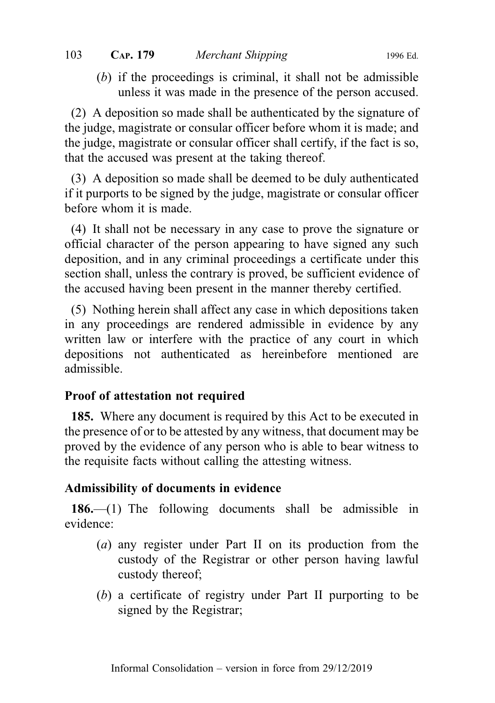(b) if the proceedings is criminal, it shall not be admissible unless it was made in the presence of the person accused.

(2) A deposition so made shall be authenticated by the signature of the judge, magistrate or consular officer before whom it is made; and the judge, magistrate or consular officer shall certify, if the fact is so, that the accused was present at the taking thereof.

(3) A deposition so made shall be deemed to be duly authenticated if it purports to be signed by the judge, magistrate or consular officer before whom it is made.

(4) It shall not be necessary in any case to prove the signature or official character of the person appearing to have signed any such deposition, and in any criminal proceedings a certificate under this section shall, unless the contrary is proved, be sufficient evidence of the accused having been present in the manner thereby certified.

(5) Nothing herein shall affect any case in which depositions taken in any proceedings are rendered admissible in evidence by any written law or interfere with the practice of any court in which depositions not authenticated as hereinbefore mentioned are admissible.

# Proof of attestation not required

185. Where any document is required by this Act to be executed in the presence of or to be attested by any witness, that document may be proved by the evidence of any person who is able to bear witness to the requisite facts without calling the attesting witness.

# Admissibility of documents in evidence

186.—(1) The following documents shall be admissible in evidence:

- (a) any register under Part II on its production from the custody of the Registrar or other person having lawful custody thereof;
- (b) a certificate of registry under Part II purporting to be signed by the Registrar;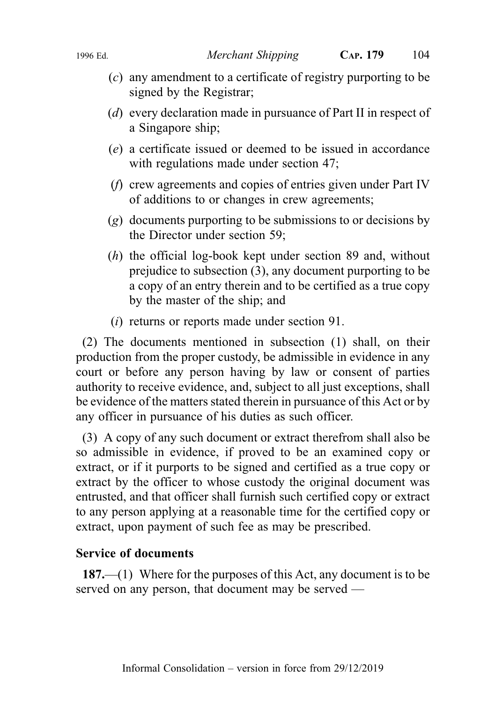- (c) any amendment to a certificate of registry purporting to be signed by the Registrar;
- (d) every declaration made in pursuance of Part II in respect of a Singapore ship;
- (e) a certificate issued or deemed to be issued in accordance with regulations made under section 47;
- (f) crew agreements and copies of entries given under Part IV of additions to or changes in crew agreements;
- (g) documents purporting to be submissions to or decisions by the Director under section 59;
- (h) the official log-book kept under section 89 and, without prejudice to subsection (3), any document purporting to be a copy of an entry therein and to be certified as a true copy by the master of the ship; and
- (i) returns or reports made under section 91.

(2) The documents mentioned in subsection (1) shall, on their production from the proper custody, be admissible in evidence in any court or before any person having by law or consent of parties authority to receive evidence, and, subject to all just exceptions, shall be evidence of the matters stated therein in pursuance of this Act or by any officer in pursuance of his duties as such officer.

(3) A copy of any such document or extract therefrom shall also be so admissible in evidence, if proved to be an examined copy or extract, or if it purports to be signed and certified as a true copy or extract by the officer to whose custody the original document was entrusted, and that officer shall furnish such certified copy or extract to any person applying at a reasonable time for the certified copy or extract, upon payment of such fee as may be prescribed.

#### Service of documents

187.—(1) Where for the purposes of this Act, any document is to be served on any person, that document may be served —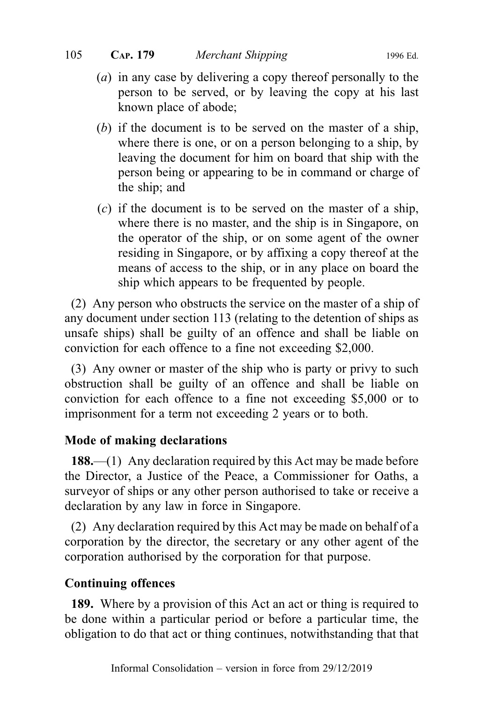- (a) in any case by delivering a copy thereof personally to the person to be served, or by leaving the copy at his last known place of abode;
- (b) if the document is to be served on the master of a ship, where there is one, or on a person belonging to a ship, by leaving the document for him on board that ship with the person being or appearing to be in command or charge of the ship; and
- (c) if the document is to be served on the master of a ship, where there is no master, and the ship is in Singapore, on the operator of the ship, or on some agent of the owner residing in Singapore, or by affixing a copy thereof at the means of access to the ship, or in any place on board the ship which appears to be frequented by people.

(2) Any person who obstructs the service on the master of a ship of any document under section 113 (relating to the detention of ships as unsafe ships) shall be guilty of an offence and shall be liable on conviction for each offence to a fine not exceeding \$2,000.

(3) Any owner or master of the ship who is party or privy to such obstruction shall be guilty of an offence and shall be liable on conviction for each offence to a fine not exceeding \$5,000 or to imprisonment for a term not exceeding 2 years or to both.

# Mode of making declarations

188.—(1) Any declaration required by this Act may be made before the Director, a Justice of the Peace, a Commissioner for Oaths, a surveyor of ships or any other person authorised to take or receive a declaration by any law in force in Singapore.

(2) Any declaration required by this Act may be made on behalf of a corporation by the director, the secretary or any other agent of the corporation authorised by the corporation for that purpose.

# Continuing offences

189. Where by a provision of this Act an act or thing is required to be done within a particular period or before a particular time, the obligation to do that act or thing continues, notwithstanding that that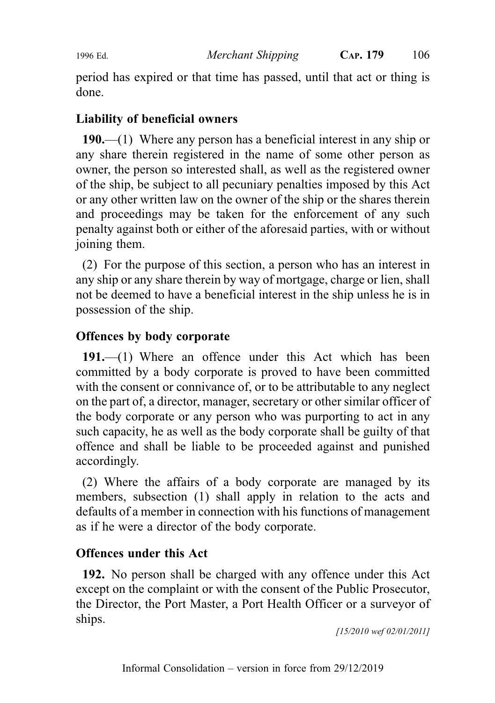period has expired or that time has passed, until that act or thing is done.

#### Liability of beneficial owners

190.—(1) Where any person has a beneficial interest in any ship or any share therein registered in the name of some other person as owner, the person so interested shall, as well as the registered owner of the ship, be subject to all pecuniary penalties imposed by this Act or any other written law on the owner of the ship or the shares therein and proceedings may be taken for the enforcement of any such penalty against both or either of the aforesaid parties, with or without joining them.

(2) For the purpose of this section, a person who has an interest in any ship or any share therein by way of mortgage, charge or lien, shall not be deemed to have a beneficial interest in the ship unless he is in possession of the ship.

#### Offences by body corporate

191.—(1) Where an offence under this Act which has been committed by a body corporate is proved to have been committed with the consent or connivance of, or to be attributable to any neglect on the part of, a director, manager, secretary or other similar officer of the body corporate or any person who was purporting to act in any such capacity, he as well as the body corporate shall be guilty of that offence and shall be liable to be proceeded against and punished accordingly.

(2) Where the affairs of a body corporate are managed by its members, subsection (1) shall apply in relation to the acts and defaults of a member in connection with his functions of management as if he were a director of the body corporate.

#### Offences under this Act

192. No person shall be charged with any offence under this Act except on the complaint or with the consent of the Public Prosecutor, the Director, the Port Master, a Port Health Officer or a surveyor of ships.

[15/2010 wef 02/01/2011]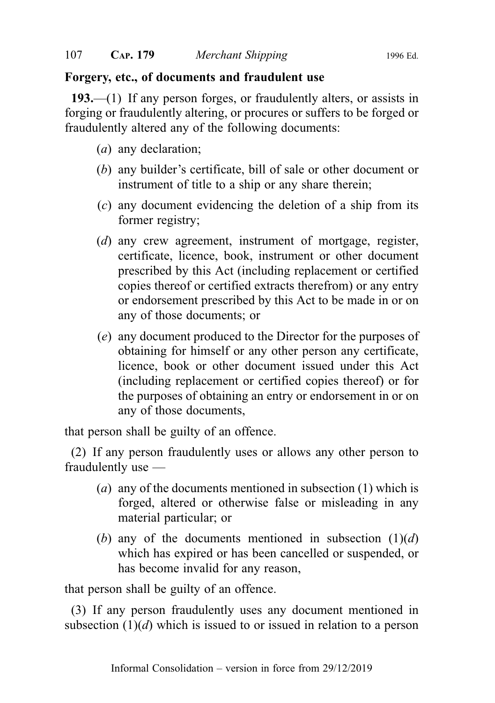#### Forgery, etc., of documents and fraudulent use

193.—(1) If any person forges, or fraudulently alters, or assists in forging or fraudulently altering, or procures or suffers to be forged or fraudulently altered any of the following documents:

- (a) any declaration;
- (b) any builder's certificate, bill of sale or other document or instrument of title to a ship or any share therein;
- (c) any document evidencing the deletion of a ship from its former registry;
- (d) any crew agreement, instrument of mortgage, register, certificate, licence, book, instrument or other document prescribed by this Act (including replacement or certified copies thereof or certified extracts therefrom) or any entry or endorsement prescribed by this Act to be made in or on any of those documents; or
- (e) any document produced to the Director for the purposes of obtaining for himself or any other person any certificate, licence, book or other document issued under this Act (including replacement or certified copies thereof) or for the purposes of obtaining an entry or endorsement in or on any of those documents,

that person shall be guilty of an offence.

(2) If any person fraudulently uses or allows any other person to fraudulently use —

- (a) any of the documents mentioned in subsection (1) which is forged, altered or otherwise false or misleading in any material particular; or
- (b) any of the documents mentioned in subsection  $(1)(d)$ which has expired or has been cancelled or suspended, or has become invalid for any reason,

that person shall be guilty of an offence.

(3) If any person fraudulently uses any document mentioned in subsection  $(1)(d)$  which is issued to or issued in relation to a person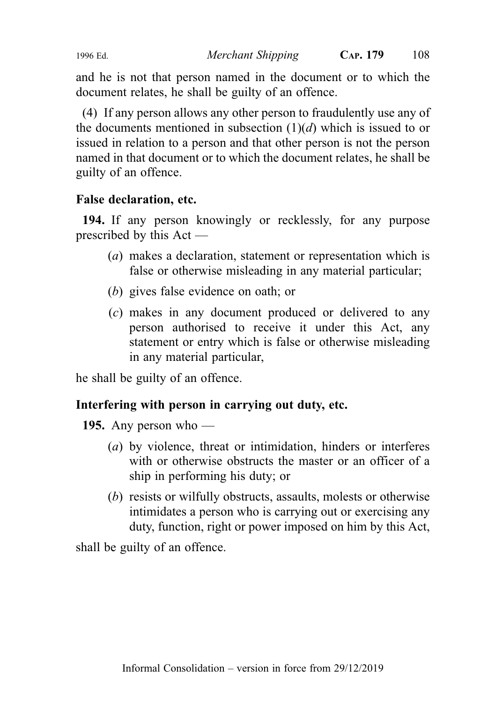and he is not that person named in the document or to which the document relates, he shall be guilty of an offence.

(4) If any person allows any other person to fraudulently use any of the documents mentioned in subsection  $(1)(d)$  which is issued to or issued in relation to a person and that other person is not the person named in that document or to which the document relates, he shall be guilty of an offence.

# False declaration, etc.

194. If any person knowingly or recklessly, for any purpose prescribed by this Act —

- (a) makes a declaration, statement or representation which is false or otherwise misleading in any material particular;
- (b) gives false evidence on oath; or
- (c) makes in any document produced or delivered to any person authorised to receive it under this Act, any statement or entry which is false or otherwise misleading in any material particular,

he shall be guilty of an offence.

# Interfering with person in carrying out duty, etc.

195. Any person who —

- (a) by violence, threat or intimidation, hinders or interferes with or otherwise obstructs the master or an officer of a ship in performing his duty; or
- (b) resists or wilfully obstructs, assaults, molests or otherwise intimidates a person who is carrying out or exercising any duty, function, right or power imposed on him by this Act,

shall be guilty of an offence.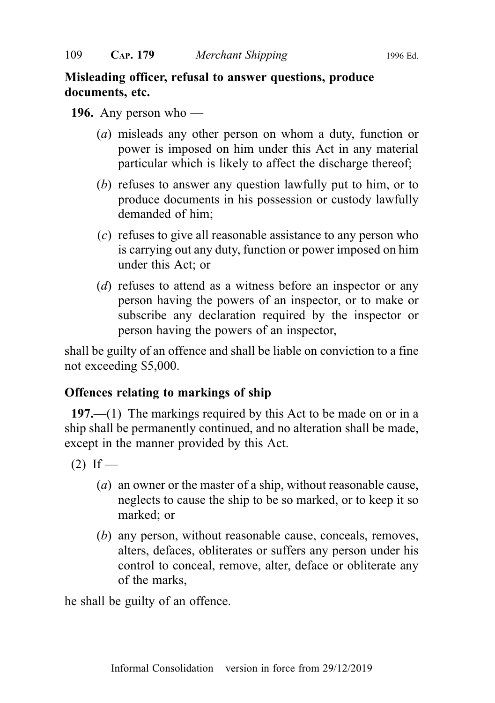# Misleading officer, refusal to answer questions, produce documents, etc.

# **196.** Any person who —

- (a) misleads any other person on whom a duty, function or power is imposed on him under this Act in any material particular which is likely to affect the discharge thereof;
- (b) refuses to answer any question lawfully put to him, or to produce documents in his possession or custody lawfully demanded of him;
- (c) refuses to give all reasonable assistance to any person who is carrying out any duty, function or power imposed on him under this Act; or
- (d) refuses to attend as a witness before an inspector or any person having the powers of an inspector, or to make or subscribe any declaration required by the inspector or person having the powers of an inspector,

shall be guilty of an offence and shall be liable on conviction to a fine not exceeding \$5,000.

# Offences relating to markings of ship

197.—(1) The markings required by this Act to be made on or in a ship shall be permanently continued, and no alteration shall be made, except in the manner provided by this Act.

 $(2)$  If —

- (a) an owner or the master of a ship, without reasonable cause, neglects to cause the ship to be so marked, or to keep it so marked; or
- (b) any person, without reasonable cause, conceals, removes, alters, defaces, obliterates or suffers any person under his control to conceal, remove, alter, deface or obliterate any of the marks,

he shall be guilty of an offence.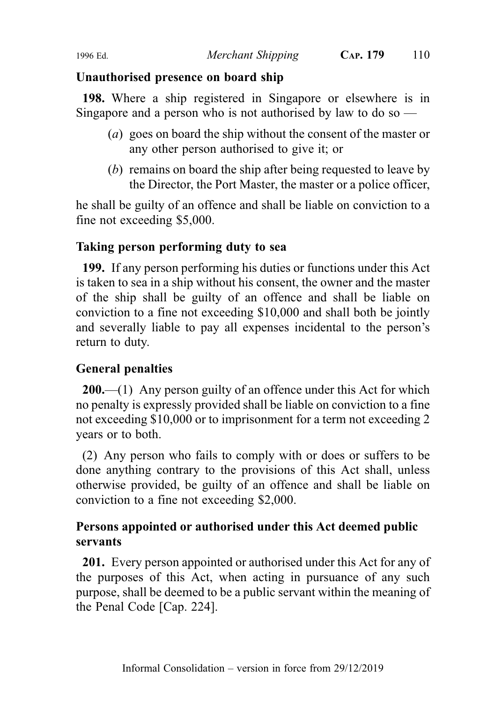# Unauthorised presence on board ship

198. Where a ship registered in Singapore or elsewhere is in Singapore and a person who is not authorised by law to do so  $-$ 

- (a) goes on board the ship without the consent of the master or any other person authorised to give it; or
- (b) remains on board the ship after being requested to leave by the Director, the Port Master, the master or a police officer,

he shall be guilty of an offence and shall be liable on conviction to a fine not exceeding \$5,000.

# Taking person performing duty to sea

199. If any person performing his duties or functions under this Act is taken to sea in a ship without his consent, the owner and the master of the ship shall be guilty of an offence and shall be liable on conviction to a fine not exceeding \$10,000 and shall both be jointly and severally liable to pay all expenses incidental to the person's return to duty.

# General penalties

200.—(1) Any person guilty of an offence under this Act for which no penalty is expressly provided shall be liable on conviction to a fine not exceeding \$10,000 or to imprisonment for a term not exceeding 2 years or to both.

(2) Any person who fails to comply with or does or suffers to be done anything contrary to the provisions of this Act shall, unless otherwise provided, be guilty of an offence and shall be liable on conviction to a fine not exceeding \$2,000.

# Persons appointed or authorised under this Act deemed public servants

201. Every person appointed or authorised under this Act for any of the purposes of this Act, when acting in pursuance of any such purpose, shall be deemed to be a public servant within the meaning of the Penal Code [Cap. 224].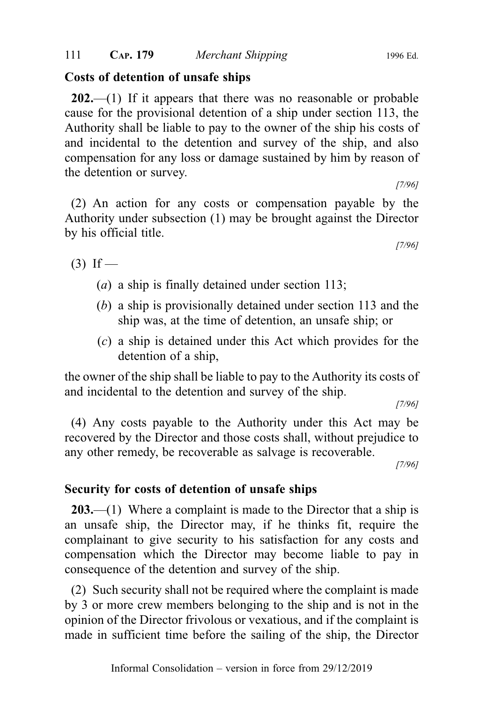# Costs of detention of unsafe ships

 $202$ —(1) If it appears that there was no reasonable or probable cause for the provisional detention of a ship under section 113, the Authority shall be liable to pay to the owner of the ship his costs of and incidental to the detention and survey of the ship, and also compensation for any loss or damage sustained by him by reason of the detention or survey.

(2) An action for any costs or compensation payable by the Authority under subsection (1) may be brought against the Director by his official title.

 $(3)$  If —

- (a) a ship is finally detained under section 113;
- (b) a ship is provisionally detained under section 113 and the ship was, at the time of detention, an unsafe ship; or
- (c) a ship is detained under this Act which provides for the detention of a ship,

the owner of the ship shall be liable to pay to the Authority its costs of and incidental to the detention and survey of the ship.

[7/96]

(4) Any costs payable to the Authority under this Act may be recovered by the Director and those costs shall, without prejudice to any other remedy, be recoverable as salvage is recoverable.

[7/96]

# Security for costs of detention of unsafe ships

203.—(1) Where a complaint is made to the Director that a ship is an unsafe ship, the Director may, if he thinks fit, require the complainant to give security to his satisfaction for any costs and compensation which the Director may become liable to pay in consequence of the detention and survey of the ship.

(2) Such security shall not be required where the complaint is made by 3 or more crew members belonging to the ship and is not in the opinion of the Director frivolous or vexatious, and if the complaint is made in sufficient time before the sailing of the ship, the Director

[7/96]

[7/96]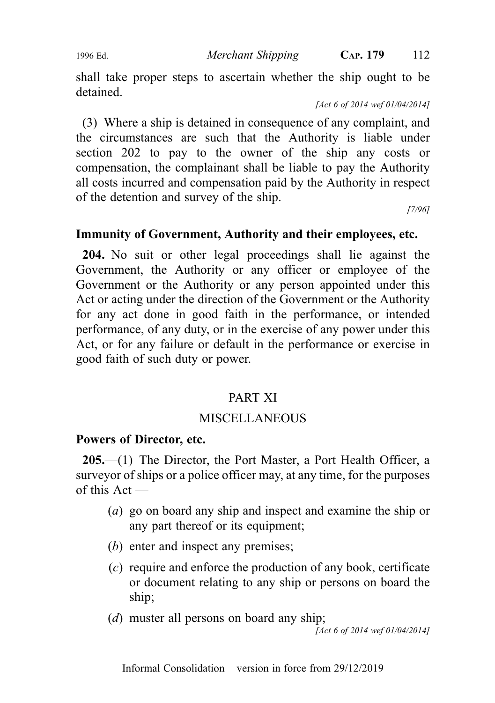shall take proper steps to ascertain whether the ship ought to be detained.

[Act 6 of 2014 wef 01/04/2014]

(3) Where a ship is detained in consequence of any complaint, and the circumstances are such that the Authority is liable under section 202 to pay to the owner of the ship any costs or compensation, the complainant shall be liable to pay the Authority all costs incurred and compensation paid by the Authority in respect of the detention and survey of the ship.

[7/96]

# Immunity of Government, Authority and their employees, etc.

204. No suit or other legal proceedings shall lie against the Government, the Authority or any officer or employee of the Government or the Authority or any person appointed under this Act or acting under the direction of the Government or the Authority for any act done in good faith in the performance, or intended performance, of any duty, or in the exercise of any power under this Act, or for any failure or default in the performance or exercise in good faith of such duty or power.

# PART XI

# **MISCELLANEOUS**

# Powers of Director, etc.

205.—(1) The Director, the Port Master, a Port Health Officer, a surveyor of ships or a police officer may, at any time, for the purposes of this Act —

- (a) go on board any ship and inspect and examine the ship or any part thereof or its equipment;
- (b) enter and inspect any premises;
- (c) require and enforce the production of any book, certificate or document relating to any ship or persons on board the ship;
- (*d*) muster all persons on board any ship;

[Act 6 of 2014 wef 01/04/2014]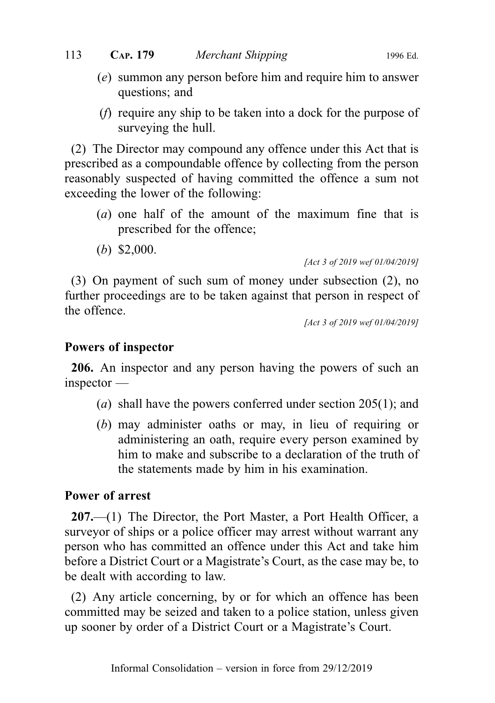- (e) summon any person before him and require him to answer questions; and
- (f) require any ship to be taken into a dock for the purpose of surveying the hull.

(2) The Director may compound any offence under this Act that is prescribed as a compoundable offence by collecting from the person reasonably suspected of having committed the offence a sum not exceeding the lower of the following:

- (a) one half of the amount of the maximum fine that is prescribed for the offence;
- (b) \$2,000.

[Act 3 of 2019 wef 01/04/2019]

(3) On payment of such sum of money under subsection (2), no further proceedings are to be taken against that person in respect of the offence.

[Act 3 of 2019 wef 01/04/2019]

# Powers of inspector

206. An inspector and any person having the powers of such an inspector —

- (a) shall have the powers conferred under section 205(1); and
- (b) may administer oaths or may, in lieu of requiring or administering an oath, require every person examined by him to make and subscribe to a declaration of the truth of the statements made by him in his examination.

# Power of arrest

207.—(1) The Director, the Port Master, a Port Health Officer, a surveyor of ships or a police officer may arrest without warrant any person who has committed an offence under this Act and take him before a District Court or a Magistrate's Court, as the case may be, to be dealt with according to law.

(2) Any article concerning, by or for which an offence has been committed may be seized and taken to a police station, unless given up sooner by order of a District Court or a Magistrate's Court.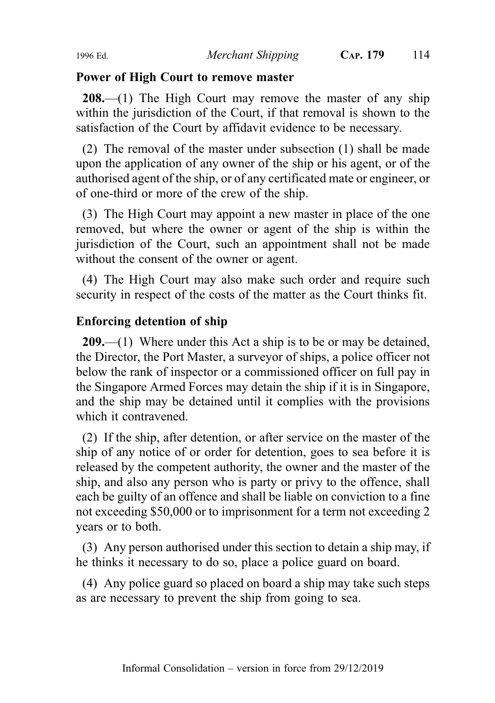# Power of High Court to remove master

208.—(1) The High Court may remove the master of any ship within the jurisdiction of the Court, if that removal is shown to the satisfaction of the Court by affidavit evidence to be necessary.

(2) The removal of the master under subsection (1) shall be made upon the application of any owner of the ship or his agent, or of the authorised agent of the ship, or of any certificated mate or engineer, or of one-third or more of the crew of the ship.

(3) The High Court may appoint a new master in place of the one removed, but where the owner or agent of the ship is within the jurisdiction of the Court, such an appointment shall not be made without the consent of the owner or agent.

(4) The High Court may also make such order and require such security in respect of the costs of the matter as the Court thinks fit.

# Enforcing detention of ship

209.—(1) Where under this Act a ship is to be or may be detained, the Director, the Port Master, a surveyor of ships, a police officer not below the rank of inspector or a commissioned officer on full pay in the Singapore Armed Forces may detain the ship if it is in Singapore, and the ship may be detained until it complies with the provisions which it contravened.

(2) If the ship, after detention, or after service on the master of the ship of any notice of or order for detention, goes to sea before it is released by the competent authority, the owner and the master of the ship, and also any person who is party or privy to the offence, shall each be guilty of an offence and shall be liable on conviction to a fine not exceeding \$50,000 or to imprisonment for a term not exceeding 2 years or to both.

(3) Any person authorised under this section to detain a ship may, if he thinks it necessary to do so, place a police guard on board.

(4) Any police guard so placed on board a ship may take such steps as are necessary to prevent the ship from going to sea.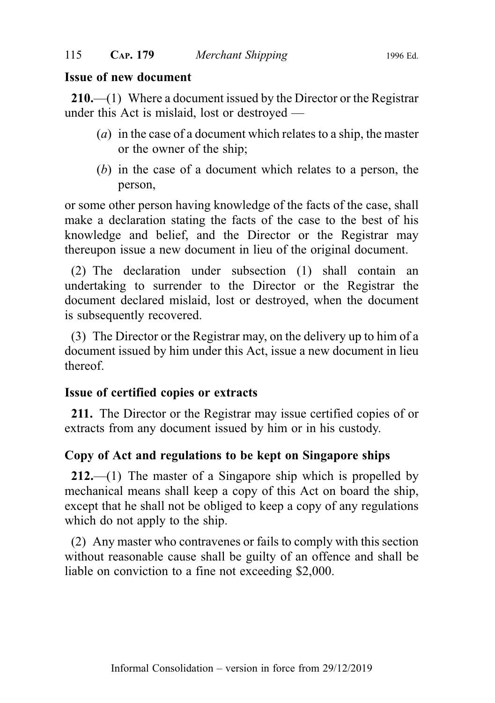# Issue of new document

210.—(1) Where a document issued by the Director or the Registrar under this Act is mislaid, lost or destroyed —

- (a) in the case of a document which relates to a ship, the master or the owner of the ship;
- (b) in the case of a document which relates to a person, the person,

or some other person having knowledge of the facts of the case, shall make a declaration stating the facts of the case to the best of his knowledge and belief, and the Director or the Registrar may thereupon issue a new document in lieu of the original document.

(2) The declaration under subsection (1) shall contain an undertaking to surrender to the Director or the Registrar the document declared mislaid, lost or destroyed, when the document is subsequently recovered.

(3) The Director or the Registrar may, on the delivery up to him of a document issued by him under this Act, issue a new document in lieu thereof.

# Issue of certified copies or extracts

211. The Director or the Registrar may issue certified copies of or extracts from any document issued by him or in his custody.

# Copy of Act and regulations to be kept on Singapore ships

212.—(1) The master of a Singapore ship which is propelled by mechanical means shall keep a copy of this Act on board the ship, except that he shall not be obliged to keep a copy of any regulations which do not apply to the ship.

(2) Any master who contravenes or fails to comply with this section without reasonable cause shall be guilty of an offence and shall be liable on conviction to a fine not exceeding \$2,000.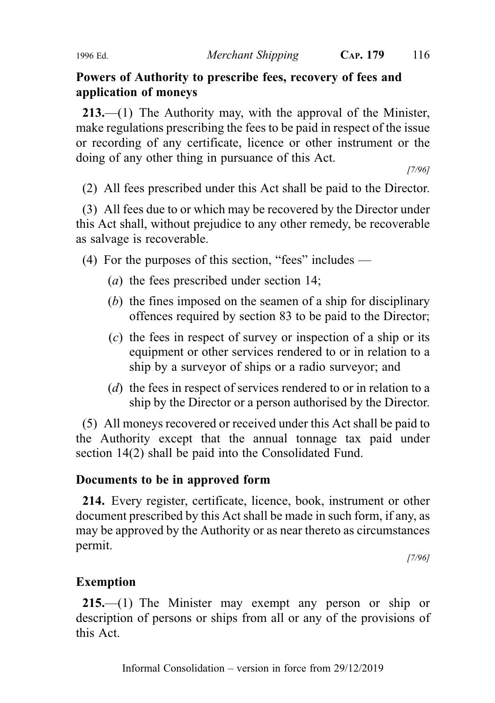# Powers of Authority to prescribe fees, recovery of fees and application of moneys

213.—(1) The Authority may, with the approval of the Minister, make regulations prescribing the fees to be paid in respect of the issue or recording of any certificate, licence or other instrument or the doing of any other thing in pursuance of this Act.

[7/96]

(2) All fees prescribed under this Act shall be paid to the Director.

(3) All fees due to or which may be recovered by the Director under this Act shall, without prejudice to any other remedy, be recoverable as salvage is recoverable.

(4) For the purposes of this section, "fees" includes —

- (a) the fees prescribed under section 14;
- (b) the fines imposed on the seamen of a ship for disciplinary offences required by section 83 to be paid to the Director;
- (c) the fees in respect of survey or inspection of a ship or its equipment or other services rendered to or in relation to a ship by a surveyor of ships or a radio surveyor; and
- (d) the fees in respect of services rendered to or in relation to a ship by the Director or a person authorised by the Director.

(5) All moneys recovered or received under this Act shall be paid to the Authority except that the annual tonnage tax paid under section 14(2) shall be paid into the Consolidated Fund.

# Documents to be in approved form

214. Every register, certificate, licence, book, instrument or other document prescribed by this Act shall be made in such form, if any, as may be approved by the Authority or as near thereto as circumstances permit.

[7/96]

# Exemption

215.—(1) The Minister may exempt any person or ship or description of persons or ships from all or any of the provisions of this Act.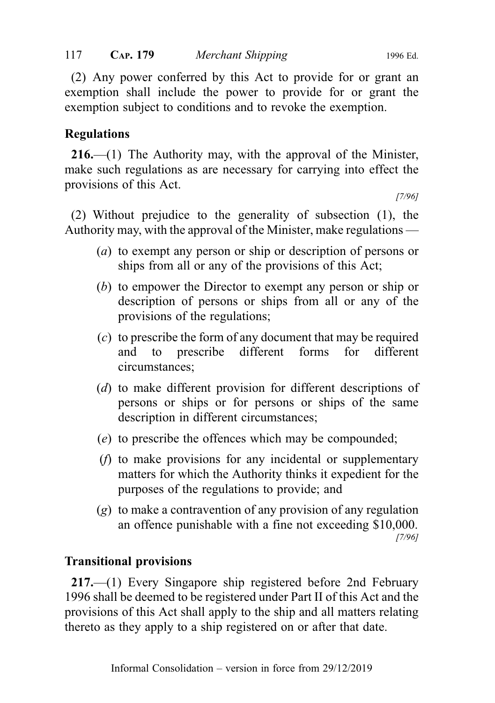(2) Any power conferred by this Act to provide for or grant an exemption shall include the power to provide for or grant the exemption subject to conditions and to revoke the exemption.

# Regulations

216.—(1) The Authority may, with the approval of the Minister, make such regulations as are necessary for carrying into effect the provisions of this Act.

[7/96]

(2) Without prejudice to the generality of subsection (1), the Authority may, with the approval of the Minister, make regulations —

- (a) to exempt any person or ship or description of persons or ships from all or any of the provisions of this Act;
- (b) to empower the Director to exempt any person or ship or description of persons or ships from all or any of the provisions of the regulations;
- (c) to prescribe the form of any document that may be required and to prescribe different forms for different circumstances;
- (d) to make different provision for different descriptions of persons or ships or for persons or ships of the same description in different circumstances;
- (e) to prescribe the offences which may be compounded;
- (f) to make provisions for any incidental or supplementary matters for which the Authority thinks it expedient for the purposes of the regulations to provide; and
- (g) to make a contravention of any provision of any regulation an offence punishable with a fine not exceeding \$10,000. [7/96]

# Transitional provisions

217.—(1) Every Singapore ship registered before 2nd February 1996 shall be deemed to be registered under Part II of this Act and the provisions of this Act shall apply to the ship and all matters relating thereto as they apply to a ship registered on or after that date.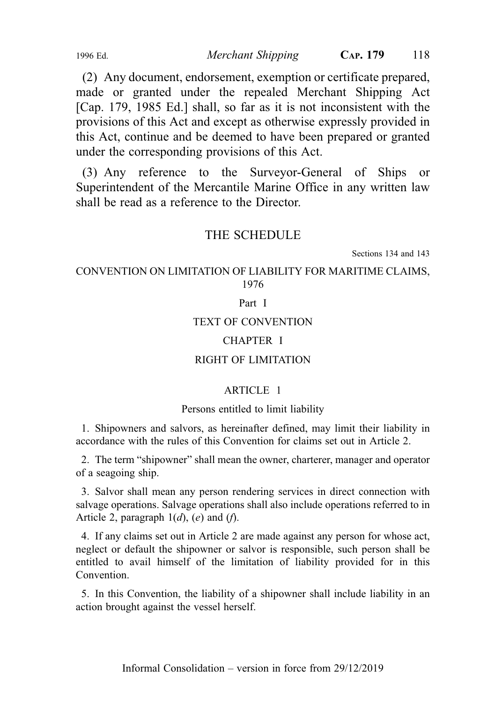(2) Any document, endorsement, exemption or certificate prepared, made or granted under the repealed Merchant Shipping Act [Cap. 179, 1985 Ed.] shall, so far as it is not inconsistent with the provisions of this Act and except as otherwise expressly provided in this Act, continue and be deemed to have been prepared or granted under the corresponding provisions of this Act.

(3) Any reference to the Surveyor-General of Ships or Superintendent of the Mercantile Marine Office in any written law shall be read as a reference to the Director.

# THE SCHEDULE

Sections 134 and 143

CONVENTION ON LIMITATION OF LIABILITY FOR MARITIME CLAIMS, 1976

## Part I

# TEXT OF CONVENTION

## CHAPTER I

## RIGHT OF LIMITATION

# ARTICLE 1

## Persons entitled to limit liability

1. Shipowners and salvors, as hereinafter defined, may limit their liability in accordance with the rules of this Convention for claims set out in Article 2.

2. The term "shipowner" shall mean the owner, charterer, manager and operator of a seagoing ship.

3. Salvor shall mean any person rendering services in direct connection with salvage operations. Salvage operations shall also include operations referred to in Article 2, paragraph  $1(d)$ ,  $(e)$  and  $(f)$ .

4. If any claims set out in Article 2 are made against any person for whose act, neglect or default the shipowner or salvor is responsible, such person shall be entitled to avail himself of the limitation of liability provided for in this Convention.

5. In this Convention, the liability of a shipowner shall include liability in an action brought against the vessel herself.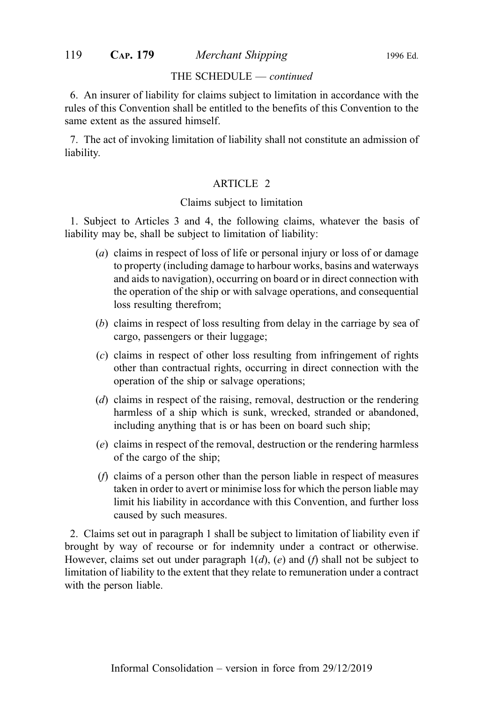### THE SCHEDULE — continued

6. An insurer of liability for claims subject to limitation in accordance with the rules of this Convention shall be entitled to the benefits of this Convention to the same extent as the assured himself.

7. The act of invoking limitation of liability shall not constitute an admission of liability.

## ARTICLE 2

## Claims subject to limitation

1. Subject to Articles 3 and 4, the following claims, whatever the basis of liability may be, shall be subject to limitation of liability:

- (a) claims in respect of loss of life or personal injury or loss of or damage to property (including damage to harbour works, basins and waterways and aids to navigation), occurring on board or in direct connection with the operation of the ship or with salvage operations, and consequential loss resulting therefrom;
- (b) claims in respect of loss resulting from delay in the carriage by sea of cargo, passengers or their luggage;
- (c) claims in respect of other loss resulting from infringement of rights other than contractual rights, occurring in direct connection with the operation of the ship or salvage operations;
- (d) claims in respect of the raising, removal, destruction or the rendering harmless of a ship which is sunk, wrecked, stranded or abandoned, including anything that is or has been on board such ship;
- (e) claims in respect of the removal, destruction or the rendering harmless of the cargo of the ship;
- (f) claims of a person other than the person liable in respect of measures taken in order to avert or minimise loss for which the person liable may limit his liability in accordance with this Convention, and further loss caused by such measures.

2. Claims set out in paragraph 1 shall be subject to limitation of liability even if brought by way of recourse or for indemnity under a contract or otherwise. However, claims set out under paragraph  $1(d)$ ,  $(e)$  and  $(f)$  shall not be subject to limitation of liability to the extent that they relate to remuneration under a contract with the person liable.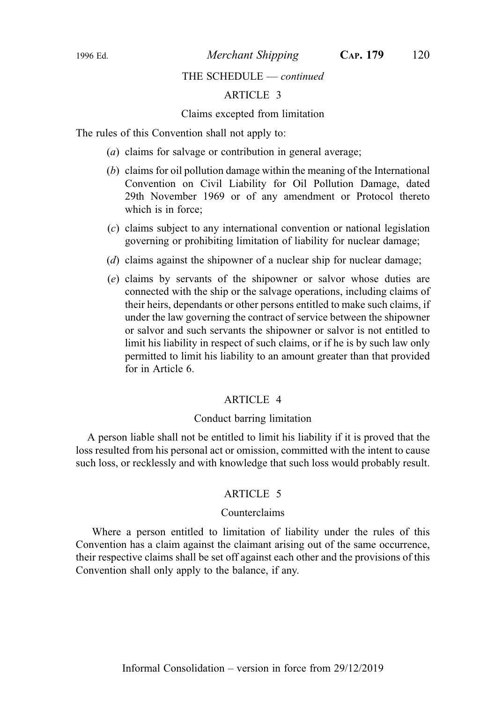# THE SCHEDULE — continued

# ARTICLE 3

## Claims excepted from limitation

The rules of this Convention shall not apply to:

- (a) claims for salvage or contribution in general average;
- (b) claims for oil pollution damage within the meaning of the International Convention on Civil Liability for Oil Pollution Damage, dated 29th November 1969 or of any amendment or Protocol thereto which is in force:
- (c) claims subject to any international convention or national legislation governing or prohibiting limitation of liability for nuclear damage;
- (d) claims against the shipowner of a nuclear ship for nuclear damage;
- (e) claims by servants of the shipowner or salvor whose duties are connected with the ship or the salvage operations, including claims of their heirs, dependants or other persons entitled to make such claims, if under the law governing the contract of service between the shipowner or salvor and such servants the shipowner or salvor is not entitled to limit his liability in respect of such claims, or if he is by such law only permitted to limit his liability to an amount greater than that provided for in Article 6.

### ARTICLE 4

## Conduct barring limitation

A person liable shall not be entitled to limit his liability if it is proved that the loss resulted from his personal act or omission, committed with the intent to cause such loss, or recklessly and with knowledge that such loss would probably result.

## ARTICLE 5

# Counterclaims

Where a person entitled to limitation of liability under the rules of this Convention has a claim against the claimant arising out of the same occurrence, their respective claims shall be set off against each other and the provisions of this Convention shall only apply to the balance, if any.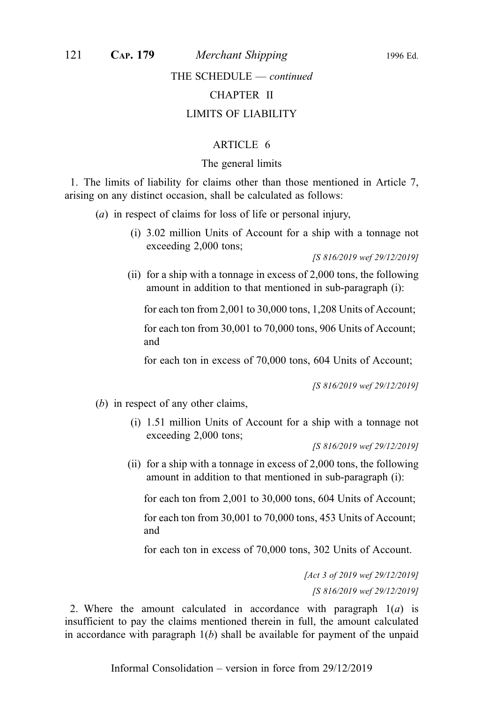# THE SCHEDULE — continued

# CHAPTER II

## LIMITS OF LIABILITY

## ARTICLE 6

## The general limits

1. The limits of liability for claims other than those mentioned in Article 7, arising on any distinct occasion, shall be calculated as follows:

- (a) in respect of claims for loss of life or personal injury,
	- (i) 3.02 million Units of Account for a ship with a tonnage not exceeding 2,000 tons;

[S 816/2019 wef 29/12/2019]

(ii) for a ship with a tonnage in excess of 2,000 tons, the following amount in addition to that mentioned in sub-paragraph (i):

for each ton from 2,001 to 30,000 tons, 1,208 Units of Account;

for each ton from 30,001 to 70,000 tons, 906 Units of Account; and

for each ton in excess of 70,000 tons, 604 Units of Account;

[S 816/2019 wef 29/12/2019]

(b) in respect of any other claims,

(i) 1.51 million Units of Account for a ship with a tonnage not exceeding 2,000 tons;

[S 816/2019 wef 29/12/2019]

(ii) for a ship with a tonnage in excess of 2,000 tons, the following amount in addition to that mentioned in sub-paragraph (i):

for each ton from 2,001 to 30,000 tons, 604 Units of Account;

for each ton from 30,001 to 70,000 tons, 453 Units of Account; and

for each ton in excess of 70,000 tons, 302 Units of Account.

[Act 3 of 2019 wef 29/12/2019] [S 816/2019 wef 29/12/2019]

2. Where the amount calculated in accordance with paragraph  $1(a)$  is insufficient to pay the claims mentioned therein in full, the amount calculated in accordance with paragraph  $1(b)$  shall be available for payment of the unpaid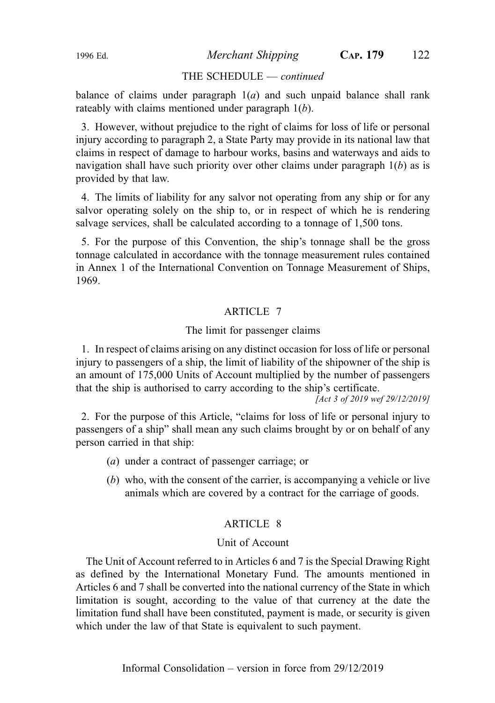# THE SCHEDULE — continued

balance of claims under paragraph  $1(a)$  and such unpaid balance shall rank rateably with claims mentioned under paragraph 1(b).

3. However, without prejudice to the right of claims for loss of life or personal injury according to paragraph 2, a State Party may provide in its national law that claims in respect of damage to harbour works, basins and waterways and aids to navigation shall have such priority over other claims under paragraph  $1(b)$  as is provided by that law.

4. The limits of liability for any salvor not operating from any ship or for any salvor operating solely on the ship to, or in respect of which he is rendering salvage services, shall be calculated according to a tonnage of 1,500 tons.

5. For the purpose of this Convention, the ship's tonnage shall be the gross tonnage calculated in accordance with the tonnage measurement rules contained in Annex 1 of the International Convention on Tonnage Measurement of Ships, 1969.

## ARTICLE 7

#### The limit for passenger claims

1. In respect of claims arising on any distinct occasion for loss of life or personal injury to passengers of a ship, the limit of liability of the shipowner of the ship is an amount of 175,000 Units of Account multiplied by the number of passengers that the ship is authorised to carry according to the ship's certificate.

[Act 3 of 2019 wef 29/12/2019]

2. For the purpose of this Article, "claims for loss of life or personal injury to passengers of a ship" shall mean any such claims brought by or on behalf of any person carried in that ship:

- (a) under a contract of passenger carriage; or
- (b) who, with the consent of the carrier, is accompanying a vehicle or live animals which are covered by a contract for the carriage of goods.

## ARTICLE 8

### Unit of Account

The Unit of Account referred to in Articles 6 and 7 is the Special Drawing Right as defined by the International Monetary Fund. The amounts mentioned in Articles 6 and 7 shall be converted into the national currency of the State in which limitation is sought, according to the value of that currency at the date the limitation fund shall have been constituted, payment is made, or security is given which under the law of that State is equivalent to such payment.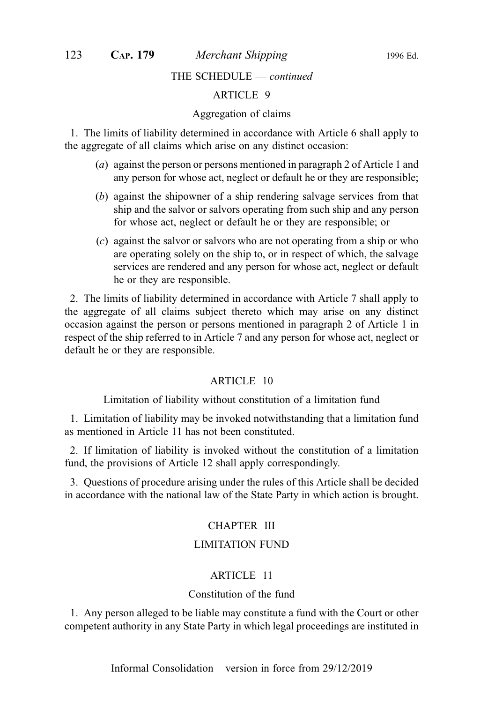THE SCHEDULE — continued

## ARTICLE 9

#### Aggregation of claims

1. The limits of liability determined in accordance with Article 6 shall apply to the aggregate of all claims which arise on any distinct occasion:

- (a) against the person or persons mentioned in paragraph 2 of Article 1 and any person for whose act, neglect or default he or they are responsible;
- (b) against the shipowner of a ship rendering salvage services from that ship and the salvor or salvors operating from such ship and any person for whose act, neglect or default he or they are responsible; or
- (c) against the salvor or salvors who are not operating from a ship or who are operating solely on the ship to, or in respect of which, the salvage services are rendered and any person for whose act, neglect or default he or they are responsible.

2. The limits of liability determined in accordance with Article 7 shall apply to the aggregate of all claims subject thereto which may arise on any distinct occasion against the person or persons mentioned in paragraph 2 of Article 1 in respect of the ship referred to in Article 7 and any person for whose act, neglect or default he or they are responsible.

## ARTICLE 10

Limitation of liability without constitution of a limitation fund

1. Limitation of liability may be invoked notwithstanding that a limitation fund as mentioned in Article 11 has not been constituted.

2. If limitation of liability is invoked without the constitution of a limitation fund, the provisions of Article 12 shall apply correspondingly.

3. Questions of procedure arising under the rules of this Article shall be decided in accordance with the national law of the State Party in which action is brought.

#### CHAPTER III

# LIMITATION FUND

## ARTICLE 11

## Constitution of the fund

1. Any person alleged to be liable may constitute a fund with the Court or other competent authority in any State Party in which legal proceedings are instituted in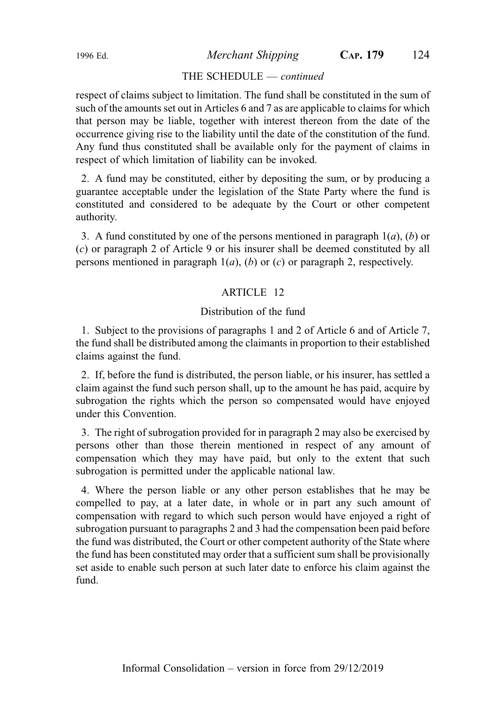## THE SCHEDULE — continued

respect of claims subject to limitation. The fund shall be constituted in the sum of such of the amounts set out in Articles 6 and 7 as are applicable to claims for which that person may be liable, together with interest thereon from the date of the occurrence giving rise to the liability until the date of the constitution of the fund. Any fund thus constituted shall be available only for the payment of claims in respect of which limitation of liability can be invoked.

2. A fund may be constituted, either by depositing the sum, or by producing a guarantee acceptable under the legislation of the State Party where the fund is constituted and considered to be adequate by the Court or other competent authority.

3. A fund constituted by one of the persons mentioned in paragraph  $1(a)$ , (b) or (c) or paragraph 2 of Article 9 or his insurer shall be deemed constituted by all persons mentioned in paragraph  $1(a)$ ,  $(b)$  or  $(c)$  or paragraph 2, respectively.

## ARTICLE 12

## Distribution of the fund

1. Subject to the provisions of paragraphs 1 and 2 of Article 6 and of Article 7, the fund shall be distributed among the claimants in proportion to their established claims against the fund.

2. If, before the fund is distributed, the person liable, or his insurer, has settled a claim against the fund such person shall, up to the amount he has paid, acquire by subrogation the rights which the person so compensated would have enjoyed under this Convention.

3. The right of subrogation provided for in paragraph 2 may also be exercised by persons other than those therein mentioned in respect of any amount of compensation which they may have paid, but only to the extent that such subrogation is permitted under the applicable national law.

4. Where the person liable or any other person establishes that he may be compelled to pay, at a later date, in whole or in part any such amount of compensation with regard to which such person would have enjoyed a right of subrogation pursuant to paragraphs 2 and 3 had the compensation been paid before the fund was distributed, the Court or other competent authority of the State where the fund has been constituted may order that a sufficient sum shall be provisionally set aside to enable such person at such later date to enforce his claim against the fund.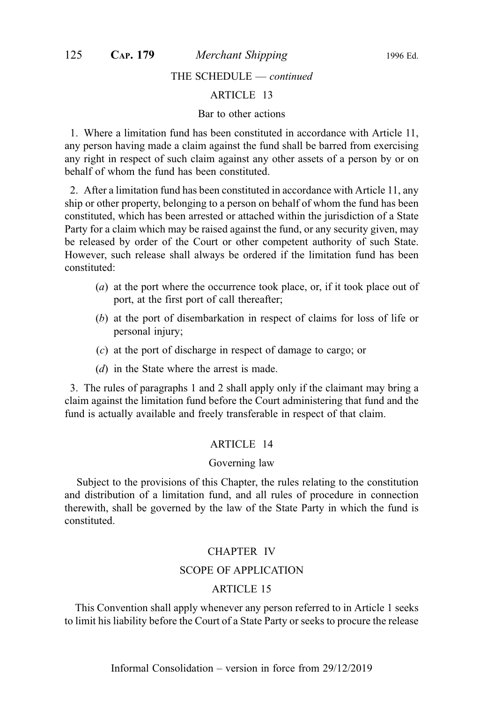## THE SCHEDULE — continued

## ARTICLE 13

## Bar to other actions

1. Where a limitation fund has been constituted in accordance with Article 11, any person having made a claim against the fund shall be barred from exercising any right in respect of such claim against any other assets of a person by or on behalf of whom the fund has been constituted.

2. After a limitation fund has been constituted in accordance with Article 11, any ship or other property, belonging to a person on behalf of whom the fund has been constituted, which has been arrested or attached within the jurisdiction of a State Party for a claim which may be raised against the fund, or any security given, may be released by order of the Court or other competent authority of such State. However, such release shall always be ordered if the limitation fund has been constituted:

- (a) at the port where the occurrence took place, or, if it took place out of port, at the first port of call thereafter;
- (b) at the port of disembarkation in respect of claims for loss of life or personal injury;
- (c) at the port of discharge in respect of damage to cargo; or
- (d) in the State where the arrest is made.

3. The rules of paragraphs 1 and 2 shall apply only if the claimant may bring a claim against the limitation fund before the Court administering that fund and the fund is actually available and freely transferable in respect of that claim.

#### ARTICLE 14

#### Governing law

Subject to the provisions of this Chapter, the rules relating to the constitution and distribution of a limitation fund, and all rules of procedure in connection therewith, shall be governed by the law of the State Party in which the fund is constituted.

#### CHAPTER IV

#### SCOPE OF APPLICATION

# ARTICLE 15

This Convention shall apply whenever any person referred to in Article 1 seeks to limit his liability before the Court of a State Party or seeks to procure the release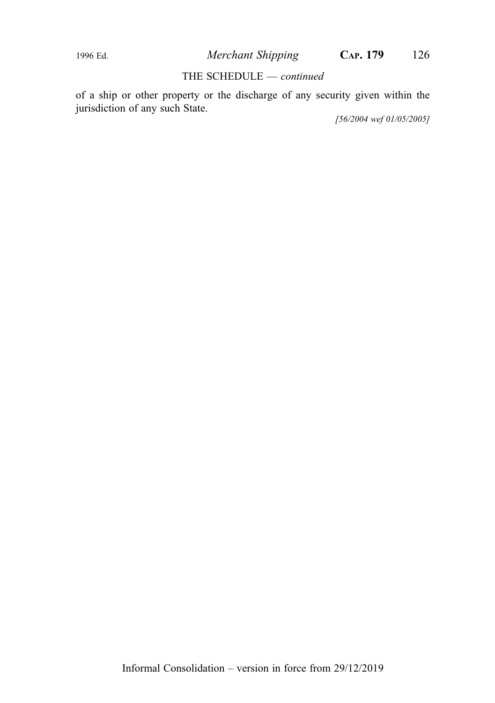### THE SCHEDULE - continued

of a ship or other property or the discharge of any security given within the jurisdiction of any such State.

[56/2004 wef 01/05/2005]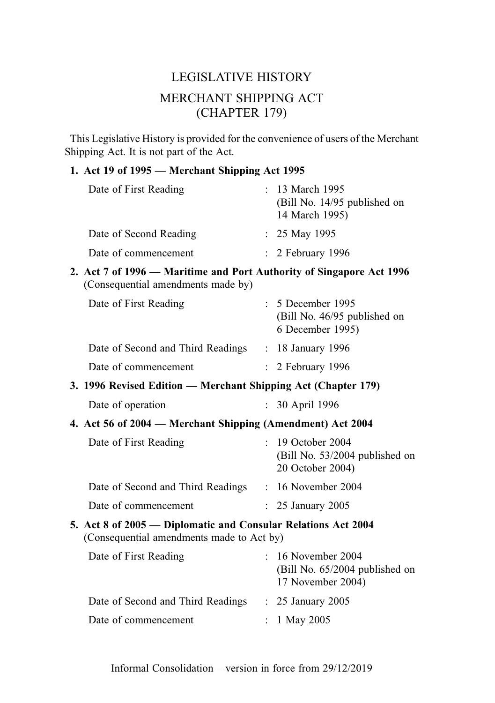# LEGISLATIVE HISTORY MERCHANT SHIPPING ACT (CHAPTER 179)

This Legislative History is provided for the convenience of users of the Merchant Shipping Act. It is not part of the Act.

# 1. Act 19 of 1995 — Merchant Shipping Act 1995

| Date of First Reading  | : 13 March 1995<br>(Bill No. 14/95 published on<br>14 March 1995) |
|------------------------|-------------------------------------------------------------------|
| Date of Second Reading | : $25$ May 1995                                                   |
| Date of commencement   | $\therefore$ 2 February 1996                                      |

2. Act 7 of 1996 — Maritime and Port Authority of Singapore Act 1996 (Consequential amendments made by)

| Date of First Reading             | $\therefore$ 5 December 1995<br>(Bill No. 46/95 published on<br>6 December 1995) |  |
|-----------------------------------|----------------------------------------------------------------------------------|--|
| Date of Second and Third Readings | $: 18$ January 1996                                                              |  |
| Date of commencement              | $\therefore$ 2 February 1996                                                     |  |

3. 1996 Revised Edition — Merchant Shipping Act (Chapter 179)

| Date of operation | 30 April 1996 |
|-------------------|---------------|
|-------------------|---------------|

4. Act 56 of 2004 — Merchant Shipping (Amendment) Act 2004

| Date of First Reading             | $: 19$ October 2004<br>(Bill No. 53/2004 published on<br>20 October 2004) |
|-----------------------------------|---------------------------------------------------------------------------|
| Date of Second and Third Readings | $: 16$ November 2004                                                      |
| Date of commencement              | $\therefore$ 25 January 2005                                              |

5. Act 8 of 2005 — Diplomatic and Consular Relations Act 2004 (Consequential amendments made to Act by)

| Date of First Reading             | $: 16$ November 2004<br>(Bill No. 65/2004 published on<br>17 November 2004) |
|-----------------------------------|-----------------------------------------------------------------------------|
| Date of Second and Third Readings | $\therefore$ 25 January 2005                                                |
| Date of commencement              | : $1$ May 2005                                                              |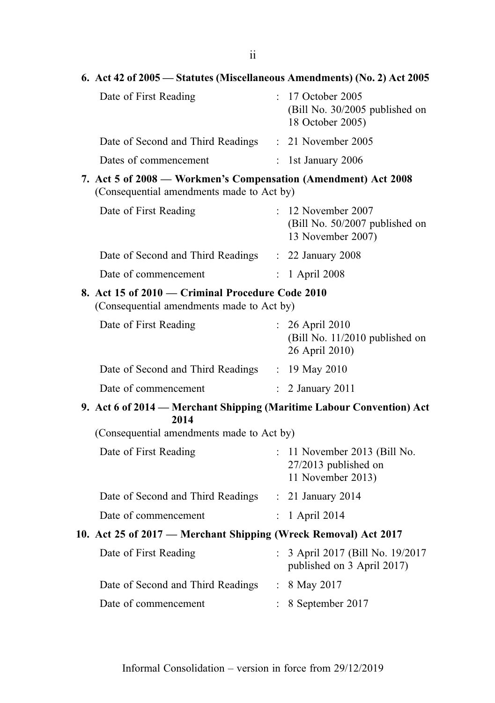| $\frac{1}{2}$ $\frac{1}{2}$ $\frac{1}{2}$ $\frac{1}{2}$ $\frac{1}{2}$ $\frac{1}{2}$ $\frac{1}{2}$ $\frac{1}{2}$ |                      | $\alpha$ of $\alpha$ ( <i>wiseculations Tementaments</i> ) (190. 2) Act 2000 |
|-----------------------------------------------------------------------------------------------------------------|----------------------|------------------------------------------------------------------------------|
| Date of First Reading                                                                                           |                      | : 17 October 2005<br>(Bill No. 30/2005 published on<br>18 October 2005)      |
| Date of Second and Third Readings                                                                               |                      | : 21 November 2005                                                           |
| Dates of commencement                                                                                           |                      | : 1st January 2006                                                           |
| 7. Act 5 of 2008 - Workmen's Compensation (Amendment) Act 2008<br>(Consequential amendments made to Act by)     |                      |                                                                              |
| Date of First Reading                                                                                           |                      | $: 12$ November 2007<br>(Bill No. 50/2007 published on<br>13 November 2007)  |
| Date of Second and Third Readings                                                                               |                      | : 22 January 2008                                                            |
| Date of commencement                                                                                            | $\mathbf{L}$         | 1 April 2008                                                                 |
| 8. Act 15 of 2010 – Criminal Procedure Code 2010<br>(Consequential amendments made to Act by)                   |                      |                                                                              |
| Date of First Reading                                                                                           |                      | 26 April 2010<br>(Bill No. 11/2010 published on<br>26 April 2010)            |
| Date of Second and Third Readings : 19 May 2010                                                                 |                      |                                                                              |
| Date of commencement                                                                                            | $\mathcal{L}$        | 2 January 2011                                                               |
| 9. Act 6 of 2014 - Merchant Shipping (Maritime Labour Convention) Act                                           |                      |                                                                              |
| 2014<br>(Consequential amendments made to Act by)                                                               |                      |                                                                              |
|                                                                                                                 |                      |                                                                              |
| Date of First Reading                                                                                           |                      | $: 11$ November 2013 (Bill No.<br>27/2013 published on<br>11 November 2013)  |
| Date of Second and Third Readings                                                                               |                      | : 21 January 2014                                                            |
| Date of commencement                                                                                            | $\ddot{\phantom{0}}$ | 1 April 2014                                                                 |
| 10. Act 25 of 2017 – Merchant Shipping (Wreck Removal) Act 2017                                                 |                      |                                                                              |
| Date of First Reading                                                                                           | $\mathbf{L}$         | 3 April 2017 (Bill No. 19/2017<br>published on 3 April 2017)                 |
| Date of Second and Third Readings                                                                               |                      | : 8 May 2017                                                                 |
| Date of commencement                                                                                            |                      | 8 September 2017                                                             |
|                                                                                                                 |                      |                                                                              |
|                                                                                                                 |                      |                                                                              |

## 6. Act 42 of 2005 — Statutes (Miscellaneous Amendments) (No. 2) Act 2005